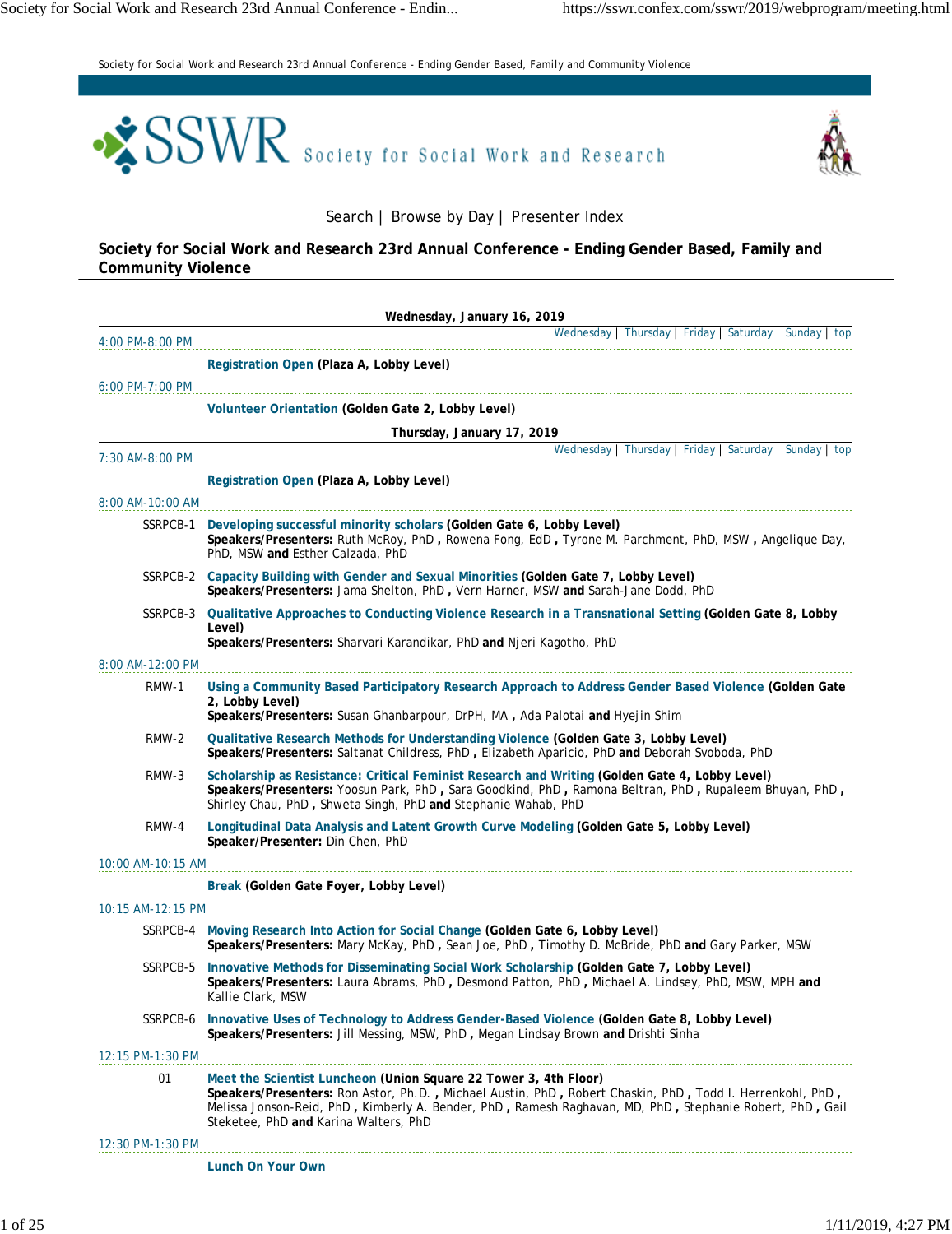*Society for Social Work and Research 23rd Annual Conference - Ending Gender Based, Family and Community Violence*





Search | Browse by Day | Presenter Index

**Society for Social Work and Research 23rd Annual Conference - Ending Gender Based, Family and Community Violence**

|                   | Wednesday, January 16, 2019                                                                                                                                                                                                                                                                                                        |
|-------------------|------------------------------------------------------------------------------------------------------------------------------------------------------------------------------------------------------------------------------------------------------------------------------------------------------------------------------------|
| 4:00 PM-8:00 PM   | Wednesday   Thursday   Friday   Saturday   Sunday   top                                                                                                                                                                                                                                                                            |
|                   | Registration Open (Plaza A, Lobby Level)                                                                                                                                                                                                                                                                                           |
| 6:00 PM-7:00 PM   |                                                                                                                                                                                                                                                                                                                                    |
|                   | Volunteer Orientation (Golden Gate 2, Lobby Level)                                                                                                                                                                                                                                                                                 |
|                   | Thursday, January 17, 2019                                                                                                                                                                                                                                                                                                         |
| 7:30 AM-8:00 PM   | Wednesday   Thursday   Friday   Saturday   Sunday   top                                                                                                                                                                                                                                                                            |
|                   | Registration Open (Plaza A, Lobby Level)                                                                                                                                                                                                                                                                                           |
| 8:00 AM-10:00 AM  |                                                                                                                                                                                                                                                                                                                                    |
|                   | SSRPCB-1 Developing successful minority scholars (Golden Gate 6, Lobby Level)<br>Speakers/Presenters: Ruth McRoy, PhD, Rowena Fong, EdD, Tyrone M. Parchment, PhD, MSW, Angelique Day,<br>PhD, MSW and Esther Calzada, PhD                                                                                                         |
|                   | SSRPCB-2 Capacity Building with Gender and Sexual Minorities (Golden Gate 7, Lobby Level)<br>Speakers/Presenters: Jama Shelton, PhD, Vern Harner, MSW and Sarah-Jane Dodd, PhD                                                                                                                                                     |
| SSRPCB-3          | Qualitative Approaches to Conducting Violence Research in a Transnational Setting (Golden Gate 8, Lobby<br>Level)<br>Speakers/Presenters: Sharvari Karandikar, PhD and Njeri Kagotho, PhD                                                                                                                                          |
| 8:00 AM-12:00 PM  |                                                                                                                                                                                                                                                                                                                                    |
| RMW-1             | Using a Community Based Participatory Research Approach to Address Gender Based Violence (Golden Gate<br>2, Lobby Level)<br>Speakers/Presenters: Susan Ghanbarpour, DrPH, MA, Ada Palotai and Hyejin Shim                                                                                                                          |
| RMW-2             | Qualitative Research Methods for Understanding Violence (Golden Gate 3, Lobby Level)<br>Speakers/Presenters: Saltanat Childress, PhD, Elizabeth Aparicio, PhD and Deborah Svoboda, PhD                                                                                                                                             |
| RMW-3             | Scholarship as Resistance: Critical Feminist Research and Writing (Golden Gate 4, Lobby Level)<br>Speakers/Presenters: Yoosun Park, PhD, Sara Goodkind, PhD, Ramona Beltran, PhD, Rupaleem Bhuyan, PhD,<br>Shirley Chau, PhD, Shweta Singh, PhD and Stephanie Wahab, PhD                                                           |
| RMW-4             | Longitudinal Data Analysis and Latent Growth Curve Modeling (Golden Gate 5, Lobby Level)<br>Speaker/Presenter: Din Chen, PhD                                                                                                                                                                                                       |
| 10:00 AM-10:15 AM |                                                                                                                                                                                                                                                                                                                                    |
|                   | Break (Golden Gate Foyer, Lobby Level)                                                                                                                                                                                                                                                                                             |
| 10:15 AM-12:15 PM |                                                                                                                                                                                                                                                                                                                                    |
|                   | SSRPCB-4 Moving Research Into Action for Social Change (Golden Gate 6, Lobby Level)<br>Speakers/Presenters: Mary McKay, PhD, Sean Joe, PhD, Timothy D. McBride, PhD and Gary Parker, MSW                                                                                                                                           |
| SSRPCB-5          | Innovative Methods for Disseminating Social Work Scholarship (Golden Gate 7, Lobby Level)<br>Speakers/Presenters: Laura Abrams, PhD, Desmond Patton, PhD, Michael A. Lindsey, PhD, MSW, MPH and<br>Kallie Clark, MSW                                                                                                               |
|                   | SSRPCB-6 Innovative Uses of Technology to Address Gender-Based Violence (Golden Gate 8, Lobby Level)<br>Speakers/Presenters: Jill Messing, MSW, PhD, Megan Lindsay Brown and Drishti Sinha                                                                                                                                         |
| 12:15 PM-1:30 PM  |                                                                                                                                                                                                                                                                                                                                    |
| 01                | Meet the Scientist Luncheon (Union Square 22 Tower 3, 4th Floor)<br>Speakers/Presenters: Ron Astor, Ph.D., Michael Austin, PhD, Robert Chaskin, PhD, Todd I. Herrenkohl, PhD,<br>Melissa Jonson-Reid, PhD, Kimberly A. Bender, PhD, Ramesh Raghavan, MD, PhD, Stephanie Robert, PhD, Gail<br>Steketee, PhD and Karina Walters, PhD |
| 12:30 PM-1:30 PM  |                                                                                                                                                                                                                                                                                                                                    |
|                   | Lunch On Your Own                                                                                                                                                                                                                                                                                                                  |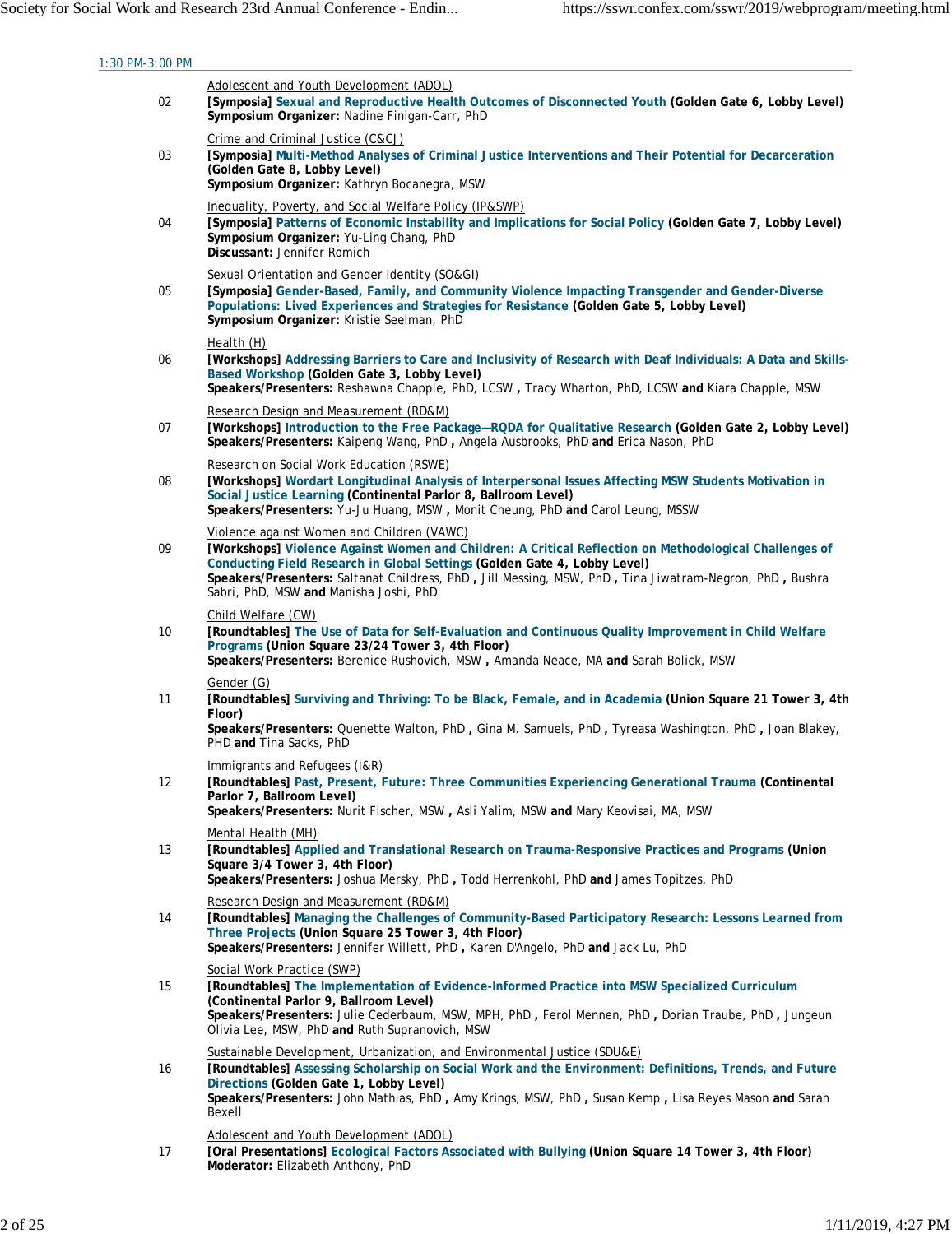| 1:30 PM-3:00 PM |                                                                                                                                                                                                                                                                                                                                                                                        |
|-----------------|----------------------------------------------------------------------------------------------------------------------------------------------------------------------------------------------------------------------------------------------------------------------------------------------------------------------------------------------------------------------------------------|
| 02              | Adolescent and Youth Development (ADOL)<br>[Symposia] Sexual and Reproductive Health Outcomes of Disconnected Youth (Golden Gate 6, Lobby Level)<br>Symposium Organizer: Nadine Finigan-Carr, PhD                                                                                                                                                                                      |
| 03              | Crime and Criminal Justice (C&CJ)<br>[Symposia] Multi-Method Analyses of Criminal Justice Interventions and Their Potential for Decarceration<br>(Golden Gate 8, Lobby Level)<br>Symposium Organizer: Kathryn Bocanegra, MSW                                                                                                                                                           |
| 04              | Inequality, Poverty, and Social Welfare Policy (IP&SWP)<br>[Symposia] Patterns of Economic Instability and Implications for Social Policy (Golden Gate 7, Lobby Level)<br>Symposium Organizer: Yu-Ling Chang, PhD<br>Discussant: Jennifer Romich                                                                                                                                       |
| 05              | Sexual Orientation and Gender Identity (SO&GI)<br>[Symposia] Gender-Based, Family, and Community Violence Impacting Transgender and Gender-Diverse<br>Populations: Lived Experiences and Strategies for Resistance (Golden Gate 5, Lobby Level)<br>Symposium Organizer: Kristie Seelman, PhD                                                                                           |
| 06              | Health (H)<br>[Workshops] Addressing Barriers to Care and Inclusivity of Research with Deaf Individuals: A Data and Skills-<br>Based Workshop (Golden Gate 3, Lobby Level)<br>Speakers/Presenters: Reshawna Chapple, PhD, LCSW, Tracy Wharton, PhD, LCSW and Kiara Chapple, MSW                                                                                                        |
| 07              | Research Design and Measurement (RD&M)<br>[Workshops] Introduction to the Free Package-RQDA for Qualitative Research (Golden Gate 2, Lobby Level)<br>Speakers/Presenters: Kaipeng Wang, PhD, Angela Ausbrooks, PhD and Erica Nason, PhD                                                                                                                                                |
| 08              | Research on Social Work Education (RSWE)<br>[Workshops] Wordart Longitudinal Analysis of Interpersonal Issues Affecting MSW Students Motivation in<br>Social Justice Learning (Continental Parlor 8, Ballroom Level)<br>Speakers/Presenters: Yu-Ju Huang, MSW, Monit Cheung, PhD and Carol Leung, MSSW                                                                                 |
| 09              | Violence against Women and Children (VAWC)<br>[Workshops] Violence Against Women and Children: A Critical Reflection on Methodological Challenges of<br>Conducting Field Research in Global Settings (Golden Gate 4, Lobby Level)<br>Speakers/Presenters: Saltanat Childress, PhD, Jill Messing, MSW, PhD, Tina Jiwatram-Negron, PhD, Bushra<br>Sabri, PhD, MSW and Manisha Joshi, PhD |
| 10              | Child Welfare (CW)<br>[Roundtables] The Use of Data for Self-Evaluation and Continuous Quality Improvement in Child Welfare<br>Programs (Union Square 23/24 Tower 3, 4th Floor)<br>Speakers/Presenters: Berenice Rushovich, MSW, Amanda Neace, MA and Sarah Bolick, MSW                                                                                                                |
| 11              | Gender (G)<br>[Roundtables] Surviving and Thriving: To be Black, Female, and in Academia (Union Square 21 Tower 3, 4th<br>Floor)<br>Speakers/Presenters: Quenette Walton, PhD, Gina M. Samuels, PhD, Tyreasa Washington, PhD, Joan Blakey,<br>PHD and Tina Sacks, PhD                                                                                                                  |
| 12              | Immigrants and Refugees (I&R)<br>[Roundtables] Past, Present, Future: Three Communities Experiencing Generational Trauma (Continental<br>Parlor 7, Ballroom Level)<br>Speakers/Presenters: Nurit Fischer, MSW, Asli Yalim, MSW and Mary Keovisai, MA, MSW                                                                                                                              |
| 13              | Mental Health (MH)<br>[Roundtables] Applied and Translational Research on Trauma-Responsive Practices and Programs (Union<br>Square 3/4 Tower 3, 4th Floor)<br>Speakers/Presenters: Joshua Mersky, PhD, Todd Herrenkohl, PhD and James Topitzes, PhD                                                                                                                                   |
| 14              | Research Design and Measurement (RD&M)<br>[Roundtables] Managing the Challenges of Community-Based Participatory Research: Lessons Learned from<br>Three Projects (Union Square 25 Tower 3, 4th Floor)<br>Speakers/Presenters: Jennifer Willett, PhD, Karen D'Angelo, PhD and Jack Lu, PhD                                                                                             |
| 15              | Social Work Practice (SWP)<br>[Roundtables] The Implementation of Evidence-Informed Practice into MSW Specialized Curriculum<br>(Continental Parlor 9, Ballroom Level)<br>Speakers/Presenters: Julie Cederbaum, MSW, MPH, PhD, Ferol Mennen, PhD, Dorian Traube, PhD, Jungeun<br>Olivia Lee, MSW, PhD and Ruth Supranovich, MSW                                                        |
| 16              | Sustainable Development, Urbanization, and Environmental Justice (SDU&E)<br>[Roundtables] Assessing Scholarship on Social Work and the Environment: Definitions, Trends, and Future<br>Directions (Golden Gate 1, Lobby Level)<br>Speakers/Presenters: John Mathias, PhD, Amy Krings, MSW, PhD, Susan Kemp, Lisa Reyes Mason and Sarah<br>Bexell                                       |
| 17              | Adolescent and Youth Development (ADOL)<br>[Oral Presentations] Ecological Factors Associated with Bullying (Union Square 14 Tower 3, 4th Floor)<br>Moderator: Elizabeth Anthony, PhD                                                                                                                                                                                                  |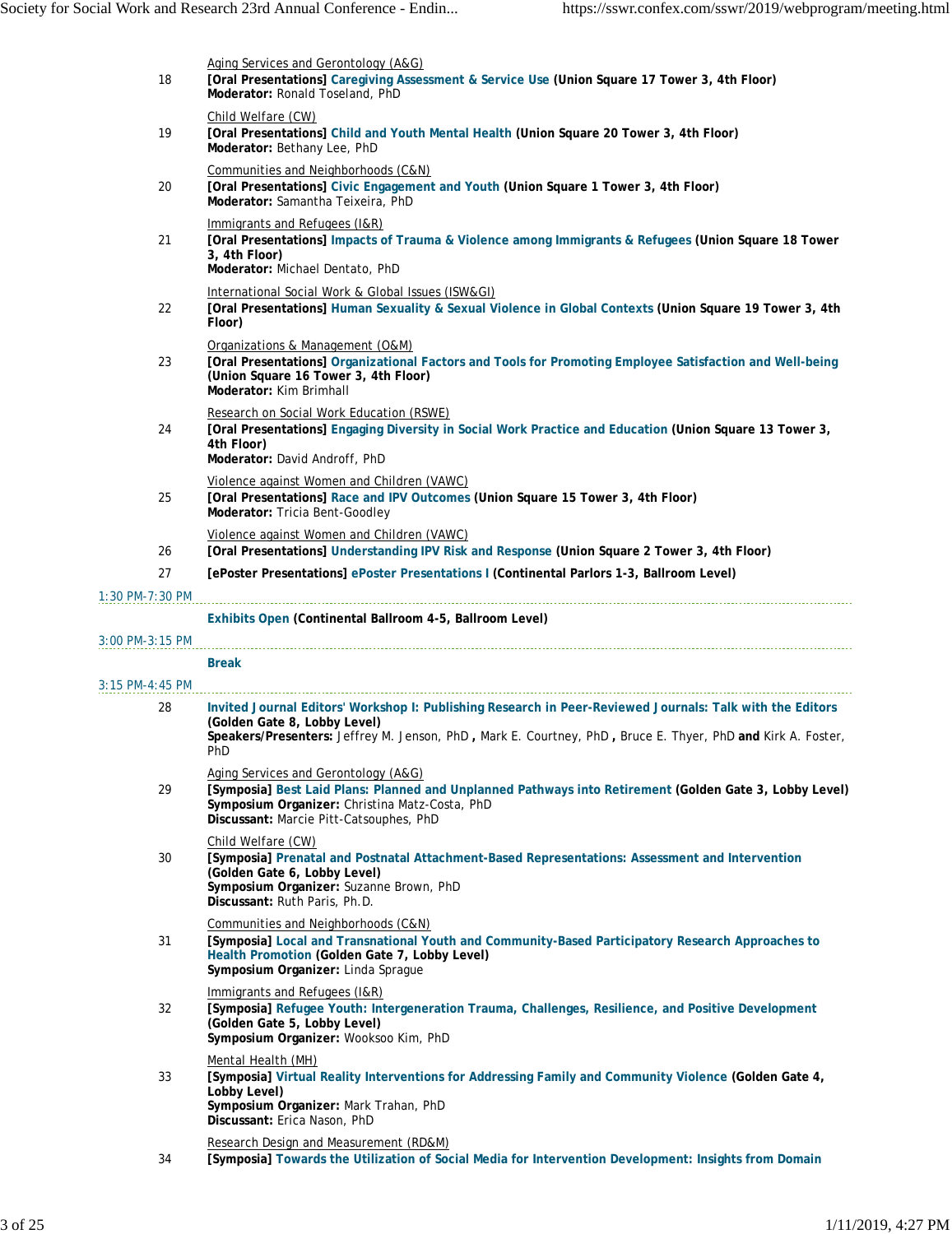| 18                | Aging Services and Gerontology (A&G)<br>[Oral Presentations] Caregiving Assessment & Service Use (Union Square 17 Tower 3, 4th Floor)<br>Moderator: Ronald Toseland, PhD                                                                                        |
|-------------------|-----------------------------------------------------------------------------------------------------------------------------------------------------------------------------------------------------------------------------------------------------------------|
| 19                | Child Welfare (CW)<br>[Oral Presentations] Child and Youth Mental Health (Union Square 20 Tower 3, 4th Floor)<br>Moderator: Bethany Lee, PhD                                                                                                                    |
| 20                | Communities and Neighborhoods (C&N)<br>[Oral Presentations] Civic Engagement and Youth (Union Square 1 Tower 3, 4th Floor)<br>Moderator: Samantha Teixeira, PhD                                                                                                 |
| 21                | Immigrants and Refugees (I&R)<br>[Oral Presentations] Impacts of Trauma & Violence among Immigrants & Refugees (Union Square 18 Tower<br>3, 4th Floor)<br>Moderator: Michael Dentato, PhD                                                                       |
| 22                | International Social Work & Global Issues (ISW&GI)<br>[Oral Presentations] Human Sexuality & Sexual Violence in Global Contexts (Union Square 19 Tower 3, 4th<br>Floor)                                                                                         |
| 23                | Organizations & Management (O&M)<br>[Oral Presentations] Organizational Factors and Tools for Promoting Employee Satisfaction and Well-being<br>(Union Square 16 Tower 3, 4th Floor)<br>Moderator: Kim Brimhall                                                 |
| 24                | Research on Social Work Education (RSWE)<br>[Oral Presentations] Engaging Diversity in Social Work Practice and Education (Union Square 13 Tower 3,<br>4th Floor)<br>Moderator: David Androff, PhD                                                              |
| 25                | Violence against Women and Children (VAWC)<br>[Oral Presentations] Race and IPV Outcomes (Union Square 15 Tower 3, 4th Floor)<br>Moderator: Tricia Bent-Goodley                                                                                                 |
| 26                | Violence against Women and Children (VAWC)<br>[Oral Presentations] Understanding IPV Risk and Response (Union Square 2 Tower 3, 4th Floor)                                                                                                                      |
| 27                | [ePoster Presentations] ePoster Presentations   (Continental Parlors 1-3, Ballroom Level)                                                                                                                                                                       |
| $1:30$ PM-7:30 PM |                                                                                                                                                                                                                                                                 |
|                   |                                                                                                                                                                                                                                                                 |
|                   | Exhibits Open (Continental Ballroom 4-5, Ballroom Level)                                                                                                                                                                                                        |
| 3:00 PM-3:15 PM   |                                                                                                                                                                                                                                                                 |
| $3:15$ PM-4:45 PM | <b>Break</b>                                                                                                                                                                                                                                                    |
| 28                | Invited Journal Editors' Workshop I: Publishing Research in Peer-Reviewed Journals: Talk with the Editors<br>(Golden Gate 8, Lobby Level)<br>Speakers/Presenters: Jeffrey M. Jenson, PhD, Mark E. Courtney, PhD, Bruce E. Thyer, PhD and Kirk A. Foster,<br>PhD |
| 29                | Aging Services and Gerontology (A&G)<br>[Symposia] Best Laid Plans: Planned and Unplanned Pathways into Retirement (Golden Gate 3, Lobby Level)<br>Symposium Organizer: Christina Matz-Costa, PhD<br>Discussant: Marcie Pitt-Catsouphes, PhD                    |
| 30                | Child Welfare (CW)<br>[Symposia] Prenatal and Postnatal Attachment-Based Representations: Assessment and Intervention<br>(Golden Gate 6, Lobby Level)<br>Symposium Organizer: Suzanne Brown, PhD<br>Discussant: Ruth Paris, Ph.D.                               |
| 31                | Communities and Neighborhoods (C&N)<br>[Symposia] Local and Transnational Youth and Community-Based Participatory Research Approaches to<br>Health Promotion (Golden Gate 7, Lobby Level)<br>Symposium Organizer: Linda Sprague                                 |
| 32                | Immigrants and Refugees (I&R)<br>[Symposia] Refugee Youth: Intergeneration Trauma, Challenges, Resilience, and Positive Development<br>(Golden Gate 5, Lobby Level)<br>Symposium Organizer: Wooksoo Kim, PhD                                                    |
| 33                | Mental Health (MH)<br>[Symposia] Virtual Reality Interventions for Addressing Family and Community Violence (Golden Gate 4,<br>Lobby Level)<br>Symposium Organizer: Mark Trahan, PhD<br>Discussant: Erica Nason, PhD                                            |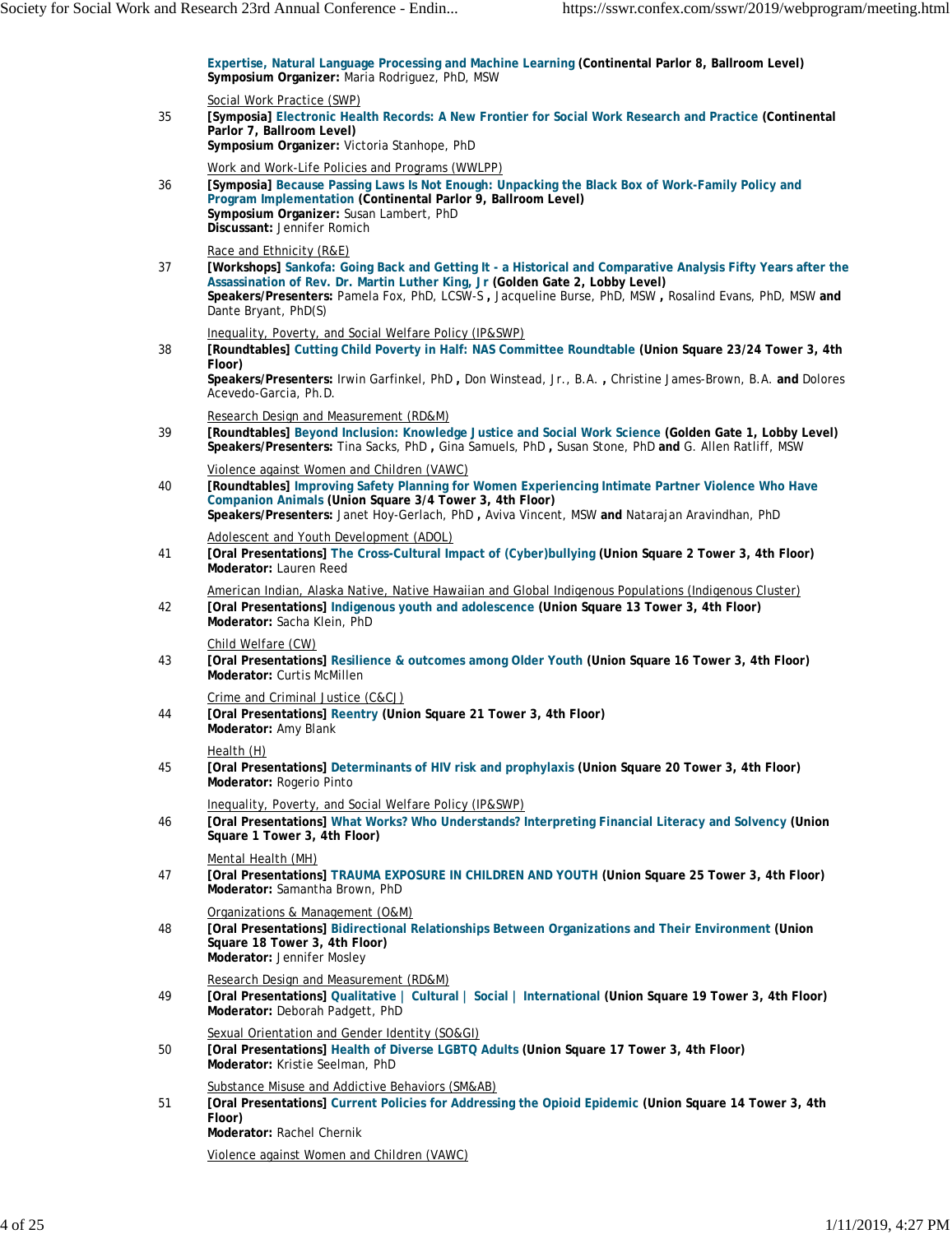**Expertise, Natural Language Processing and Machine Learning (Continental Parlor 8, Ballroom Level) Symposium Organizer:** Maria Rodriguez, PhD, MSW

|    | Social Work Practice (SWP)                                                                                                                                                                                                                                                                                                                                  |
|----|-------------------------------------------------------------------------------------------------------------------------------------------------------------------------------------------------------------------------------------------------------------------------------------------------------------------------------------------------------------|
| 35 | [Symposia] Electronic Health Records: A New Frontier for Social Work Research and Practice (Continental<br>Parlor 7, Ballroom Level)<br>Symposium Organizer: Victoria Stanhope, PhD                                                                                                                                                                         |
| 36 | Work and Work-Life Policies and Programs (WWLPP)<br>[Symposia] Because Passing Laws Is Not Enough: Unpacking the Black Box of Work-Family Policy and<br>Program Implementation (Continental Parlor 9, Ballroom Level)<br>Symposium Organizer: Susan Lambert, PhD<br>Discussant: Jennifer Romich                                                             |
| 37 | Race and Ethnicity (R&E)<br>[Workshops] Sankofa: Going Back and Getting It - a Historical and Comparative Analysis Fifty Years after the<br>Assassination of Rev. Dr. Martin Luther King, Jr (Golden Gate 2, Lobby Level)<br>Speakers/Presenters: Pamela Fox, PhD, LCSW-S, Jacqueline Burse, PhD, MSW, Rosalind Evans, PhD, MSW and<br>Dante Bryant, PhD(S) |
| 38 | Inequality, Poverty, and Social Welfare Policy (IP&SWP)<br>[Roundtables] Cutting Child Poverty in Half: NAS Committee Roundtable (Union Square 23/24 Tower 3, 4th<br>Floor)<br>Speakers/Presenters: Irwin Garfinkel, PhD, Don Winstead, Jr., B.A., Christine James-Brown, B.A. and Dolores<br>Acevedo-Garcia, Ph.D.                                         |
| 39 | Research Design and Measurement (RD&M)<br>[Roundtables] Beyond Inclusion: Knowledge Justice and Social Work Science (Golden Gate 1, Lobby Level)<br>Speakers/Presenters: Tina Sacks, PhD, Gina Samuels, PhD, Susan Stone, PhD and G. Allen Ratliff, MSW                                                                                                     |
| 40 | Violence against Women and Children (VAWC)<br>[Roundtables] Improving Safety Planning for Women Experiencing Intimate Partner Violence Who Have<br>Companion Animals (Union Square 3/4 Tower 3, 4th Floor)<br>Speakers/Presenters: Janet Hoy-Gerlach, PhD, Aviva Vincent, MSW and Natarajan Aravindhan, PhD                                                 |
| 41 | Adolescent and Youth Development (ADOL)<br>[Oral Presentations] The Cross-Cultural Impact of (Cyber)bullying (Union Square 2 Tower 3, 4th Floor)<br>Moderator: Lauren Reed                                                                                                                                                                                  |
| 42 | American Indian, Alaska Native, Native Hawaiian and Global Indigenous Populations (Indigenous Cluster)<br>[Oral Presentations] Indigenous youth and adolescence (Union Square 13 Tower 3, 4th Floor)<br>Moderator: Sacha Klein, PhD                                                                                                                         |
| 43 | Child Welfare (CW)<br>[Oral Presentations] Resilience & outcomes among Older Youth (Union Square 16 Tower 3, 4th Floor)<br>Moderator: Curtis McMillen                                                                                                                                                                                                       |
| 44 | Crime and Criminal Justice (C&CJ)<br>[Oral Presentations] Reentry (Union Square 21 Tower 3, 4th Floor)<br>Moderator: Amy Blank                                                                                                                                                                                                                              |
| 45 | Health (H)<br>[Oral Presentations] Determinants of HIV risk and prophylaxis (Union Square 20 Tower 3, 4th Floor)<br>Moderator: Rogerio Pinto                                                                                                                                                                                                                |
| 46 | Inequality, Poverty, and Social Welfare Policy (IP&SWP)<br>[Oral Presentations] What Works? Who Understands? Interpreting Financial Literacy and Solvency (Union<br>Square 1 Tower 3, 4th Floor)                                                                                                                                                            |
| 47 | Mental Health (MH)<br>[Oral Presentations] TRAUMA EXPOSURE IN CHILDREN AND YOUTH (Union Square 25 Tower 3, 4th Floor)<br>Moderator: Samantha Brown, PhD                                                                                                                                                                                                     |
| 48 | Organizations & Management (O&M)<br>[Oral Presentations] Bidirectional Relationships Between Organizations and Their Environment (Union<br>Square 18 Tower 3, 4th Floor)<br>Moderator: Jennifer Mosley                                                                                                                                                      |
| 49 | Research Design and Measurement (RD&M)<br>[Oral Presentations] Qualitative   Cultural   Social   International (Union Square 19 Tower 3, 4th Floor)<br>Moderator: Deborah Padgett, PhD                                                                                                                                                                      |
| 50 | Sexual Orientation and Gender Identity (SO&GI)<br>[Oral Presentations] Health of Diverse LGBTQ Adults (Union Square 17 Tower 3, 4th Floor)<br>Moderator: Kristie Seelman, PhD                                                                                                                                                                               |
| 51 | Substance Misuse and Addictive Behaviors (SM&AB)<br>[Oral Presentations] Current Policies for Addressing the Opioid Epidemic (Union Square 14 Tower 3, 4th<br>Floor)<br>Moderator: Rachel Chernik                                                                                                                                                           |
|    | Violence against Women and Children (VAWC)                                                                                                                                                                                                                                                                                                                  |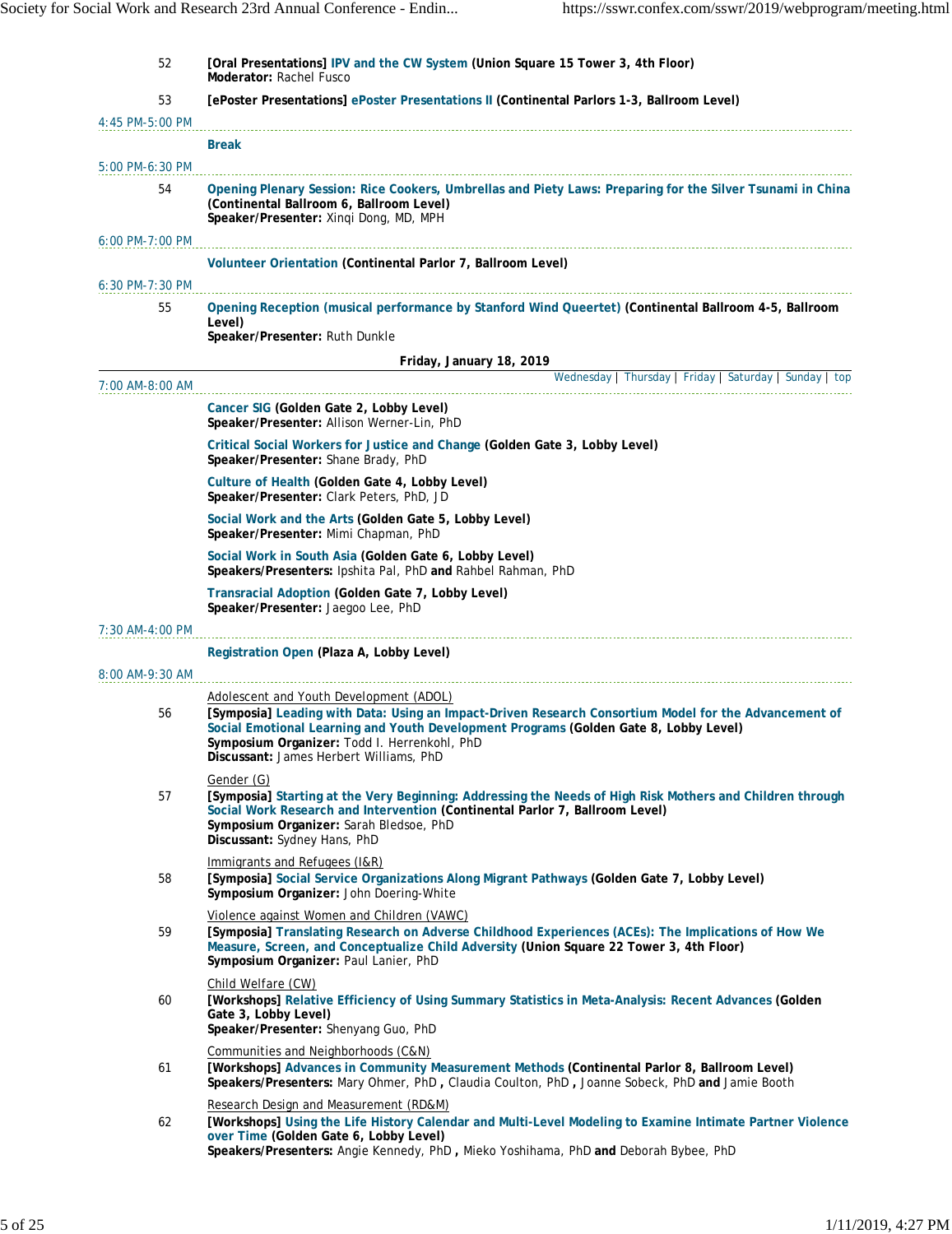| 52                | [Oral Presentations] IPV and the CW System (Union Square 15 Tower 3, 4th Floor)<br>Moderator: Rachel Fusco                                                                                                                                                                                                                           |
|-------------------|--------------------------------------------------------------------------------------------------------------------------------------------------------------------------------------------------------------------------------------------------------------------------------------------------------------------------------------|
| 53                | [ePoster Presentations] ePoster Presentations II (Continental Parlors 1-3, Ballroom Level)                                                                                                                                                                                                                                           |
| 4:45 PM-5:00 PM   |                                                                                                                                                                                                                                                                                                                                      |
|                   | Break                                                                                                                                                                                                                                                                                                                                |
| 5:00 PM-6:30 PM   |                                                                                                                                                                                                                                                                                                                                      |
| 54                | Opening Plenary Session: Rice Cookers, Umbrellas and Piety Laws: Preparing for the Silver Tsunami in China<br>(Continental Ballroom 6, Ballroom Level)<br>Speaker/Presenter: Xinqi Dong, MD, MPH                                                                                                                                     |
| $6:00$ PM-7:00 PM | Volunteer Orientation (Continental Parlor 7, Ballroom Level)                                                                                                                                                                                                                                                                         |
| 6:30 PM-7:30 PM   |                                                                                                                                                                                                                                                                                                                                      |
| 55                | Opening Reception (musical performance by Stanford Wind Queertet) (Continental Ballroom 4-5, Ballroom<br>Level)<br>Speaker/Presenter: Ruth Dunkle                                                                                                                                                                                    |
|                   | Friday, January 18, 2019                                                                                                                                                                                                                                                                                                             |
| 7:00 AM-8:00 AM   | Wednesday   Thursday   Friday   Saturday   Sunday   top                                                                                                                                                                                                                                                                              |
|                   | Cancer SIG (Golden Gate 2, Lobby Level)<br>Speaker/Presenter: Allison Werner-Lin, PhD                                                                                                                                                                                                                                                |
|                   | Critical Social Workers for Justice and Change (Golden Gate 3, Lobby Level)<br>Speaker/Presenter: Shane Brady, PhD                                                                                                                                                                                                                   |
|                   | Culture of Health (Golden Gate 4, Lobby Level)<br>Speaker/Presenter: Clark Peters, PhD, JD                                                                                                                                                                                                                                           |
|                   | Social Work and the Arts (Golden Gate 5, Lobby Level)<br>Speaker/Presenter: Mimi Chapman, PhD                                                                                                                                                                                                                                        |
|                   | Social Work in South Asia (Golden Gate 6, Lobby Level)<br>Speakers/Presenters: Ipshita Pal, PhD and Rahbel Rahman, PhD                                                                                                                                                                                                               |
|                   | Transracial Adoption (Golden Gate 7, Lobby Level)<br>Speaker/Presenter: Jaegoo Lee, PhD                                                                                                                                                                                                                                              |
| 7:30 AM-4:00 PM   |                                                                                                                                                                                                                                                                                                                                      |
|                   | Registration Open (Plaza A, Lobby Level)                                                                                                                                                                                                                                                                                             |
| 8:00 AM-9:30 AM   |                                                                                                                                                                                                                                                                                                                                      |
| 56                | Adolescent and Youth Development (ADOL)<br>[Symposia] Leading with Data: Using an Impact-Driven Research Consortium Model for the Advancement of<br>Social Emotional Learning and Youth Development Programs (Golden Gate 8, Lobby Level)<br>Symposium Organizer: Todd I. Herrenkohl, PhD<br>Discussant: James Herbert Williams, PhD |
| 57                | Gender (G)<br>[Symposia] Starting at the Very Beginning: Addressing the Needs of High Risk Mothers and Children through<br>Social Work Research and Intervention (Continental Parlor 7, Ballroom Level)<br>Symposium Organizer: Sarah Bledsoe, PhD<br>Discussant: Sydney Hans, PhD                                                   |
| 58                | Immigrants and Refugees (I&R)<br>[Symposia] Social Service Organizations Along Migrant Pathways (Golden Gate 7, Lobby Level)<br>Symposium Organizer: John Doering-White                                                                                                                                                              |
| 59                | Violence against Women and Children (VAWC)<br>[Symposia] Translating Research on Adverse Childhood Experiences (ACEs): The Implications of How We<br>Measure, Screen, and Conceptualize Child Adversity (Union Square 22 Tower 3, 4th Floor)<br>Symposium Organizer: Paul Lanier, PhD                                                |
| 60                | Child Welfare (CW)<br>[Workshops] Relative Efficiency of Using Summary Statistics in Meta-Analysis: Recent Advances (Golden<br>Gate 3, Lobby Level)<br>Speaker/Presenter: Shenyang Guo, PhD                                                                                                                                          |
| 61                | Communities and Neighborhoods (C&N)<br>[Workshops] Advances in Community Measurement Methods (Continental Parlor 8, Ballroom Level)<br>Speakers/Presenters: Mary Ohmer, PhD, Claudia Coulton, PhD, Joanne Sobeck, PhD and Jamie Booth                                                                                                |
| 62                | Research Design and Measurement (RD&M)<br>[Workshops] Using the Life History Calendar and Multi-Level Modeling to Examine Intimate Partner Violence<br>over Time (Golden Gate 6, Lobby Level)<br>Speakers/Presenters: Angie Kennedy, PhD, Mieko Yoshihama, PhD and Deborah Bybee, PhD                                                |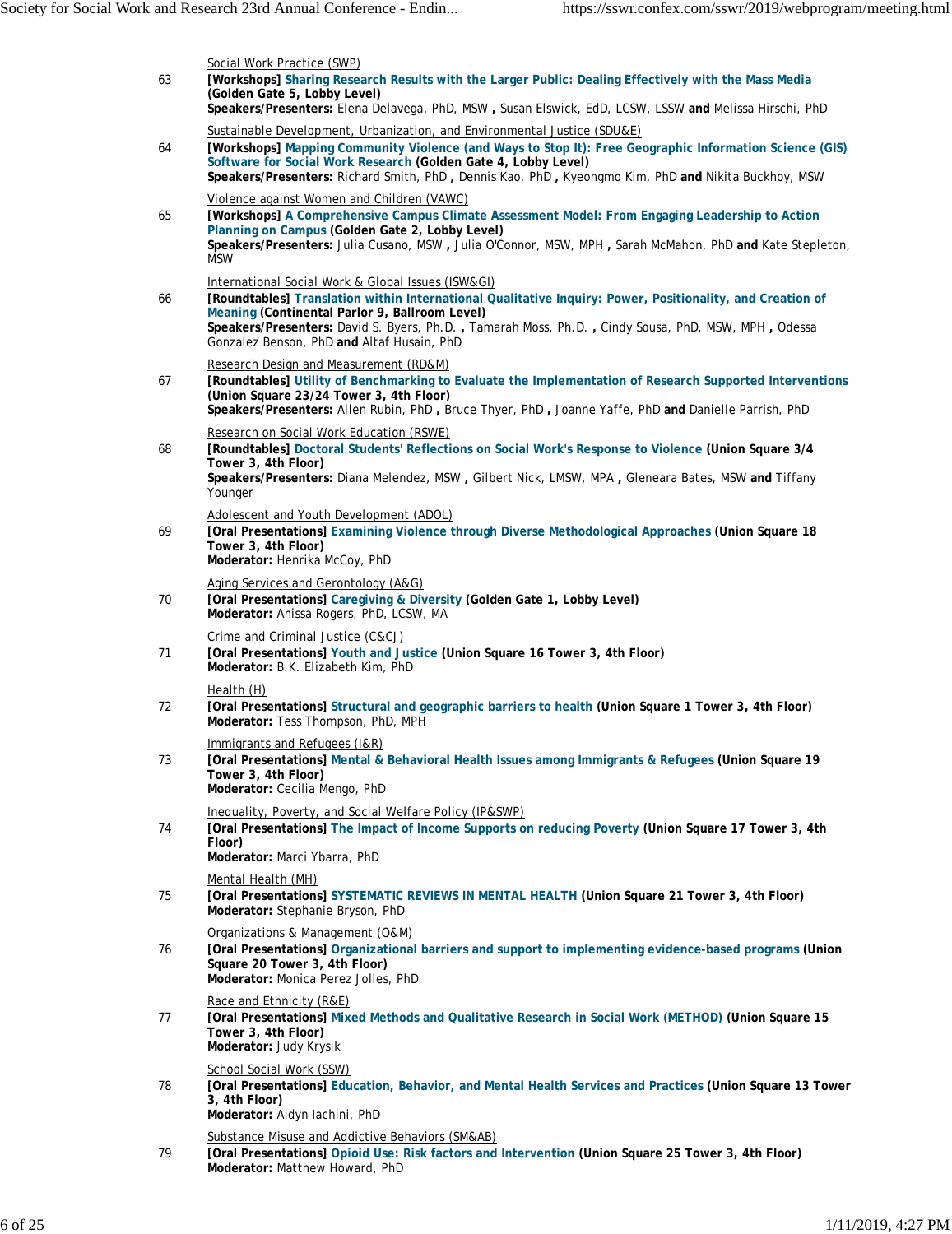| 63 | Social Work Practice (SWP)<br>[Workshops] Sharing Research Results with the Larger Public: Dealing Effectively with the Mass Media<br>(Golden Gate 5, Lobby Level)<br>Speakers/Presenters: Elena Delavega, PhD, MSW, Susan Elswick, EdD, LCSW, LSSW and Melissa Hirschi, PhD                                                                                           |
|----|------------------------------------------------------------------------------------------------------------------------------------------------------------------------------------------------------------------------------------------------------------------------------------------------------------------------------------------------------------------------|
| 64 | Sustainable Development, Urbanization, and Environmental Justice (SDU&E)<br>[Workshops] Mapping Community Violence (and Ways to Stop It): Free Geographic Information Science (GIS)<br>Software for Social Work Research (Golden Gate 4, Lobby Level)<br>Speakers/Presenters: Richard Smith, PhD, Dennis Kao, PhD, Kyeongmo Kim, PhD and Nikita Buckhoy, MSW           |
| 65 | Violence against Women and Children (VAWC)<br>[Workshops] A Comprehensive Campus Climate Assessment Model: From Engaging Leadership to Action<br>Planning on Campus (Golden Gate 2, Lobby Level)<br>Speakers/Presenters: Julia Cusano, MSW, Julia O'Connor, MSW, MPH, Sarah McMahon, PhD and Kate Stepleton,<br><b>MSW</b>                                             |
| 66 | International Social Work & Global Issues (ISW&GI)<br>[Roundtables] Translation within International Qualitative Inquiry: Power, Positionality, and Creation of<br>Meaning (Continental Parlor 9, Ballroom Level)<br>Speakers/Presenters: David S. Byers, Ph.D., Tamarah Moss, Ph.D., Cindy Sousa, PhD, MSW, MPH, Odessa<br>Gonzalez Benson, PhD and Altaf Husain, PhD |
| 67 | Research Design and Measurement (RD&M)<br>[Roundtables] Utility of Benchmarking to Evaluate the Implementation of Research Supported Interventions<br>(Union Square 23/24 Tower 3, 4th Floor)<br>Speakers/Presenters: Allen Rubin, PhD, Bruce Thyer, PhD, Joanne Yaffe, PhD and Danielle Parrish, PhD                                                                  |
| 68 | Research on Social Work Education (RSWE)<br>[Roundtables] Doctoral Students' Reflections on Social Work's Response to Violence (Union Square 3/4<br>Tower 3, 4th Floor)<br>Speakers/Presenters: Diana Melendez, MSW, Gilbert Nick, LMSW, MPA, Gleneara Bates, MSW and Tiffany<br>Younger                                                                               |
| 69 | Adolescent and Youth Development (ADOL)<br>[Oral Presentations] Examining Violence through Diverse Methodological Approaches (Union Square 18<br>Tower 3, 4th Floor)<br>Moderator: Henrika McCoy, PhD                                                                                                                                                                  |
| 70 | Aging Services and Gerontology (A&G)<br>[Oral Presentations] Caregiving & Diversity (Golden Gate 1, Lobby Level)<br>Moderator: Anissa Rogers, PhD, LCSW, MA                                                                                                                                                                                                            |
| 71 | Crime and Criminal Justice (C&CJ)<br>[Oral Presentations] Youth and Justice (Union Square 16 Tower 3, 4th Floor)<br>Moderator: B.K. Elizabeth Kim, PhD                                                                                                                                                                                                                 |
| 72 | Health (H)<br>[Oral Presentations] Structural and geographic barriers to health (Union Square 1 Tower 3, 4th Floor)<br>Moderator: Tess Thompson, PhD, MPH                                                                                                                                                                                                              |
| 73 | Immigrants and Refugees (I&R)<br>[Oral Presentations] Mental & Behavioral Health Issues among Immigrants & Refugees (Union Square 19<br>Tower 3, 4th Floor)<br>Moderator: Cecilia Mengo, PhD                                                                                                                                                                           |
| 74 | Inequality, Poverty, and Social Welfare Policy (IP&SWP)<br>[Oral Presentations] The Impact of Income Supports on reducing Poverty (Union Square 17 Tower 3, 4th<br>Floor)<br>Moderator: Marci Ybarra, PhD                                                                                                                                                              |
| 75 | Mental Health (MH)<br>[Oral Presentations] SYSTEMATIC REVIEWS IN MENTAL HEALTH (Union Square 21 Tower 3, 4th Floor)<br>Moderator: Stephanie Bryson, PhD                                                                                                                                                                                                                |
| 76 | Organizations & Management (O&M)<br>[Oral Presentations] Organizational barriers and support to implementing evidence-based programs (Union<br>Square 20 Tower 3, 4th Floor)<br>Moderator: Monica Perez Jolles, PhD                                                                                                                                                    |
| 77 | Race and Ethnicity (R&E)<br>[Oral Presentations] Mixed Methods and Qualitative Research in Social Work (METHOD) (Union Square 15<br>Tower 3, 4th Floor)<br>Moderator: Judy Krysik                                                                                                                                                                                      |
| 78 | School Social Work (SSW)<br>[Oral Presentations] Education, Behavior, and Mental Health Services and Practices (Union Square 13 Tower<br>3, 4th Floor)<br>Moderator: Aidyn Iachini, PhD                                                                                                                                                                                |
| 79 | Substance Misuse and Addictive Behaviors (SM&AB)<br>[Oral Presentations] Opioid Use: Risk factors and Intervention (Union Square 25 Tower 3, 4th Floor)<br>Moderator: Matthew Howard, PhD                                                                                                                                                                              |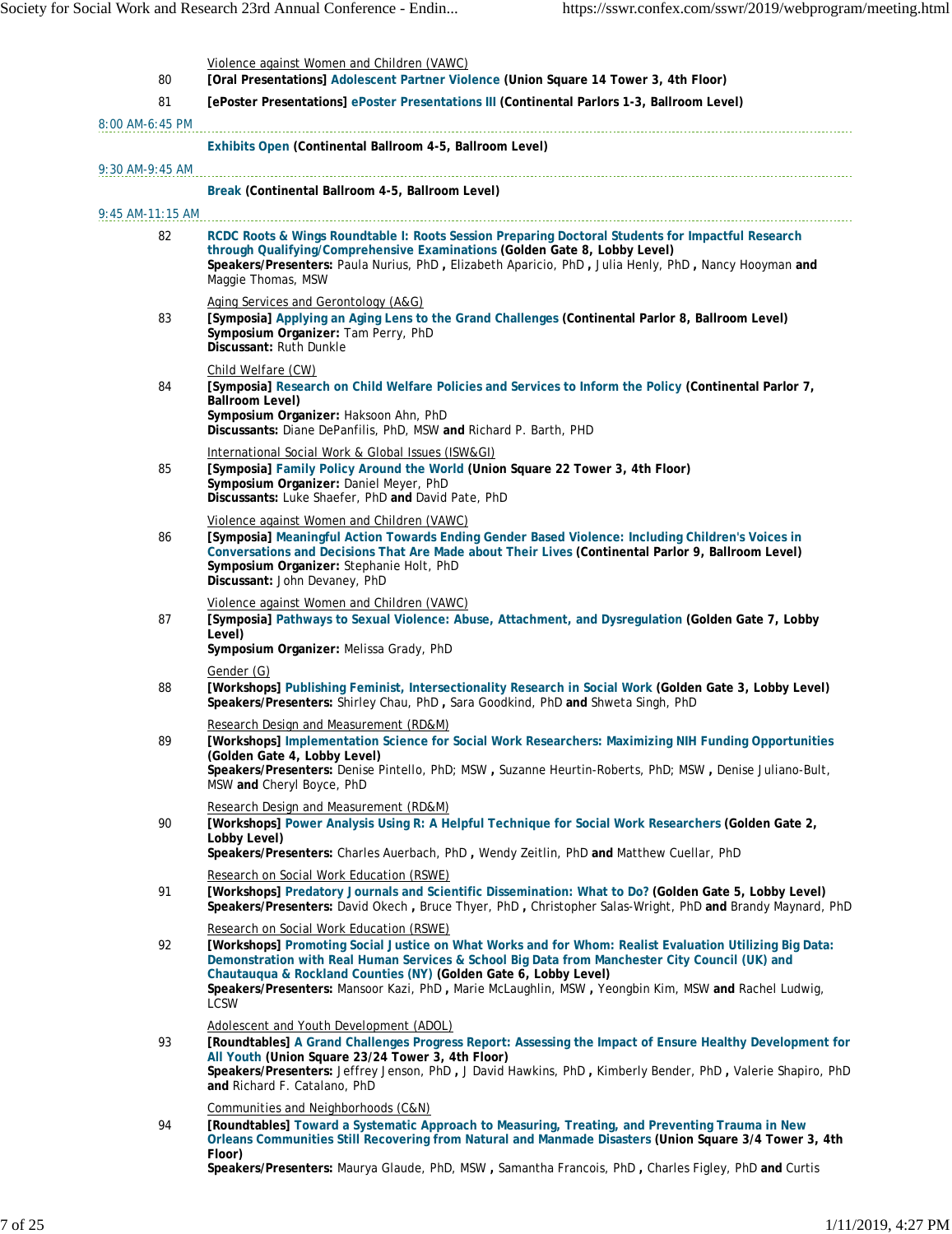| 80               | Violence against Women and Children (VAWC)<br>[Oral Presentations] Adolescent Partner Violence (Union Square 14 Tower 3, 4th Floor)                                                                                                                                                                                                                                                                                                             |
|------------------|-------------------------------------------------------------------------------------------------------------------------------------------------------------------------------------------------------------------------------------------------------------------------------------------------------------------------------------------------------------------------------------------------------------------------------------------------|
| 81               | [ePoster Presentations] ePoster Presentations III (Continental Parlors 1-3, Ballroom Level)                                                                                                                                                                                                                                                                                                                                                     |
| 8:00 AM-6:45 PM  |                                                                                                                                                                                                                                                                                                                                                                                                                                                 |
|                  | Exhibits Open (Continental Ballroom 4-5, Ballroom Level)                                                                                                                                                                                                                                                                                                                                                                                        |
| 9:30 AM-9:45 AM  |                                                                                                                                                                                                                                                                                                                                                                                                                                                 |
|                  | Break (Continental Ballroom 4-5, Ballroom Level)                                                                                                                                                                                                                                                                                                                                                                                                |
| 9:45 AM-11:15 AM |                                                                                                                                                                                                                                                                                                                                                                                                                                                 |
| 82               | RCDC Roots & Wings Roundtable I: Roots Session Preparing Doctoral Students for Impactful Research<br>through Qualifying/Comprehensive Examinations (Golden Gate 8, Lobby Level)<br>Speakers/Presenters: Paula Nurius, PhD, Elizabeth Aparicio, PhD, Julia Henly, PhD, Nancy Hooyman and<br>Maggie Thomas, MSW                                                                                                                                   |
| 83               | Aging Services and Gerontology (A&G)<br>[Symposia] Applying an Aging Lens to the Grand Challenges (Continental Parlor 8, Ballroom Level)<br>Symposium Organizer: Tam Perry, PhD<br>Discussant: Ruth Dunkle                                                                                                                                                                                                                                      |
| 84               | Child Welfare (CW)<br>[Symposia] Research on Child Welfare Policies and Services to Inform the Policy (Continental Parlor 7,<br>Ballroom Level)<br>Symposium Organizer: Haksoon Ahn, PhD<br>Discussants: Diane DePanfilis, PhD, MSW and Richard P. Barth, PHD                                                                                                                                                                                   |
| 85               | International Social Work & Global Issues (ISW&GI)<br>[Symposia] Family Policy Around the World (Union Square 22 Tower 3, 4th Floor)<br>Symposium Organizer: Daniel Meyer, PhD<br>Discussants: Luke Shaefer, PhD and David Pate, PhD                                                                                                                                                                                                            |
| 86               | Violence against Women and Children (VAWC)<br>[Symposia] Meaningful Action Towards Ending Gender Based Violence: Including Children's Voices in<br>Conversations and Decisions That Are Made about Their Lives (Continental Parlor 9, Ballroom Level)<br>Symposium Organizer: Stephanie Holt, PhD<br>Discussant: John Devaney, PhD                                                                                                              |
| 87               | Violence against Women and Children (VAWC)<br>[Symposia] Pathways to Sexual Violence: Abuse, Attachment, and Dysregulation (Golden Gate 7, Lobby<br>Level)<br>Symposium Organizer: Melissa Grady, PhD                                                                                                                                                                                                                                           |
| 88               | Gender (G)<br>[Workshops] Publishing Feminist, Intersectionality Research in Social Work (Golden Gate 3, Lobby Level)<br>Speakers/Presenters: Shirley Chau, PhD, Sara Goodkind, PhD and Shweta Singh, PhD                                                                                                                                                                                                                                       |
| 89               | Research Design and Measurement (RD&M)<br>[Workshops] Implementation Science for Social Work Researchers: Maximizing NIH Funding Opportunities<br>(Golden Gate 4, Lobby Level)<br>Speakers/Presenters: Denise Pintello, PhD; MSW, Suzanne Heurtin-Roberts, PhD; MSW, Denise Juliano-Bult,<br>MSW and Cheryl Boyce, PhD                                                                                                                          |
| 90               | Research Design and Measurement (RD&M)<br>[Workshops] Power Analysis Using R: A Helpful Technique for Social Work Researchers (Golden Gate 2,<br>Lobby Level)<br>Speakers/Presenters: Charles Auerbach, PhD, Wendy Zeitlin, PhD and Matthew Cuellar, PhD                                                                                                                                                                                        |
| 91               | Research on Social Work Education (RSWE)<br>[Workshops] Predatory Journals and Scientific Dissemination: What to Do? (Golden Gate 5, Lobby Level)<br>Speakers/Presenters: David Okech, Bruce Thyer, PhD, Christopher Salas-Wright, PhD and Brandy Maynard, PhD                                                                                                                                                                                  |
| 92               | Research on Social Work Education (RSWE)<br>[Workshops] Promoting Social Justice on What Works and for Whom: Realist Evaluation Utilizing Big Data:<br>Demonstration with Real Human Services & School Big Data from Manchester City Council (UK) and<br>Chautauqua & Rockland Counties (NY) (Golden Gate 6, Lobby Level)<br>Speakers/Presenters: Mansoor Kazi, PhD, Marie McLaughlin, MSW, Yeongbin Kim, MSW and Rachel Ludwig,<br><b>LCSW</b> |
| 93               | Adolescent and Youth Development (ADOL)<br>[Roundtables] A Grand Challenges Progress Report: Assessing the Impact of Ensure Healthy Development for<br>All Youth (Union Square 23/24 Tower 3, 4th Floor)<br>Speakers/Presenters: Jeffrey Jenson, PhD, J David Hawkins, PhD, Kimberly Bender, PhD, Valerie Shapiro, PhD<br>and Richard F. Catalano, PhD                                                                                          |
| 94               | Communities and Neighborhoods (C&N)<br>[Roundtables] Toward a Systematic Approach to Measuring, Treating, and Preventing Trauma in New<br>Orleans Communities Still Recovering from Natural and Manmade Disasters (Union Square 3/4 Tower 3, 4th<br>Floor)<br>Speakers/Presenters: Maurya Glaude, PhD, MSW, Samantha Francois, PhD, Charles Figley, PhD and Curtis                                                                              |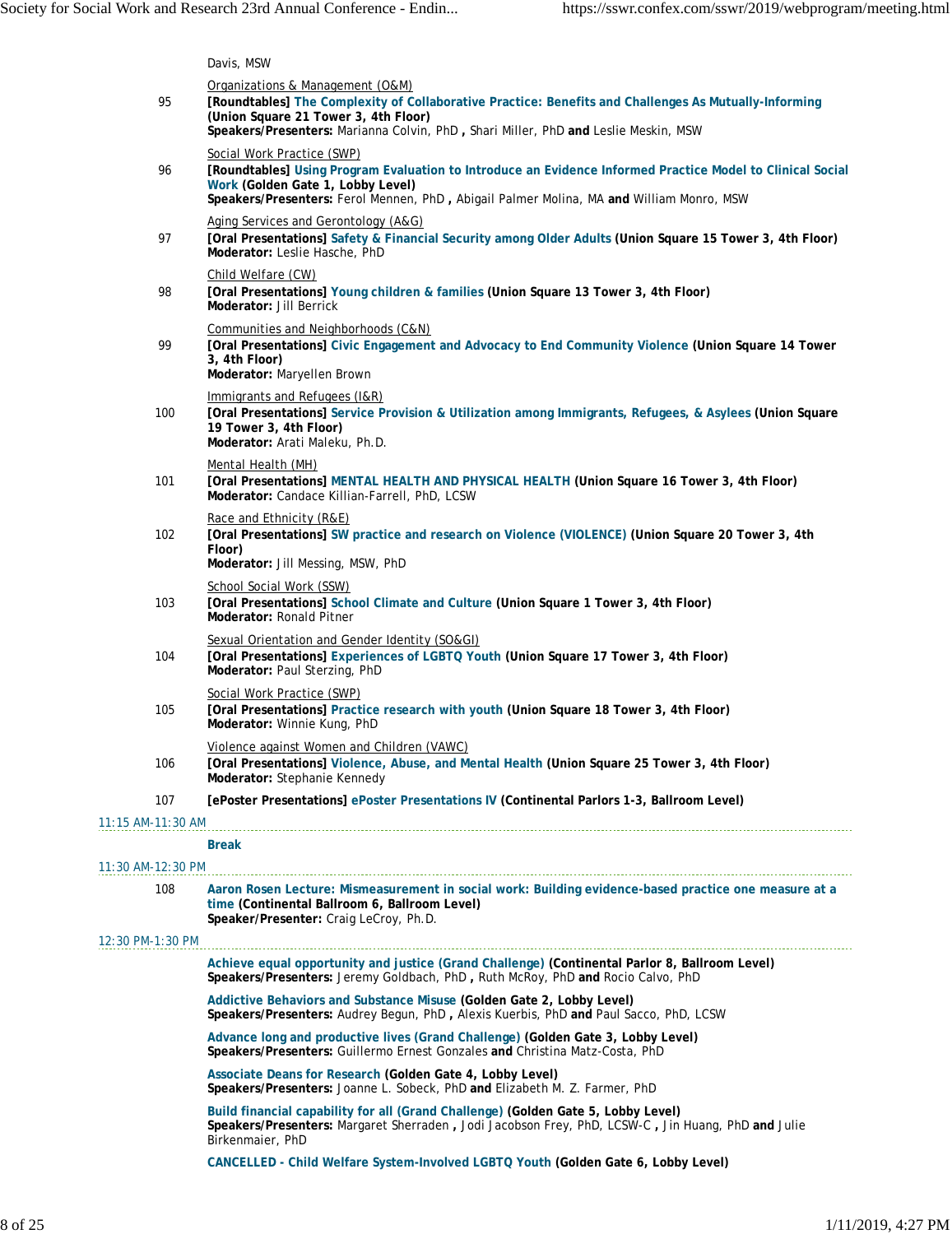|                     | Davis, MSW                                                                                                                                                                                                                                                                |
|---------------------|---------------------------------------------------------------------------------------------------------------------------------------------------------------------------------------------------------------------------------------------------------------------------|
| 95                  | Organizations & Management (O&M)<br>[Roundtables] The Complexity of Collaborative Practice: Benefits and Challenges As Mutually-Informing<br>(Union Square 21 Tower 3, 4th Floor)<br>Speakers/Presenters: Marianna Colvin, PhD, Shari Miller, PhD and Leslie Meskin, MSW  |
| 96                  | Social Work Practice (SWP)<br>[Roundtables] Using Program Evaluation to Introduce an Evidence Informed Practice Model to Clinical Social<br>Work (Golden Gate 1, Lobby Level)<br>Speakers/Presenters: Ferol Mennen, PhD, Abigail Palmer Molina, MA and William Monro, MSW |
| 97                  | Aging Services and Gerontology (A&G)<br>[Oral Presentations] Safety & Financial Security among Older Adults (Union Square 15 Tower 3, 4th Floor)<br>Moderator: Leslie Hasche, PhD                                                                                         |
| 98                  | Child Welfare (CW)<br>[Oral Presentations] Young children & families (Union Square 13 Tower 3, 4th Floor)<br>Moderator: Jill Berrick                                                                                                                                      |
| 99                  | Communities and Neighborhoods (C&N)<br>[Oral Presentations] Civic Engagement and Advocacy to End Community Violence (Union Square 14 Tower<br>3, 4th Floor)<br>Moderator: Maryellen Brown                                                                                 |
| 100                 | Immigrants and Refugees (I&R)<br>[Oral Presentations] Service Provision & Utilization among Immigrants, Refugees, & Asylees (Union Square<br>19 Tower 3, 4th Floor)<br>Moderator: Arati Maleku, Ph.D.                                                                     |
| 101                 | Mental Health (MH)<br>[Oral Presentations] MENTAL HEALTH AND PHYSICAL HEALTH (Union Square 16 Tower 3, 4th Floor)<br>Moderator: Candace Killian-Farrell, PhD, LCSW                                                                                                        |
| 102                 | Race and Ethnicity (R&E)<br>[Oral Presentations] SW practice and research on Violence (VIOLENCE) (Union Square 20 Tower 3, 4th<br>Floor)<br>Moderator: Jill Messing, MSW, PhD                                                                                             |
| 103                 | School Social Work (SSW)<br>[Oral Presentations] School Climate and Culture (Union Square 1 Tower 3, 4th Floor)<br>Moderator: Ronald Pitner                                                                                                                               |
| 104                 | Sexual Orientation and Gender Identity (SO&GI)<br>[Oral Presentations] Experiences of LGBTQ Youth (Union Square 17 Tower 3, 4th Floor)<br>Moderator: Paul Sterzing, PhD                                                                                                   |
| 105                 | Social Work Practice (SWP)<br>[Oral Presentations] Practice research with youth (Union Square 18 Tower 3, 4th Floor)<br>Moderator: Winnie Kung, PhD                                                                                                                       |
| 106                 | Violence against Women and Children (VAWC)<br>[Oral Presentations] Violence, Abuse, and Mental Health (Union Square 25 Tower 3, 4th Floor)<br>Moderator: Stephanie Kennedy                                                                                                |
| 107                 | [ePoster Presentations] ePoster Presentations IV (Continental Parlors 1-3, Ballroom Level)                                                                                                                                                                                |
| $11:15$ AM-11:30 AM |                                                                                                                                                                                                                                                                           |
| 11:30 AM-12:30 PM   | <b>Break</b>                                                                                                                                                                                                                                                              |
| 108                 | Aaron Rosen Lecture: Mismeasurement in social work: Building evidence-based practice one measure at a<br>time (Continental Ballroom 6, Ballroom Level)<br>Speaker/Presenter: Craig LeCroy, Ph.D.                                                                          |
| 12:30 PM-1:30 PM    |                                                                                                                                                                                                                                                                           |
|                     | Achieve equal opportunity and justice (Grand Challenge) (Continental Parlor 8, Ballroom Level)<br>Speakers/Presenters: Jeremy Goldbach, PhD, Ruth McRoy, PhD and Rocio Calvo, PhD                                                                                         |
|                     | Addictive Behaviors and Substance Misuse (Golden Gate 2, Lobby Level)<br>Speakers/Presenters: Audrey Begun, PhD, Alexis Kuerbis, PhD and Paul Sacco, PhD, LCSW                                                                                                            |
|                     | Advance long and productive lives (Grand Challenge) (Golden Gate 3, Lobby Level)<br>Speakers/Presenters: Guillermo Ernest Gonzales and Christina Matz-Costa, PhD                                                                                                          |
|                     | Associate Deans for Research (Golden Gate 4, Lobby Level)<br>Speakers/Presenters: Joanne L. Sobeck, PhD and Elizabeth M. Z. Farmer, PhD                                                                                                                                   |
|                     | Build financial capability for all (Grand Challenge) (Golden Gate 5, Lobby Level)<br>Speakers/Presenters: Margaret Sherraden, Jodi Jacobson Frey, PhD, LCSW-C, Jin Huang, PhD and Julie<br>Birkenmaier, PhD                                                               |
|                     | CANCELLED - Child Welfare System-Involved LGBTQ Youth (Golden Gate 6, Lobby Level)                                                                                                                                                                                        |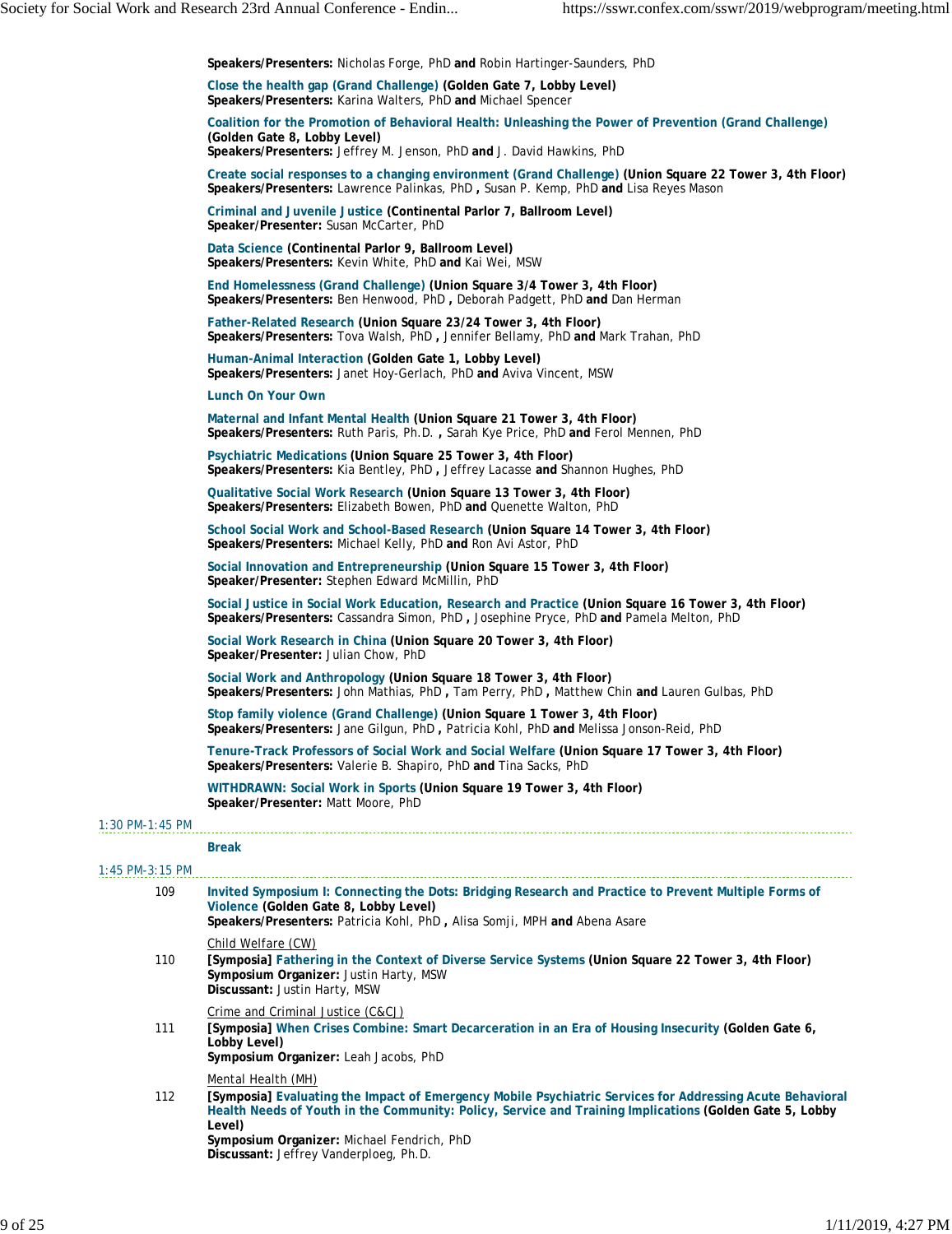|                   | Speakers/Presenters: Nicholas Forge, PhD and Robin Hartinger-Saunders, PhD                                                                                                                                                                                                                         |
|-------------------|----------------------------------------------------------------------------------------------------------------------------------------------------------------------------------------------------------------------------------------------------------------------------------------------------|
|                   | Close the health gap (Grand Challenge) (Golden Gate 7, Lobby Level)<br>Speakers/Presenters: Karina Walters, PhD and Michael Spencer                                                                                                                                                                |
|                   | Coalition for the Promotion of Behavioral Health: Unleashing the Power of Prevention (Grand Challenge)<br>(Golden Gate 8, Lobby Level)<br>Speakers/Presenters: Jeffrey M. Jenson, PhD and J. David Hawkins, PhD                                                                                    |
|                   | Create social responses to a changing environment (Grand Challenge) (Union Square 22 Tower 3, 4th Floor)<br>Speakers/Presenters: Lawrence Palinkas, PhD, Susan P. Kemp, PhD and Lisa Reyes Mason                                                                                                   |
|                   | Criminal and Juvenile Justice (Continental Parlor 7, Ballroom Level)<br>Speaker/Presenter: Susan McCarter, PhD                                                                                                                                                                                     |
|                   | Data Science (Continental Parlor 9, Ballroom Level)<br>Speakers/Presenters: Kevin White, PhD and Kai Wei, MSW                                                                                                                                                                                      |
|                   | End Homelessness (Grand Challenge) (Union Square 3/4 Tower 3, 4th Floor)<br>Speakers/Presenters: Ben Henwood, PhD, Deborah Padgett, PhD and Dan Herman                                                                                                                                             |
|                   | Father-Related Research (Union Square 23/24 Tower 3, 4th Floor)<br>Speakers/Presenters: Tova Walsh, PhD, Jennifer Bellamy, PhD and Mark Trahan, PhD                                                                                                                                                |
|                   | Human-Animal Interaction (Golden Gate 1, Lobby Level)<br>Speakers/Presenters: Janet Hoy-Gerlach, PhD and Aviva Vincent, MSW                                                                                                                                                                        |
|                   | Lunch On Your Own                                                                                                                                                                                                                                                                                  |
|                   | Maternal and Infant Mental Health (Union Square 21 Tower 3, 4th Floor)<br>Speakers/Presenters: Ruth Paris, Ph.D., Sarah Kye Price, PhD and Ferol Mennen, PhD                                                                                                                                       |
|                   | Psychiatric Medications (Union Square 25 Tower 3, 4th Floor)<br>Speakers/Presenters: Kia Bentley, PhD, Jeffrey Lacasse and Shannon Hughes, PhD                                                                                                                                                     |
|                   | Qualitative Social Work Research (Union Square 13 Tower 3, 4th Floor)<br>Speakers/Presenters: Elizabeth Bowen, PhD and Quenette Walton, PhD                                                                                                                                                        |
|                   | School Social Work and School-Based Research (Union Square 14 Tower 3, 4th Floor)<br>Speakers/Presenters: Michael Kelly, PhD and Ron Avi Astor, PhD                                                                                                                                                |
|                   | Social Innovation and Entrepreneurship (Union Square 15 Tower 3, 4th Floor)<br>Speaker/Presenter: Stephen Edward McMillin, PhD                                                                                                                                                                     |
|                   | Social Justice in Social Work Education, Research and Practice (Union Square 16 Tower 3, 4th Floor)<br>Speakers/Presenters: Cassandra Simon, PhD, Josephine Pryce, PhD and Pamela Melton, PhD                                                                                                      |
|                   | Social Work Research in China (Union Square 20 Tower 3, 4th Floor)<br>Speaker/Presenter: Julian Chow, PhD                                                                                                                                                                                          |
|                   | Social Work and Anthropology (Union Square 18 Tower 3, 4th Floor)<br>Speakers/Presenters: John Mathias, PhD, Tam Perry, PhD, Matthew Chin and Lauren Gulbas, PhD                                                                                                                                   |
|                   | Stop family violence (Grand Challenge) (Union Square 1 Tower 3, 4th Floor)<br>Speakers/Presenters: Jane Gilgun, PhD, Patricia Kohl, PhD and Melissa Jonson-Reid, PhD                                                                                                                               |
|                   | Tenure-Track Professors of Social Work and Social Welfare (Union Square 17 Tower 3, 4th Floor)<br>Speakers/Presenters: Valerie B. Shapiro, PhD and Tina Sacks, PhD                                                                                                                                 |
|                   | WITHDRAWN: Social Work in Sports (Union Square 19 Tower 3, 4th Floor)<br>Speaker/Presenter: Matt Moore, PhD                                                                                                                                                                                        |
| $1:30$ PM-1:45 PM | <b>Break</b>                                                                                                                                                                                                                                                                                       |
| $1:45$ PM-3:15 PM |                                                                                                                                                                                                                                                                                                    |
| 109               | Invited Symposium I: Connecting the Dots: Bridging Research and Practice to Prevent Multiple Forms of<br>Violence (Golden Gate 8, Lobby Level)<br>Speakers/Presenters: Patricia Kohl, PhD, Alisa Somji, MPH and Abena Asare                                                                        |
| 110               | Child Welfare (CW)<br>[Symposia] Fathering in the Context of Diverse Service Systems (Union Square 22 Tower 3, 4th Floor)<br>Symposium Organizer: Justin Harty, MSW<br>Discussant: Justin Harty, MSW                                                                                               |
| 111               | Crime and Criminal Justice (C&CJ)<br>[Symposia] When Crises Combine: Smart Decarceration in an Era of Housing Insecurity (Golden Gate 6,<br>Lobby Level)<br>Symposium Organizer: Leah Jacobs, PhD                                                                                                  |
| 112               | Mental Health (MH)<br>[Symposia] Evaluating the Impact of Emergency Mobile Psychiatric Services for Addressing Acute Behavioral<br>Health Needs of Youth in the Community: Policy, Service and Training Implications (Golden Gate 5, Lobby<br>Level)<br>Symposium Organizer: Michael Fendrich, PhD |
|                   | Discussant: Jeffrey Vanderploeg, Ph.D.                                                                                                                                                                                                                                                             |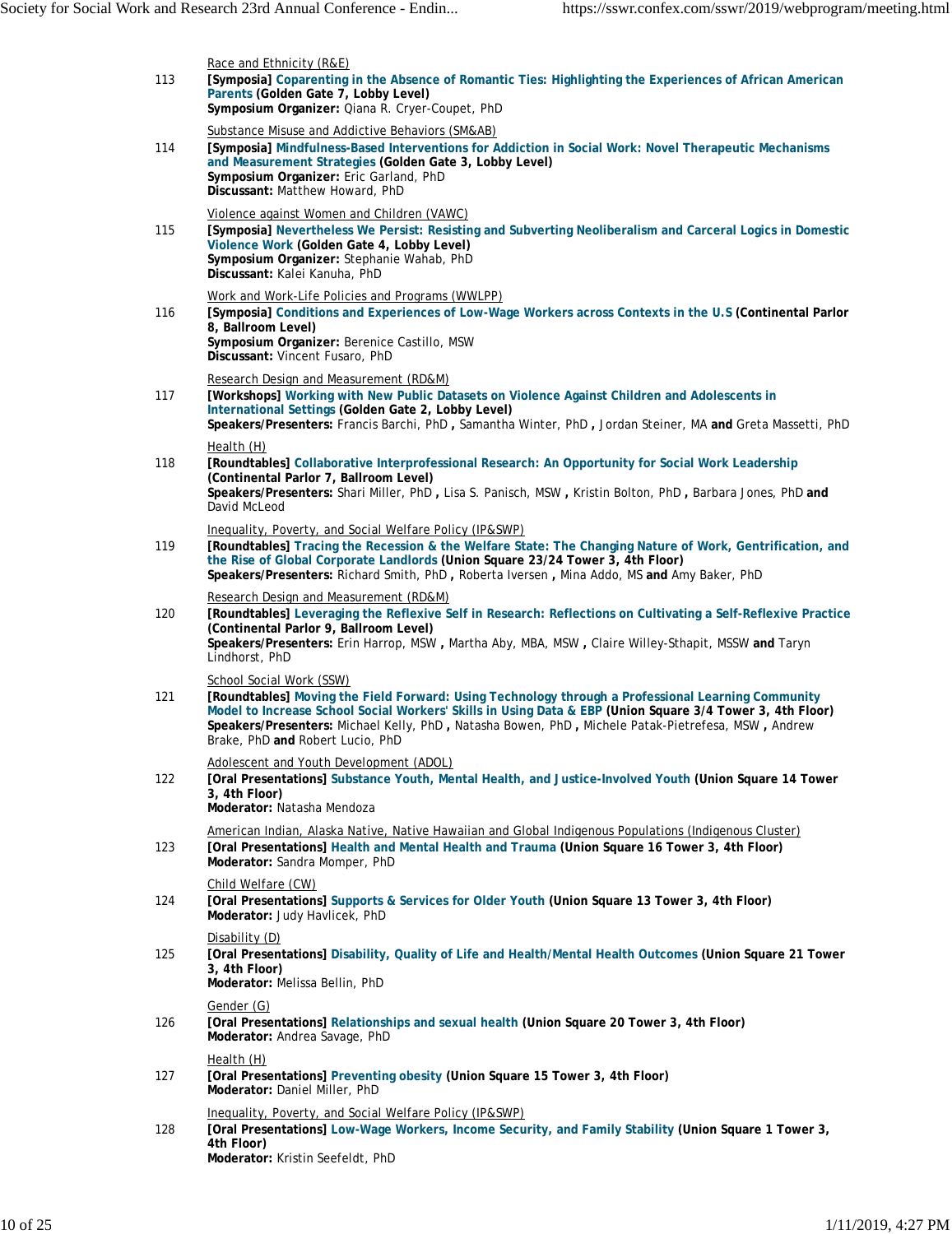|     | Race and Ethnicity (R&E)                                                                                                                                                                                                                                                                                                                                                              |
|-----|---------------------------------------------------------------------------------------------------------------------------------------------------------------------------------------------------------------------------------------------------------------------------------------------------------------------------------------------------------------------------------------|
| 113 | [Symposia] Coparenting in the Absence of Romantic Ties: Highlighting the Experiences of African American<br>Parents (Golden Gate 7, Lobby Level)<br>Symposium Organizer: Qiana R. Cryer-Coupet, PhD                                                                                                                                                                                   |
| 114 | Substance Misuse and Addictive Behaviors (SM&AB)<br>[Symposia] Mindfulness-Based Interventions for Addiction in Social Work: Novel Therapeutic Mechanisms<br>and Measurement Strategies (Golden Gate 3, Lobby Level)<br>Symposium Organizer: Eric Garland, PhD<br>Discussant: Matthew Howard, PhD                                                                                     |
| 115 | Violence against Women and Children (VAWC)<br>[Symposia] Nevertheless We Persist: Resisting and Subverting Neoliberalism and Carceral Logics in Domestic<br>Violence Work (Golden Gate 4, Lobby Level)<br>Symposium Organizer: Stephanie Wahab, PhD<br>Discussant: Kalei Kanuha, PhD                                                                                                  |
| 116 | Work and Work-Life Policies and Programs (WWLPP)<br>[Symposia] Conditions and Experiences of Low-Wage Workers across Contexts in the U.S (Continental Parlor<br>8, Ballroom Level)<br>Symposium Organizer: Berenice Castillo, MSW<br>Discussant: Vincent Fusaro, PhD                                                                                                                  |
| 117 | Research Design and Measurement (RD&M)<br>[Workshops] Working with New Public Datasets on Violence Against Children and Adolescents in<br>International Settings (Golden Gate 2, Lobby Level)<br>Speakers/Presenters: Francis Barchi, PhD, Samantha Winter, PhD, Jordan Steiner, MA and Greta Massetti, PhD                                                                           |
| 118 | Health (H)<br>[Roundtables] Collaborative Interprofessional Research: An Opportunity for Social Work Leadership<br>(Continental Parlor 7, Ballroom Level)<br>Speakers/Presenters: Shari Miller, PhD, Lisa S. Panisch, MSW, Kristin Bolton, PhD, Barbara Jones, PhD and<br>David McLeod                                                                                                |
| 119 | Inequality, Poverty, and Social Welfare Policy (IP&SWP)<br>[Roundtables] Tracing the Recession & the Welfare State: The Changing Nature of Work, Gentrification, and<br>the Rise of Global Corporate Landlords (Union Square 23/24 Tower 3, 4th Floor)<br>Speakers/Presenters: Richard Smith, PhD, Roberta Iversen, Mina Addo, MS and Amy Baker, PhD                                  |
| 120 | Research Design and Measurement (RD&M)<br>[Roundtables] Leveraging the Reflexive Self in Research: Reflections on Cultivating a Self-Reflexive Practice<br>(Continental Parlor 9, Ballroom Level)<br>Speakers/Presenters: Erin Harrop, MSW, Martha Aby, MBA, MSW, Claire Willey-Sthapit, MSSW and Taryn<br>Lindhorst, PhD                                                             |
| 121 | School Social Work (SSW)<br>[Roundtables] Moving the Field Forward: Using Technology through a Professional Learning Community<br>Model to Increase School Social Workers' Skills in Using Data & EBP (Union Square 3/4 Tower 3, 4th Floor)<br>Speakers/Presenters: Michael Kelly, PhD, Natasha Bowen, PhD, Michele Patak-Pietrefesa, MSW, Andrew<br>Brake, PhD and Robert Lucio, PhD |
| 122 | Adolescent and Youth Development (ADOL)<br>[Oral Presentations] Substance Youth, Mental Health, and Justice-Involved Youth (Union Square 14 Tower<br>3.4th Floor)<br>Moderator: Natasha Mendoza                                                                                                                                                                                       |
| 123 | American Indian, Alaska Native, Native Hawaiian and Global Indigenous Populations (Indigenous Cluster)<br>[Oral Presentations] Health and Mental Health and Trauma (Union Square 16 Tower 3, 4th Floor)<br>Moderator: Sandra Momper, PhD                                                                                                                                              |
| 124 | Child Welfare (CW)<br>[Oral Presentations] Supports & Services for Older Youth (Union Square 13 Tower 3, 4th Floor)<br>Moderator: Judy Havlicek, PhD                                                                                                                                                                                                                                  |
| 125 | Disability (D)<br>[Oral Presentations] Disability, Quality of Life and Health/Mental Health Outcomes (Union Square 21 Tower<br>3, 4th Floor)<br>Moderator: Melissa Bellin, PhD                                                                                                                                                                                                        |
| 126 | Gender (G)<br>[Oral Presentations] Relationships and sexual health (Union Square 20 Tower 3, 4th Floor)<br>Moderator: Andrea Savage, PhD                                                                                                                                                                                                                                              |
| 127 | Health (H)<br>[Oral Presentations] Preventing obesity (Union Square 15 Tower 3, 4th Floor)<br>Moderator: Daniel Miller, PhD                                                                                                                                                                                                                                                           |
| 128 | Inequality, Poverty, and Social Welfare Policy (IP&SWP)<br>[Oral Presentations] Low-Wage Workers, Income Security, and Family Stability (Union Square 1 Tower 3,<br>4th Floor)<br>Moderator: Kristin Seefeldt, PhD                                                                                                                                                                    |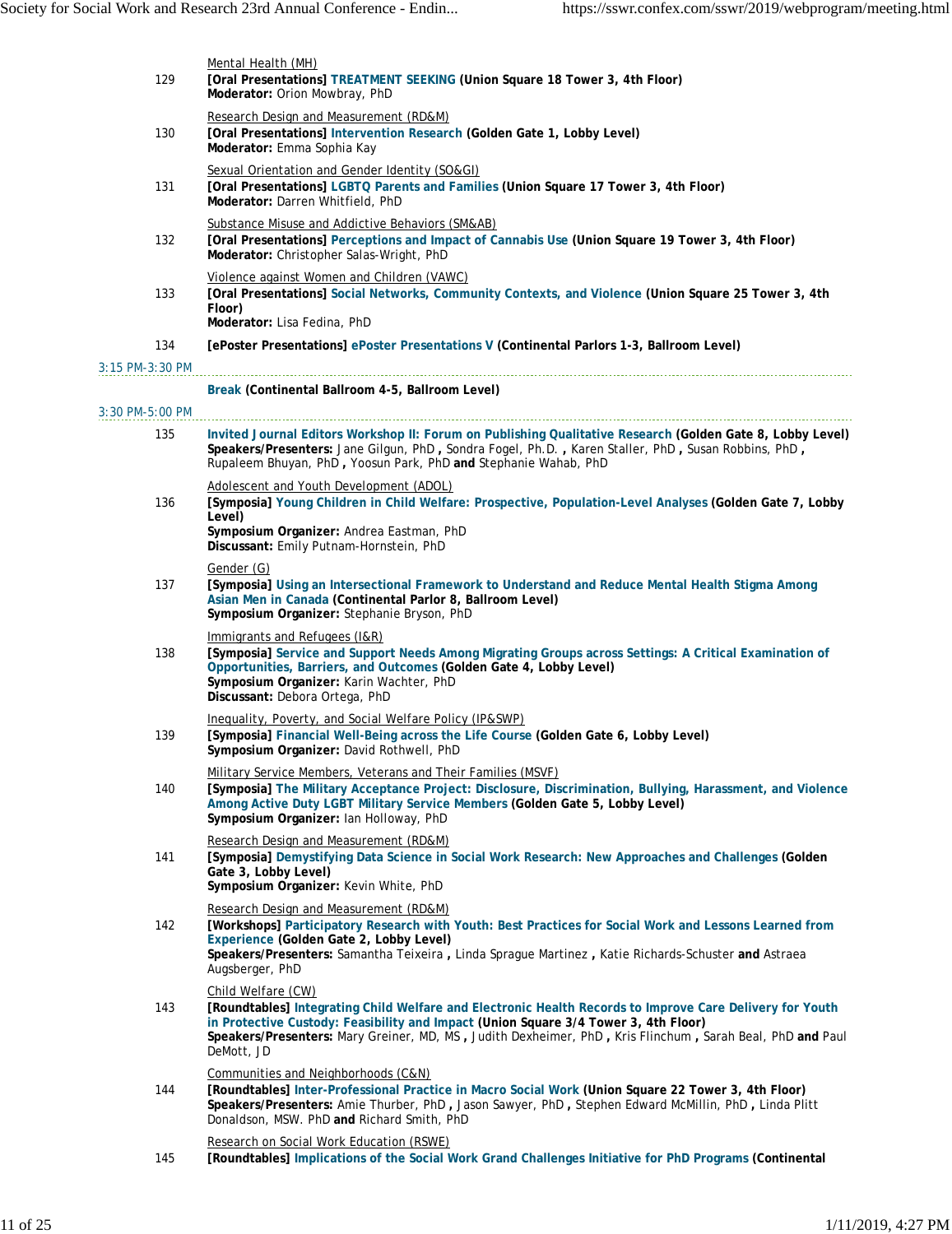| 129             | Mental Health (MH)<br>[Oral Presentations] TREATMENT SEEKING (Union Square 18 Tower 3, 4th Floor)<br>Moderator: Orion Mowbray, PhD                                                                                                                                                                                                               |
|-----------------|--------------------------------------------------------------------------------------------------------------------------------------------------------------------------------------------------------------------------------------------------------------------------------------------------------------------------------------------------|
| 130             | Research Design and Measurement (RD&M)<br>[Oral Presentations] Intervention Research (Golden Gate 1, Lobby Level)<br>Moderator: Emma Sophia Kay                                                                                                                                                                                                  |
| 131             | Sexual Orientation and Gender Identity (SO&GI)<br>[Oral Presentations] LGBTQ Parents and Families (Union Square 17 Tower 3, 4th Floor)<br>Moderator: Darren Whitfield, PhD                                                                                                                                                                       |
| 132             | Substance Misuse and Addictive Behaviors (SM&AB)<br>[Oral Presentations] Perceptions and Impact of Cannabis Use (Union Square 19 Tower 3, 4th Floor)<br>Moderator: Christopher Salas-Wright, PhD                                                                                                                                                 |
| 133             | Violence against Women and Children (VAWC)<br>[Oral Presentations] Social Networks, Community Contexts, and Violence (Union Square 25 Tower 3, 4th<br>Floor)<br>Moderator: Lisa Fedina, PhD                                                                                                                                                      |
| 134             | [ePoster Presentations] ePoster Presentations V (Continental Parlors 1-3, Ballroom Level)                                                                                                                                                                                                                                                        |
| 3:15 PM-3:30 PM |                                                                                                                                                                                                                                                                                                                                                  |
|                 | Break (Continental Ballroom 4-5, Ballroom Level)                                                                                                                                                                                                                                                                                                 |
| 3:30 PM-5:00 PM |                                                                                                                                                                                                                                                                                                                                                  |
| 135             | Invited Journal Editors Workshop II: Forum on Publishing Qualitative Research (Golden Gate 8, Lobby Level)<br>Speakers/Presenters: Jane Gilgun, PhD, Sondra Fogel, Ph.D., Karen Staller, PhD, Susan Robbins, PhD,<br>Rupaleem Bhuyan, PhD, Yoosun Park, PhD and Stephanie Wahab, PhD                                                             |
| 136             | Adolescent and Youth Development (ADOL)<br>[Symposia] Young Children in Child Welfare: Prospective, Population-Level Analyses (Golden Gate 7, Lobby<br>Level)                                                                                                                                                                                    |
|                 | Symposium Organizer: Andrea Eastman, PhD<br>Discussant: Emily Putnam-Hornstein, PhD                                                                                                                                                                                                                                                              |
| 137             | Gender (G)<br>[Symposia] Using an Intersectional Framework to Understand and Reduce Mental Health Stigma Among<br>Asian Men in Canada (Continental Parlor 8, Ballroom Level)<br>Symposium Organizer: Stephanie Bryson, PhD                                                                                                                       |
| 138             | Immigrants and Refugees (I&R)<br>[Symposia] Service and Support Needs Among Migrating Groups across Settings: A Critical Examination of<br>Opportunities, Barriers, and Outcomes (Golden Gate 4, Lobby Level)<br>Symposium Organizer: Karin Wachter, PhD<br>Discussant: Debora Ortega, PhD                                                       |
| 139             | Inequality, Poverty, and Social Welfare Policy (IP&SWP)<br>[Symposia] Financial Well-Being across the Life Course (Golden Gate 6, Lobby Level)<br>Symposium Organizer: David Rothwell, PhD                                                                                                                                                       |
| 140             | Military Service Members, Veterans and Their Families (MSVF)<br>[Symposia] The Military Acceptance Project: Disclosure, Discrimination, Bullying, Harassment, and Violence<br>Among Active Duty LGBT Military Service Members (Golden Gate 5, Lobby Level)<br>Symposium Organizer: Ian Holloway, PhD                                             |
| 141             | Research Design and Measurement (RD&M)<br>[Symposia] Demystifying Data Science in Social Work Research: New Approaches and Challenges (Golden<br>Gate 3, Lobby Level)<br>Symposium Organizer: Kevin White, PhD                                                                                                                                   |
| 142             | Research Design and Measurement (RD&M)<br>[Workshops] Participatory Research with Youth: Best Practices for Social Work and Lessons Learned from<br>Experience (Golden Gate 2, Lobby Level)<br>Speakers/Presenters: Samantha Teixeira, Linda Sprague Martinez, Katie Richards-Schuster and Astraea<br>Augsberger, PhD                            |
| 143             | Child Welfare (CW)<br>[Roundtables] Integrating Child Welfare and Electronic Health Records to Improve Care Delivery for Youth<br>in Protective Custody: Feasibility and Impact (Union Square 3/4 Tower 3, 4th Floor)<br>Speakers/Presenters: Mary Greiner, MD, MS, Judith Dexheimer, PhD, Kris Flinchum, Sarah Beal, PhD and Paul<br>DeMott, JD |
| 144             | Communities and Neighborhoods (C&N)<br>[Roundtables] Inter-Professional Practice in Macro Social Work (Union Square 22 Tower 3, 4th Floor)<br>Speakers/Presenters: Amie Thurber, PhD, Jason Sawyer, PhD, Stephen Edward McMillin, PhD, Linda Plitt<br>Donaldson, MSW. PhD and Richard Smith, PhD                                                 |
| 145             | Research on Social Work Education (RSWE)<br>[Roundtables] Implications of the Social Work Grand Challenges Initiative for PhD Programs (Continental                                                                                                                                                                                              |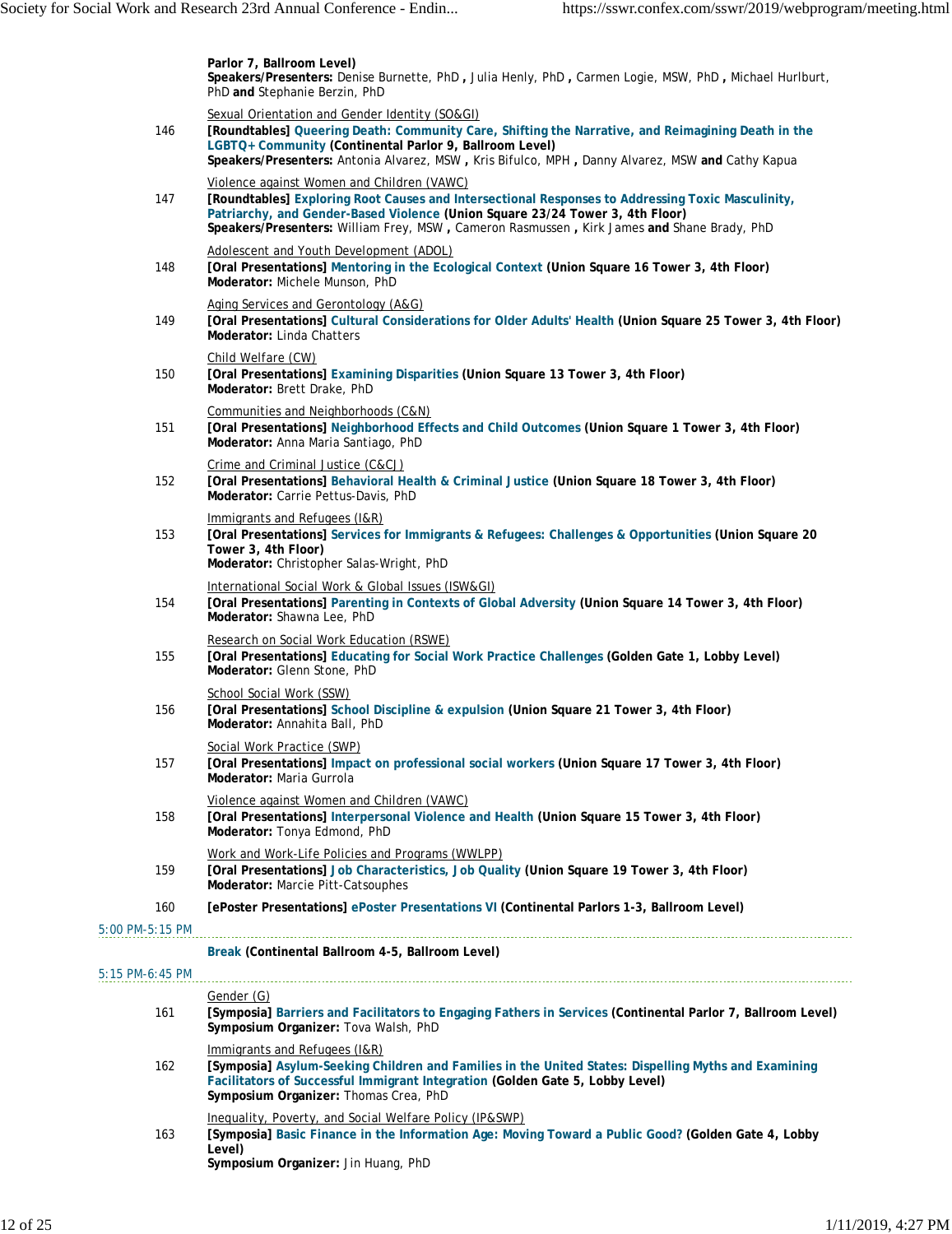|                   | Parlor 7, Ballroom Level)<br>Speakers/Presenters: Denise Burnette, PhD, Julia Henly, PhD, Carmen Logie, MSW, PhD, Michael Hurlburt,<br>PhD and Stephanie Berzin, PhD                                                                                                                                                           |
|-------------------|--------------------------------------------------------------------------------------------------------------------------------------------------------------------------------------------------------------------------------------------------------------------------------------------------------------------------------|
| 146               | Sexual Orientation and Gender Identity (SO&GI)<br>[Roundtables] Queering Death: Community Care, Shifting the Narrative, and Reimagining Death in the<br>LGBTQ+ Community (Continental Parlor 9, Ballroom Level)<br>Speakers/Presenters: Antonia Alvarez, MSW, Kris Bifulco, MPH, Danny Alvarez, MSW and Cathy Kapua            |
| 147               | Violence against Women and Children (VAWC)<br>[Roundtables] Exploring Root Causes and Intersectional Responses to Addressing Toxic Masculinity,<br>Patriarchy, and Gender-Based Violence (Union Square 23/24 Tower 3, 4th Floor)<br>Speakers/Presenters: William Frey, MSW, Cameron Rasmussen, Kirk James and Shane Brady, PhD |
| 148               | Adolescent and Youth Development (ADOL)<br>[Oral Presentations] Mentoring in the Ecological Context (Union Square 16 Tower 3, 4th Floor)<br>Moderator: Michele Munson, PhD                                                                                                                                                     |
| 149               | Aging Services and Gerontology (A&G)<br>[Oral Presentations] Cultural Considerations for Older Adults' Health (Union Square 25 Tower 3, 4th Floor)<br>Moderator: Linda Chatters                                                                                                                                                |
| 150               | Child Welfare (CW)<br>[Oral Presentations] Examining Disparities (Union Square 13 Tower 3, 4th Floor)<br>Moderator: Brett Drake, PhD                                                                                                                                                                                           |
| 151               | Communities and Neighborhoods (C&N)<br>[Oral Presentations] Neighborhood Effects and Child Outcomes (Union Square 1 Tower 3, 4th Floor)<br>Moderator: Anna Maria Santiago, PhD                                                                                                                                                 |
| 152               | Crime and Criminal Justice (C&CJ)<br>[Oral Presentations] Behavioral Health & Criminal Justice (Union Square 18 Tower 3, 4th Floor)<br>Moderator: Carrie Pettus-Davis, PhD                                                                                                                                                     |
| 153               | Immigrants and Refugees (I&R)<br>[Oral Presentations] Services for Immigrants & Refugees: Challenges & Opportunities (Union Square 20<br>Tower 3, 4th Floor)<br>Moderator: Christopher Salas-Wright, PhD                                                                                                                       |
| 154               | International Social Work & Global Issues (ISW&GI)<br>[Oral Presentations] Parenting in Contexts of Global Adversity (Union Square 14 Tower 3, 4th Floor)<br>Moderator: Shawna Lee, PhD                                                                                                                                        |
| 155               | Research on Social Work Education (RSWE)<br>[Oral Presentations] Educating for Social Work Practice Challenges (Golden Gate 1, Lobby Level)<br>Moderator: Glenn Stone, PhD                                                                                                                                                     |
| 156               | School Social Work (SSW)<br>[Oral Presentations] School Discipline & expulsion (Union Square 21 Tower 3, 4th Floor)<br>Moderator: Annahita Ball, PhD                                                                                                                                                                           |
| 157               | Social Work Practice (SWP)<br>[Oral Presentations] Impact on professional social workers (Union Square 17 Tower 3, 4th Floor)<br>Moderator: Maria Gurrola                                                                                                                                                                      |
| 158               | Violence against Women and Children (VAWC)<br>[Oral Presentations] Interpersonal Violence and Health (Union Square 15 Tower 3, 4th Floor)<br>Moderator: Tonya Edmond, PhD                                                                                                                                                      |
| 159               | Work and Work-Life Policies and Programs (WWLPP)<br>[Oral Presentations] Job Characteristics, Job Quality (Union Square 19 Tower 3, 4th Floor)<br>Moderator: Marcie Pitt-Catsouphes                                                                                                                                            |
| 160               | [ePoster Presentations] ePoster Presentations VI (Continental Parlors 1-3, Ballroom Level)                                                                                                                                                                                                                                     |
| 5:00 PM-5:15 PM   |                                                                                                                                                                                                                                                                                                                                |
|                   | Break (Continental Ballroom 4-5, Ballroom Level)                                                                                                                                                                                                                                                                               |
| $5:15$ PM-6:45 PM |                                                                                                                                                                                                                                                                                                                                |
| 161               | Gender (G)<br>[Symposia] Barriers and Facilitators to Engaging Fathers in Services (Continental Parlor 7, Ballroom Level)<br>Symposium Organizer: Tova Walsh, PhD                                                                                                                                                              |
| 162               | Immigrants and Refugees (I&R)<br>[Symposia] Asylum-Seeking Children and Families in the United States: Dispelling Myths and Examining<br>Facilitators of Successful Immigrant Integration (Golden Gate 5, Lobby Level)<br>Symposium Organizer: Thomas Crea, PhD                                                                |
| 163               | Inequality, Poverty, and Social Welfare Policy (IP&SWP)<br>[Symposia] Basic Finance in the Information Age: Moving Toward a Public Good? (Golden Gate 4, Lobby<br>Level)<br>Symposium Organizer: Jin Huang, PhD                                                                                                                |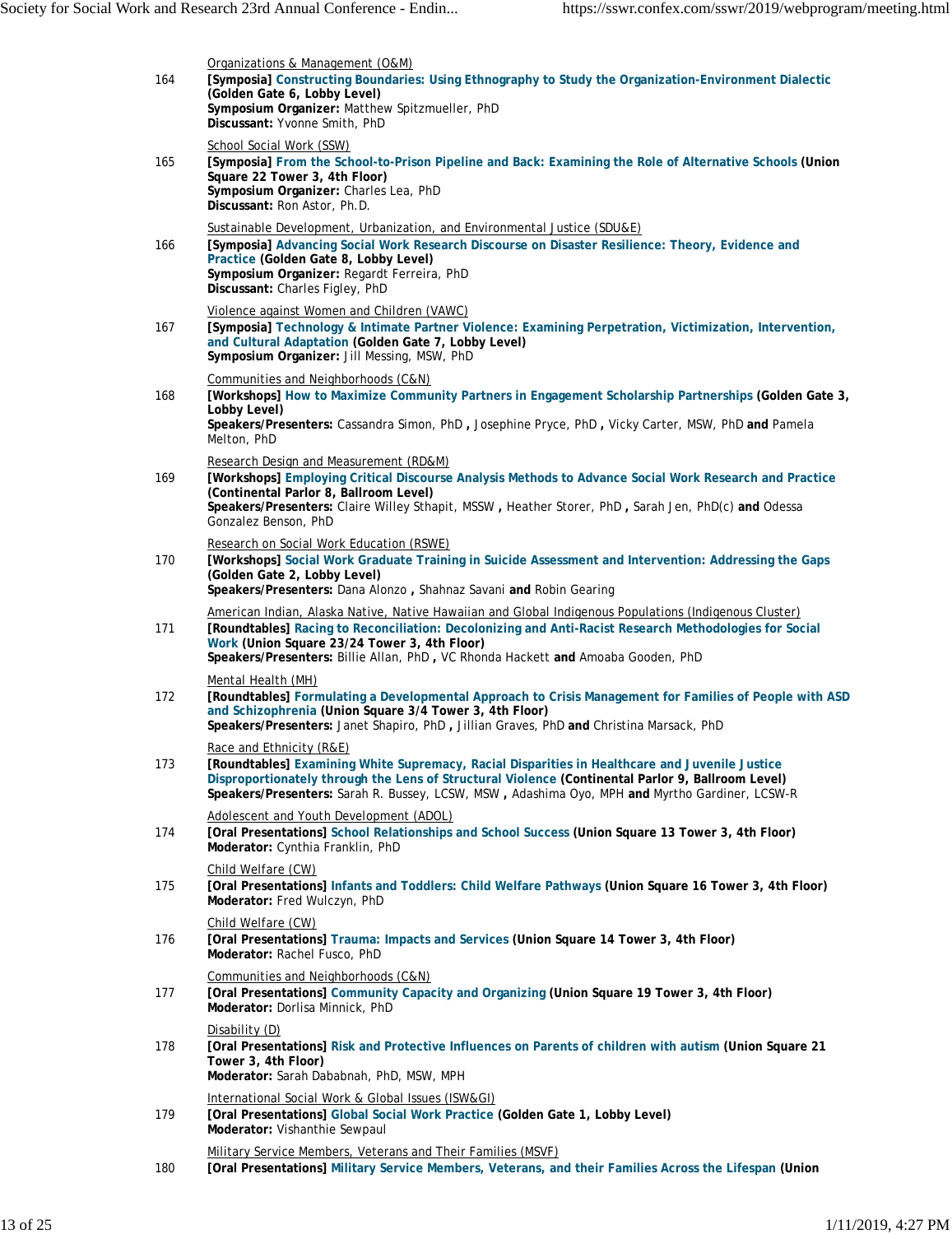| 164 | Organizations & Management (O&M)<br>[Symposia] Constructing Boundaries: Using Ethnography to Study the Organization-Environment Dialectic<br>(Golden Gate 6, Lobby Level)<br>Symposium Organizer: Matthew Spitzmueller, PhD<br>Discussant: Yvonne Smith, PhD                                                                                         |
|-----|------------------------------------------------------------------------------------------------------------------------------------------------------------------------------------------------------------------------------------------------------------------------------------------------------------------------------------------------------|
| 165 | School Social Work (SSW)<br>[Symposia] From the School-to-Prison Pipeline and Back: Examining the Role of Alternative Schools (Union<br>Square 22 Tower 3, 4th Floor)<br>Symposium Organizer: Charles Lea, PhD<br>Discussant: Ron Astor, Ph.D.                                                                                                       |
| 166 | Sustainable Development, Urbanization, and Environmental Justice (SDU&E)<br>[Symposia] Advancing Social Work Research Discourse on Disaster Resilience: Theory, Evidence and<br>Practice (Golden Gate 8, Lobby Level)<br>Symposium Organizer: Regardt Ferreira, PhD<br>Discussant: Charles Figley, PhD                                               |
| 167 | Violence against Women and Children (VAWC)<br>[Symposia] Technology & Intimate Partner Violence: Examining Perpetration, Victimization, Intervention,<br>and Cultural Adaptation (Golden Gate 7, Lobby Level)<br>Symposium Organizer: Jill Messing, MSW, PhD                                                                                         |
| 168 | Communities and Neighborhoods (C&N)<br>[Workshops] How to Maximize Community Partners in Engagement Scholarship Partnerships (Golden Gate 3,<br>Lobby Level)<br>Speakers/Presenters: Cassandra Simon, PhD, Josephine Pryce, PhD, Vicky Carter, MSW, PhD and Pamela<br>Melton, PhD                                                                    |
| 169 | Research Design and Measurement (RD&M)<br>[Workshops] Employing Critical Discourse Analysis Methods to Advance Social Work Research and Practice<br>(Continental Parlor 8, Ballroom Level)<br>Speakers/Presenters: Claire Willey Sthapit, MSSW, Heather Storer, PhD, Sarah Jen, PhD(c) and Odessa<br>Gonzalez Benson, PhD                            |
| 170 | Research on Social Work Education (RSWE)<br>[Workshops] Social Work Graduate Training in Suicide Assessment and Intervention: Addressing the Gaps<br>(Golden Gate 2, Lobby Level)<br>Speakers/Presenters: Dana Alonzo, Shahnaz Savani and Robin Gearing                                                                                              |
| 171 | American Indian, Alaska Native, Native Hawaiian and Global Indigenous Populations (Indigenous Cluster)<br>[Roundtables] Racing to Reconciliation: Decolonizing and Anti-Racist Research Methodologies for Social<br>Work (Union Square 23/24 Tower 3, 4th Floor)<br>Speakers/Presenters: Billie Allan, PhD, VC Rhonda Hackett and Amoaba Gooden, PhD |
| 172 | Mental Health (MH)<br>[Roundtables] Formulating a Developmental Approach to Crisis Management for Families of People with ASD<br>and Schizophrenia (Union Square 3/4 Tower 3, 4th Floor)<br>Speakers/Presenters: Janet Shapiro, PhD, Jillian Graves, PhD and Christina Marsack, PhD                                                                  |
| 173 | Race and Ethnicity (R&E)<br>[Roundtables] Examining White Supremacy, Racial Disparities in Healthcare and Juvenile Justice<br>Disproportionately through the Lens of Structural Violence (Continental Parlor 9, Ballroom Level)<br>Speakers/Presenters: Sarah R. Bussey, LCSW, MSW, Adashima Oyo, MPH and Myrtho Gardiner, LCSW-R                    |
| 174 | Adolescent and Youth Development (ADOL)<br>[Oral Presentations] School Relationships and School Success (Union Square 13 Tower 3, 4th Floor)<br>Moderator: Cynthia Franklin, PhD                                                                                                                                                                     |
| 175 | Child Welfare (CW)<br>[Oral Presentations] Infants and Toddlers: Child Welfare Pathways (Union Square 16 Tower 3, 4th Floor)<br>Moderator: Fred Wulczyn, PhD                                                                                                                                                                                         |
| 176 | Child Welfare (CW)<br>[Oral Presentations] Trauma: Impacts and Services (Union Square 14 Tower 3, 4th Floor)<br>Moderator: Rachel Fusco, PhD                                                                                                                                                                                                         |
| 177 | Communities and Neighborhoods (C&N)<br>[Oral Presentations] Community Capacity and Organizing (Union Square 19 Tower 3, 4th Floor)<br>Moderator: Dorlisa Minnick, PhD                                                                                                                                                                                |
| 178 | Disability (D)<br>[Oral Presentations] Risk and Protective Influences on Parents of children with autism (Union Square 21<br>Tower 3, 4th Floor)<br>Moderator: Sarah Dababnah, PhD, MSW, MPH                                                                                                                                                         |
| 179 | International Social Work & Global Issues (ISW&GI)<br>[Oral Presentations] Global Social Work Practice (Golden Gate 1, Lobby Level)<br>Moderator: Vishanthie Sewpaul                                                                                                                                                                                 |
| 180 | Military Service Members, Veterans and Their Families (MSVF)<br>[Oral Presentations] Military Service Members, Veterans, and their Families Across the Lifespan (Union                                                                                                                                                                               |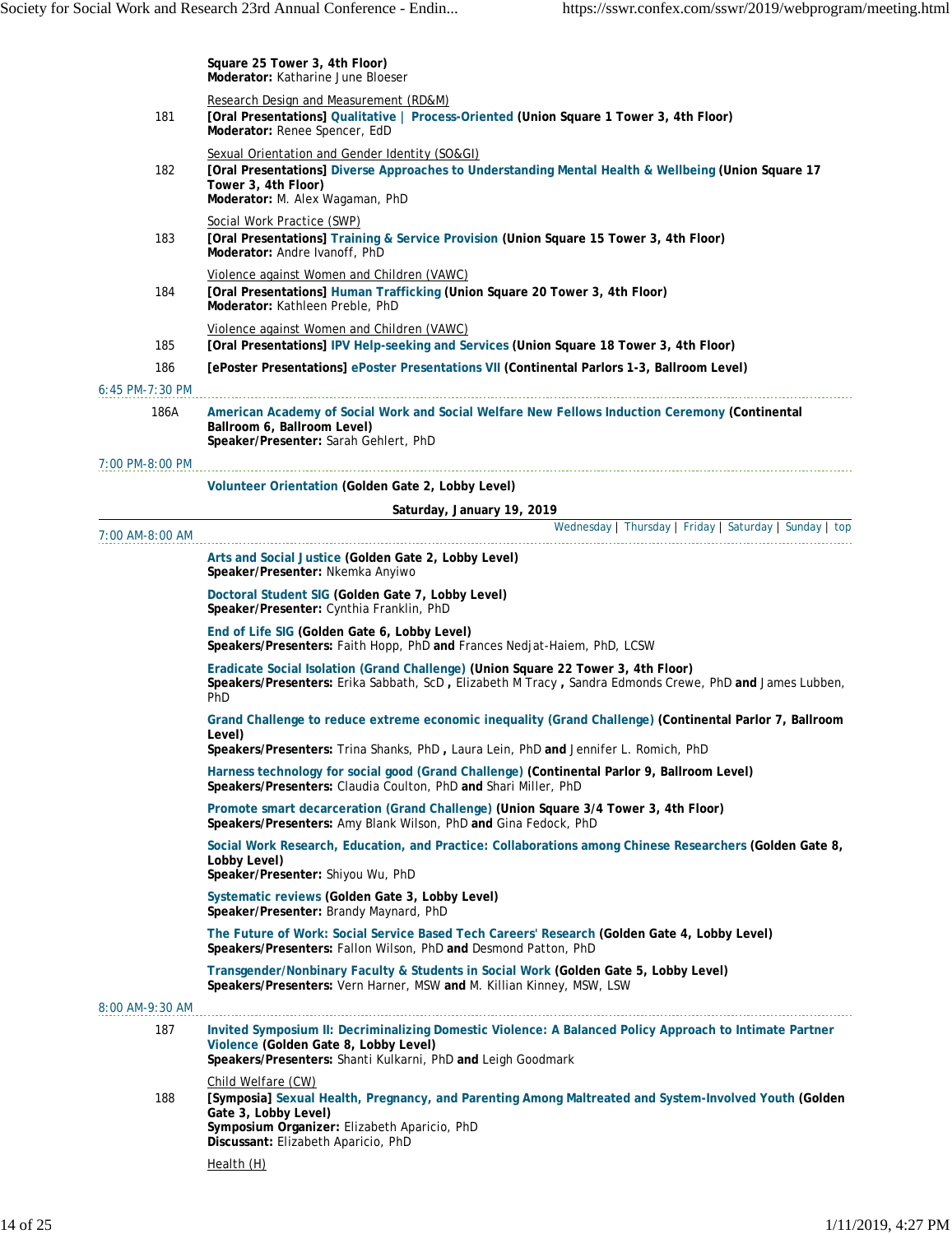|                 | Square 25 Tower 3, 4th Floor)<br>Moderator: Katharine June Bloeser                                                                                                                                                                          |
|-----------------|---------------------------------------------------------------------------------------------------------------------------------------------------------------------------------------------------------------------------------------------|
| 181             | Research Design and Measurement (RD&M)<br>[Oral Presentations] Qualitative   Process-Oriented (Union Square 1 Tower 3, 4th Floor)<br>Moderator: Renee Spencer, EdD                                                                          |
| 182             | Sexual Orientation and Gender Identity (SO&GI)<br>[Oral Presentations] Diverse Approaches to Understanding Mental Health & Wellbeing (Union Square 17<br>Tower 3, 4th Floor)<br>Moderator: M. Alex Wagaman, PhD                             |
| 183             | Social Work Practice (SWP)<br>[Oral Presentations] Training & Service Provision (Union Square 15 Tower 3, 4th Floor)<br>Moderator: Andre Ivanoff, PhD                                                                                       |
| 184             | Violence against Women and Children (VAWC)<br>[Oral Presentations] Human Trafficking (Union Square 20 Tower 3, 4th Floor)<br>Moderator: Kathleen Preble, PhD                                                                                |
| 185             | Violence against Women and Children (VAWC)<br>[Oral Presentations] IPV Help-seeking and Services (Union Square 18 Tower 3, 4th Floor)                                                                                                       |
| 186             | [ePoster Presentations] ePoster Presentations VII (Continental Parlors 1-3, Ballroom Level)                                                                                                                                                 |
| 6:45 PM-7:30 PM |                                                                                                                                                                                                                                             |
| 186A            | American Academy of Social Work and Social Welfare New Fellows Induction Ceremony (Continental<br>Ballroom 6, Ballroom Level)<br>Speaker/Presenter: Sarah Gehlert, PhD                                                                      |
| 7:00 PM-8:00 PM |                                                                                                                                                                                                                                             |
|                 | Volunteer Orientation (Golden Gate 2, Lobby Level)                                                                                                                                                                                          |
|                 | Saturday, January 19, 2019                                                                                                                                                                                                                  |
| 7:00 AM-8:00 AM | Wednesday   Thursday   Friday   Saturday   Sunday   top                                                                                                                                                                                     |
|                 | Arts and Social Justice (Golden Gate 2, Lobby Level)<br>Speaker/Presenter: Nkemka Anyiwo                                                                                                                                                    |
|                 | Doctoral Student SIG (Golden Gate 7, Lobby Level)<br>Speaker/Presenter: Cynthia Franklin, PhD                                                                                                                                               |
|                 | End of Life SIG (Golden Gate 6, Lobby Level)<br>Speakers/Presenters: Faith Hopp, PhD and Frances Nedjat-Haiem, PhD, LCSW                                                                                                                    |
|                 | Eradicate Social Isolation (Grand Challenge) (Union Square 22 Tower 3, 4th Floor)<br>Speakers/Presenters: Erika Sabbath, ScD, Elizabeth M Tracy, Sandra Edmonds Crewe, PhD and James Lubben,<br>PhD                                         |
|                 | Grand Challenge to reduce extreme economic inequality (Grand Challenge) (Continental Parlor 7, Ballroom<br>Level)<br>Speakers/Presenters: Trina Shanks, PhD, Laura Lein, PhD and Jennifer L. Romich, PhD                                    |
|                 | Harness technology for social good (Grand Challenge) (Continental Parlor 9, Ballroom Level)<br>Speakers/Presenters: Claudia Coulton, PhD and Shari Miller, PhD                                                                              |
|                 | Promote smart decarceration (Grand Challenge) (Union Square 3/4 Tower 3, 4th Floor)<br>Speakers/Presenters: Amy Blank Wilson, PhD and Gina Fedock, PhD                                                                                      |
|                 | Social Work Research, Education, and Practice: Collaborations among Chinese Researchers (Golden Gate 8,<br>Lobby Level)<br>Speaker/Presenter: Shiyou Wu, PhD                                                                                |
|                 | Systematic reviews (Golden Gate 3, Lobby Level)<br>Speaker/Presenter: Brandy Maynard, PhD                                                                                                                                                   |
|                 | The Future of Work: Social Service Based Tech Careers' Research (Golden Gate 4, Lobby Level)<br>Speakers/Presenters: Fallon Wilson, PhD and Desmond Patton, PhD                                                                             |
|                 | Transgender/Nonbinary Faculty & Students in Social Work (Golden Gate 5, Lobby Level)<br>Speakers/Presenters: Vern Harner, MSW and M. Killian Kinney, MSW, LSW                                                                               |
| 8:00 AM-9:30 AM |                                                                                                                                                                                                                                             |
| 187             | Invited Symposium II: Decriminalizing Domestic Violence: A Balanced Policy Approach to Intimate Partner<br>Violence (Golden Gate 8, Lobby Level)<br>Speakers/Presenters: Shanti Kulkarni, PhD and Leigh Goodmark                            |
| 188             | Child Welfare (CW)<br>[Symposia] Sexual Health, Pregnancy, and Parenting Among Maltreated and System-Involved Youth (Golden)<br>Gate 3, Lobby Level)<br>Symposium Organizer: Elizabeth Aparicio, PhD<br>Discussant: Elizabeth Aparicio, PhD |
|                 | Health (H)                                                                                                                                                                                                                                  |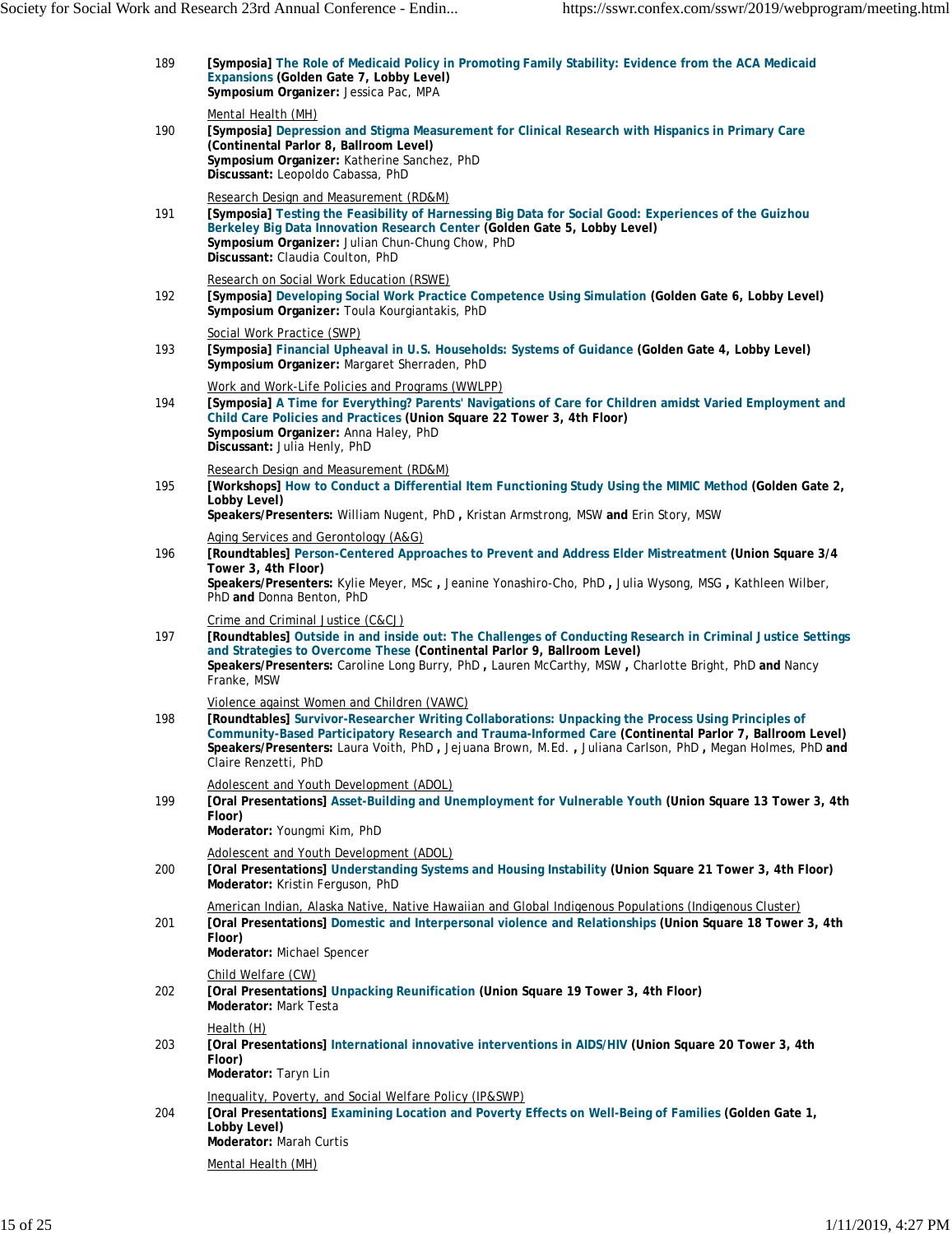| 189 | [Symposia] The Role of Medicaid Policy in Promoting Family Stability: Evidence from the ACA Medicaid<br>Expansions (Golden Gate 7, Lobby Level)<br>Symposium Organizer: Jessica Pac, MPA                                                                                                                                                                                                        |
|-----|-------------------------------------------------------------------------------------------------------------------------------------------------------------------------------------------------------------------------------------------------------------------------------------------------------------------------------------------------------------------------------------------------|
| 190 | Mental Health (MH)<br>[Symposia] Depression and Stigma Measurement for Clinical Research with Hispanics in Primary Care<br>(Continental Parlor 8, Ballroom Level)<br>Symposium Organizer: Katherine Sanchez, PhD<br>Discussant: Leopoldo Cabassa, PhD                                                                                                                                           |
| 191 | Research Design and Measurement (RD&M)<br>[Symposia] Testing the Feasibility of Harnessing Big Data for Social Good: Experiences of the Guizhou<br>Berkeley Big Data Innovation Research Center (Golden Gate 5, Lobby Level)<br>Symposium Organizer: Julian Chun-Chung Chow, PhD<br>Discussant: Claudia Coulton, PhD                                                                            |
| 192 | Research on Social Work Education (RSWE)<br>[Symposia] Developing Social Work Practice Competence Using Simulation (Golden Gate 6, Lobby Level)<br>Symposium Organizer: Toula Kourgiantakis, PhD                                                                                                                                                                                                |
| 193 | Social Work Practice (SWP)<br>[Symposia] Financial Upheaval in U.S. Households: Systems of Guidance (Golden Gate 4, Lobby Level)<br>Symposium Organizer: Margaret Sherraden, PhD                                                                                                                                                                                                                |
| 194 | Work and Work-Life Policies and Programs (WWLPP)<br>[Symposia] A Time for Everything? Parents' Navigations of Care for Children amidst Varied Employment and<br>Child Care Policies and Practices (Union Square 22 Tower 3, 4th Floor)<br>Symposium Organizer: Anna Haley, PhD<br>Discussant: Julia Henly, PhD                                                                                  |
| 195 | Research Design and Measurement (RD&M)<br>[Workshops] How to Conduct a Differential Item Functioning Study Using the MIMIC Method (Golden Gate 2,<br>Lobby Level)<br>Speakers/Presenters: William Nugent, PhD, Kristan Armstrong, MSW and Erin Story, MSW                                                                                                                                       |
| 196 | Aging Services and Gerontology (A&G)<br>[Roundtables] Person-Centered Approaches to Prevent and Address Elder Mistreatment (Union Square 3/4<br>Tower 3, 4th Floor)<br>Speakers/Presenters: Kylie Meyer, MSc, Jeanine Yonashiro-Cho, PhD, Julia Wysong, MSG, Kathleen Wilber,<br>PhD and Donna Benton, PhD                                                                                      |
| 197 | Crime and Criminal Justice (C&CJ)<br>[Roundtables] Outside in and inside out: The Challenges of Conducting Research in Criminal Justice Settings<br>and Strategies to Overcome These (Continental Parlor 9, Ballroom Level)<br>Speakers/Presenters: Caroline Long Burry, PhD, Lauren McCarthy, MSW, Charlotte Bright, PhD and Nancy<br>Franke, MSW                                              |
| 198 | Violence against Women and Children (VAWC)<br>[Roundtables] Survivor-Researcher Writing Collaborations: Unpacking the Process Using Principles of<br>Community-Based Participatory Research and Trauma-Informed Care (Continental Parlor 7, Ballroom Level)<br>Speakers/Presenters: Laura Voith, PhD, Jejuana Brown, M.Ed., Juliana Carlson, PhD, Megan Holmes, PhD and<br>Claire Renzetti, PhD |
| 199 | Adolescent and Youth Development (ADOL)<br>[Oral Presentations] Asset-Building and Unemployment for Vulnerable Youth (Union Square 13 Tower 3, 4th<br>Floor)<br>Moderator: Youngmi Kim, PhD                                                                                                                                                                                                     |
| 200 | Adolescent and Youth Development (ADOL)<br>[Oral Presentations] Understanding Systems and Housing Instability (Union Square 21 Tower 3, 4th Floor)<br>Moderator: Kristin Ferguson, PhD                                                                                                                                                                                                          |
| 201 | American Indian, Alaska Native, Native Hawaiian and Global Indigenous Populations (Indigenous Cluster)<br>[Oral Presentations] Domestic and Interpersonal violence and Relationships (Union Square 18 Tower 3, 4th<br>Floor)<br>Moderator: Michael Spencer                                                                                                                                      |
| 202 | Child Welfare (CW)<br>[Oral Presentations] Unpacking Reunification (Union Square 19 Tower 3, 4th Floor)<br>Moderator: Mark Testa                                                                                                                                                                                                                                                                |
| 203 | Health (H)<br>[Oral Presentations] International innovative interventions in AIDS/HIV (Union Square 20 Tower 3, 4th<br>Floor)<br>Moderator: Taryn Lin                                                                                                                                                                                                                                           |
| 204 | Inequality, Poverty, and Social Welfare Policy (IP&SWP)<br>[Oral Presentations] Examining Location and Poverty Effects on Well-Being of Families (Golden Gate 1,<br>Lobby Level)<br>Moderator: Marah Curtis                                                                                                                                                                                     |
|     |                                                                                                                                                                                                                                                                                                                                                                                                 |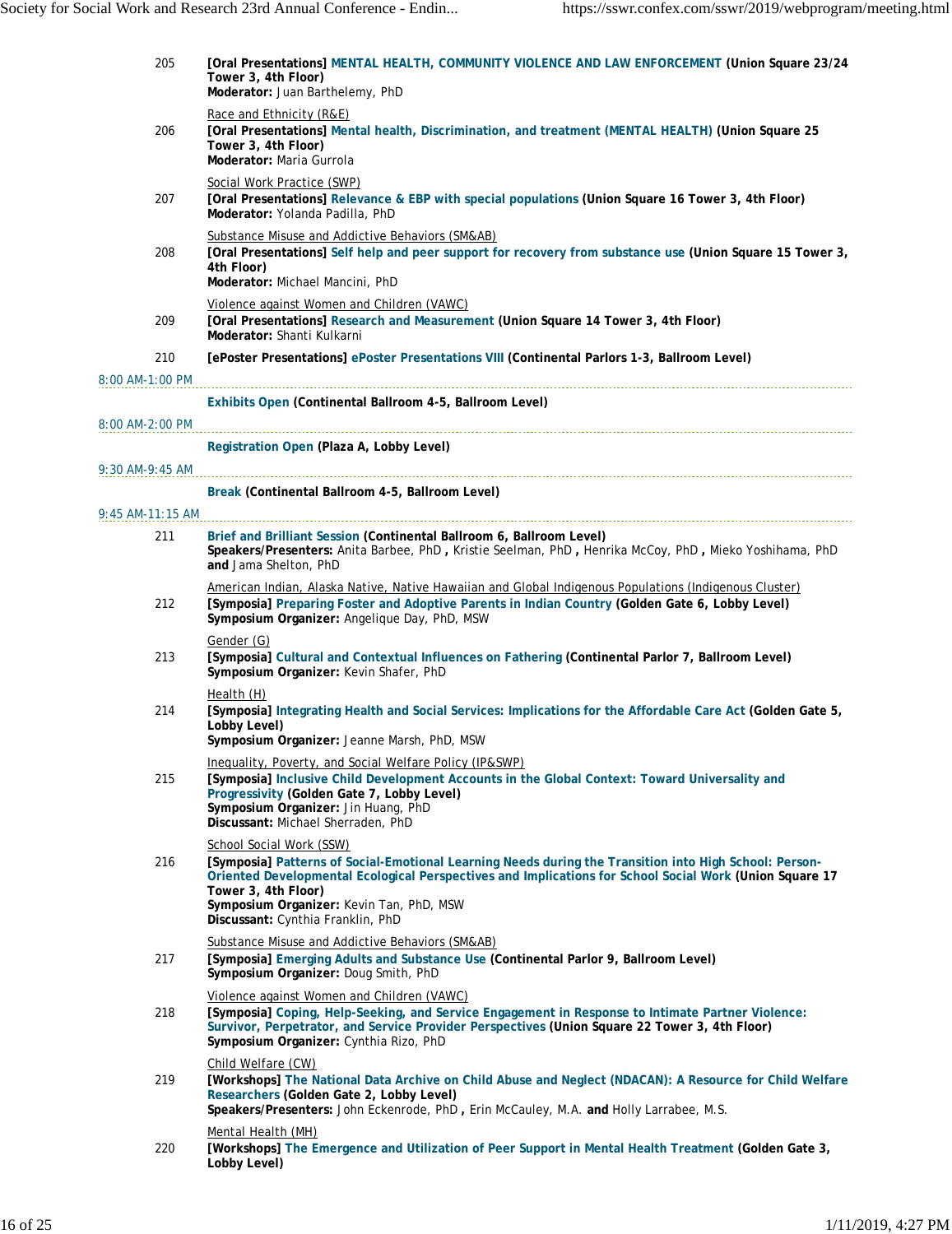| 205                | [Oral Presentations] MENTAL HEALTH, COMMUNITY VIOLENCE AND LAW ENFORCEMENT (Union Square 23/24<br>Tower 3, 4th Floor)<br>Moderator: Juan Barthelemy, PhD                                                                                                                                                                                              |
|--------------------|-------------------------------------------------------------------------------------------------------------------------------------------------------------------------------------------------------------------------------------------------------------------------------------------------------------------------------------------------------|
| 206                | Race and Ethnicity (R&E)<br>[Oral Presentations] Mental health, Discrimination, and treatment (MENTAL HEALTH) (Union Square 25<br>Tower 3, 4th Floor)<br>Moderator: Maria Gurrola                                                                                                                                                                     |
| 207                | Social Work Practice (SWP)<br>[Oral Presentations] Relevance & EBP with special populations (Union Square 16 Tower 3, 4th Floor)<br>Moderator: Yolanda Padilla, PhD                                                                                                                                                                                   |
| 208                | Substance Misuse and Addictive Behaviors (SM&AB)<br>[Oral Presentations] Self help and peer support for recovery from substance use (Union Square 15 Tower 3,<br>4th Floor)<br>Moderator: Michael Mancini, PhD                                                                                                                                        |
| 209                | Violence against Women and Children (VAWC)<br>[Oral Presentations] Research and Measurement (Union Square 14 Tower 3, 4th Floor)<br>Moderator: Shanti Kulkarni                                                                                                                                                                                        |
| 210                | [ePoster Presentations] ePoster Presentations VIII (Continental Parlors 1-3, Ballroom Level)                                                                                                                                                                                                                                                          |
| 8:00 AM-1:00 PM    |                                                                                                                                                                                                                                                                                                                                                       |
| 8:00 AM-2:00 PM    | Exhibits Open (Continental Ballroom 4-5, Ballroom Level)                                                                                                                                                                                                                                                                                              |
|                    | Registration Open (Plaza A, Lobby Level)                                                                                                                                                                                                                                                                                                              |
| 9:30 AM-9:45 AM    |                                                                                                                                                                                                                                                                                                                                                       |
|                    | Break (Continental Ballroom 4-5, Ballroom Level)                                                                                                                                                                                                                                                                                                      |
| $9:45$ AM-11:15 AM |                                                                                                                                                                                                                                                                                                                                                       |
| 211                | Brief and Brilliant Session (Continental Ballroom 6, Ballroom Level)<br>Speakers/Presenters: Anita Barbee, PhD, Kristie Seelman, PhD, Henrika McCoy, PhD, Mieko Yoshihama, PhD<br>and Jama Shelton, PhD                                                                                                                                               |
| 212                | American Indian, Alaska Native, Native Hawaiian and Global Indigenous Populations (Indigenous Cluster)<br>[Symposia] Preparing Foster and Adoptive Parents in Indian Country (Golden Gate 6, Lobby Level)<br>Symposium Organizer: Angelique Day, PhD, MSW                                                                                             |
| 213                | Gender (G)<br>[Symposia] Cultural and Contextual Influences on Fathering (Continental Parlor 7, Ballroom Level)<br>Symposium Organizer: Kevin Shafer, PhD                                                                                                                                                                                             |
| 214                | Health (H)<br>[Symposia] Integrating Health and Social Services: Implications for the Affordable Care Act (Golden Gate 5,<br>Lobby Level)<br>Symposium Organizer: Jeanne Marsh, PhD, MSW                                                                                                                                                              |
| 215                | Inequality, Poverty, and Social Welfare Policy (IP&SWP)<br>[Symposia] Inclusive Child Development Accounts in the Global Context: Toward Universality and<br>Progressivity (Golden Gate 7, Lobby Level)<br>Symposium Organizer: Jin Huang, PhD<br>Discussant: Michael Sherraden, PhD                                                                  |
| 216                | School Social Work (SSW)<br>[Symposia] Patterns of Social-Emotional Learning Needs during the Transition into High School: Person-<br>Oriented Developmental Ecological Perspectives and Implications for School Social Work (Union Square 17<br>Tower 3, 4th Floor)<br>Symposium Organizer: Kevin Tan, PhD, MSW<br>Discussant: Cynthia Franklin, PhD |
|                    | Substance Misuse and Addictive Behaviors (SM&AB)                                                                                                                                                                                                                                                                                                      |
| 217                | [Symposia] Emerging Adults and Substance Use (Continental Parlor 9, Ballroom Level)<br>Symposium Organizer: Doug Smith, PhD                                                                                                                                                                                                                           |
| 218                | Violence against Women and Children (VAWC)<br>[Symposia] Coping, Help-Seeking, and Service Engagement in Response to Intimate Partner Violence:<br>Survivor, Perpetrator, and Service Provider Perspectives (Union Square 22 Tower 3, 4th Floor)<br>Symposium Organizer: Cynthia Rizo, PhD                                                            |
| 219                | Child Welfare (CW)<br>[Workshops] The National Data Archive on Child Abuse and Neglect (NDACAN): A Resource for Child Welfare<br>Researchers (Golden Gate 2, Lobby Level)<br>Speakers/Presenters: John Eckenrode, PhD, Erin McCauley, M.A. and Holly Larrabee, M.S.                                                                                   |
| 220                | Mental Health (MH)<br>[Workshops] The Emergence and Utilization of Peer Support in Mental Health Treatment (Golden Gate 3,<br>Lobby Level)                                                                                                                                                                                                            |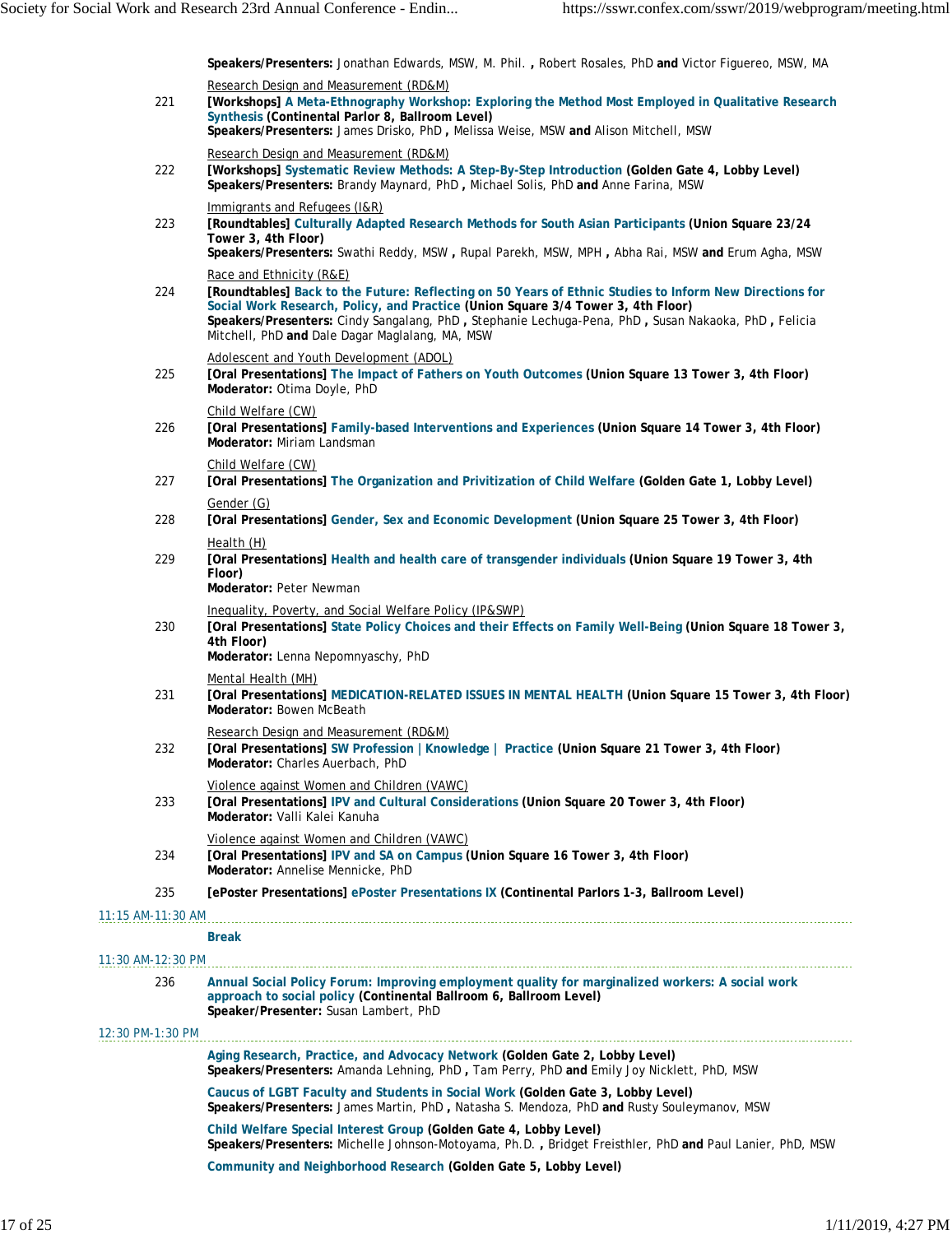**Speakers/Presenters:** Jonathan Edwards, MSW, M. Phil. **,** Robert Rosales, PhD **and** Victor Figuereo, MSW, MA

| 221                      | Research Design and Measurement (RD&M)<br>[Workshops] A Meta-Ethnography Workshop: Exploring the Method Most Employed in Qualitative Research<br>Synthesis (Continental Parlor 8, Ballroom Level)<br>Speakers/Presenters: James Drisko, PhD, Melissa Weise, MSW and Alison Mitchell, MSW                                                                                          |
|--------------------------|-----------------------------------------------------------------------------------------------------------------------------------------------------------------------------------------------------------------------------------------------------------------------------------------------------------------------------------------------------------------------------------|
| 222                      | Research Design and Measurement (RD&M)<br>[Workshops] Systematic Review Methods: A Step-By-Step Introduction (Golden Gate 4, Lobby Level)<br>Speakers/Presenters: Brandy Maynard, PhD, Michael Solis, PhD and Anne Farina, MSW                                                                                                                                                    |
| 223                      | Immigrants and Refugees (I&R)<br>[Roundtables] Culturally Adapted Research Methods for South Asian Participants (Union Square 23/24<br>Tower 3, 4th Floor)<br>Speakers/Presenters: Swathi Reddy, MSW, Rupal Parekh, MSW, MPH, Abha Rai, MSW and Erum Agha, MSW                                                                                                                    |
| 224                      | Race and Ethnicity (R&E)<br>[Roundtables] Back to the Future: Reflecting on 50 Years of Ethnic Studies to Inform New Directions for<br>Social Work Research, Policy, and Practice (Union Square 3/4 Tower 3, 4th Floor)<br>Speakers/Presenters: Cindy Sangalang, PhD, Stephanie Lechuga-Pena, PhD, Susan Nakaoka, PhD, Felicia<br>Mitchell, PhD and Dale Dagar Maglalang, MA, MSW |
| 225                      | Adolescent and Youth Development (ADOL)<br>[Oral Presentations] The Impact of Fathers on Youth Outcomes (Union Square 13 Tower 3, 4th Floor)<br>Moderator: Otima Doyle, PhD                                                                                                                                                                                                       |
| 226                      | Child Welfare (CW)<br>[Oral Presentations] Family-based Interventions and Experiences (Union Square 14 Tower 3, 4th Floor)<br>Moderator: Miriam Landsman                                                                                                                                                                                                                          |
| 227                      | Child Welfare (CW)<br>[Oral Presentations] The Organization and Privitization of Child Welfare (Golden Gate 1, Lobby Level)                                                                                                                                                                                                                                                       |
| 228                      | Gender (G)<br>[Oral Presentations] Gender, Sex and Economic Development (Union Square 25 Tower 3, 4th Floor)                                                                                                                                                                                                                                                                      |
| 229                      | Health (H)<br>[Oral Presentations] Health and health care of transgender individuals (Union Square 19 Tower 3, 4th<br>Floor)<br>Moderator: Peter Newman                                                                                                                                                                                                                           |
| 230                      | Inequality, Poverty, and Social Welfare Policy (IP&SWP)<br>[Oral Presentations] State Policy Choices and their Effects on Family Well-Being (Union Square 18 Tower 3,<br>4th Floor)<br>Moderator: Lenna Nepomnyaschy, PhD                                                                                                                                                         |
| 231                      | Mental Health (MH)<br>[Oral Presentations] MEDICATION-RELATED ISSUES IN MENTAL HEALTH (Union Square 15 Tower 3, 4th Floor)<br>Moderator: Bowen McBeath                                                                                                                                                                                                                            |
| 232                      | Research Design and Measurement (RD&M)<br>[Oral Presentations] SW Profession   Knowledge   Practice (Union Square 21 Tower 3, 4th Floor)<br>Moderator: Charles Auerbach, PhD                                                                                                                                                                                                      |
| 233                      | Violence against Women and Children (VAWC)<br>[Oral Presentations] IPV and Cultural Considerations (Union Square 20 Tower 3, 4th Floor)<br>Moderator: Valli Kalei Kanuha                                                                                                                                                                                                          |
| 234                      | Violence against Women and Children (VAWC)<br>[Oral Presentations] IPV and SA on Campus (Union Square 16 Tower 3, 4th Floor)<br>Moderator: Annelise Mennicke, PhD                                                                                                                                                                                                                 |
| 235                      | [ePoster Presentations] ePoster Presentations IX (Continental Parlors 1-3, Ballroom Level)                                                                                                                                                                                                                                                                                        |
| 11:15 AM-11:30 AM        |                                                                                                                                                                                                                                                                                                                                                                                   |
|                          | <b>Break</b>                                                                                                                                                                                                                                                                                                                                                                      |
| 11:30 AM-12:30 PM<br>236 | Annual Social Policy Forum: Improving employment quality for marginalized workers: A social work<br>approach to social policy (Continental Ballroom 6, Ballroom Level)<br>Speaker/Presenter: Susan Lambert, PhD                                                                                                                                                                   |
| 12:30 PM-1:30 PM         |                                                                                                                                                                                                                                                                                                                                                                                   |
|                          | Aging Research, Practice, and Advocacy Network (Golden Gate 2, Lobby Level)<br>Speakers/Presenters: Amanda Lehning, PhD, Tam Perry, PhD and Emily Joy Nicklett, PhD, MSW                                                                                                                                                                                                          |
|                          | Caucus of LGBT Faculty and Students in Social Work (Golden Gate 3, Lobby Level)<br>Speakers/Presenters: James Martin, PhD, Natasha S. Mendoza, PhD and Rusty Souleymanov, MSW                                                                                                                                                                                                     |
|                          | Child Welfare Special Interest Group (Golden Gate 4, Lobby Level)<br>Speakers/Presenters: Michelle Johnson-Motoyama, Ph.D., Bridget Freisthler, PhD and Paul Lanier, PhD, MSW                                                                                                                                                                                                     |
|                          | Community and Neighborhood Research (Golden Gate 5, Lobby Level)                                                                                                                                                                                                                                                                                                                  |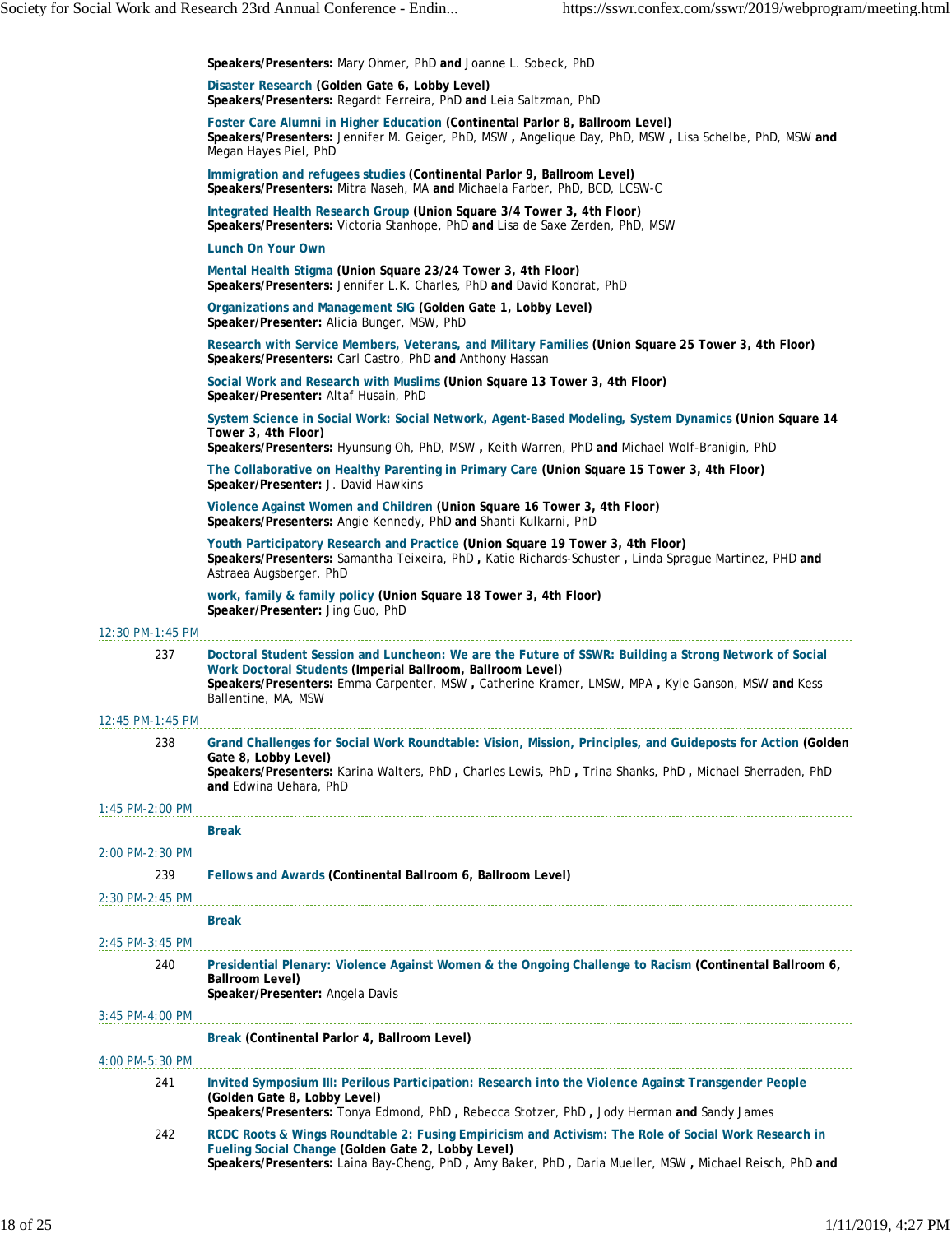|                   | Speakers/Presenters: Mary Ohmer, PhD and Joanne L. Sobeck, PhD                                                                                                                                                                                                                                 |
|-------------------|------------------------------------------------------------------------------------------------------------------------------------------------------------------------------------------------------------------------------------------------------------------------------------------------|
|                   | Disaster Research (Golden Gate 6, Lobby Level)<br>Speakers/Presenters: Regardt Ferreira, PhD and Leia Saltzman, PhD                                                                                                                                                                            |
|                   | Foster Care Alumni in Higher Education (Continental Parlor 8, Ballroom Level)<br>Speakers/Presenters: Jennifer M. Geiger, PhD, MSW, Angelique Day, PhD, MSW, Lisa Schelbe, PhD, MSW and<br>Megan Hayes Piel, PhD                                                                               |
|                   | Immigration and refugees studies (Continental Parlor 9, Ballroom Level)<br>Speakers/Presenters: Mitra Naseh, MA and Michaela Farber, PhD, BCD, LCSW-C                                                                                                                                          |
|                   | Integrated Health Research Group (Union Square 3/4 Tower 3, 4th Floor)<br>Speakers/Presenters: Victoria Stanhope, PhD and Lisa de Saxe Zerden, PhD, MSW                                                                                                                                        |
|                   | Lunch On Your Own                                                                                                                                                                                                                                                                              |
|                   | Mental Health Stigma (Union Square 23/24 Tower 3, 4th Floor)<br>Speakers/Presenters: Jennifer L.K. Charles, PhD and David Kondrat, PhD                                                                                                                                                         |
|                   | Organizations and Management SIG (Golden Gate 1, Lobby Level)<br>Speaker/Presenter: Alicia Bunger, MSW, PhD                                                                                                                                                                                    |
|                   | Research with Service Members, Veterans, and Military Families (Union Square 25 Tower 3, 4th Floor)<br>Speakers/Presenters: Carl Castro, PhD and Anthony Hassan                                                                                                                                |
|                   | Social Work and Research with Muslims (Union Square 13 Tower 3, 4th Floor)<br>Speaker/Presenter: Altaf Husain, PhD                                                                                                                                                                             |
|                   | System Science in Social Work: Social Network, Agent-Based Modeling, System Dynamics (Union Square 14<br>Tower 3, 4th Floor)                                                                                                                                                                   |
|                   | Speakers/Presenters: Hyunsung Oh, PhD, MSW, Keith Warren, PhD and Michael Wolf-Branigin, PhD                                                                                                                                                                                                   |
|                   | The Collaborative on Healthy Parenting in Primary Care (Union Square 15 Tower 3, 4th Floor)<br>Speaker/Presenter: J. David Hawkins                                                                                                                                                             |
|                   | Violence Against Women and Children (Union Square 16 Tower 3, 4th Floor)<br>Speakers/Presenters: Angie Kennedy, PhD and Shanti Kulkarni, PhD                                                                                                                                                   |
|                   | Youth Participatory Research and Practice (Union Square 19 Tower 3, 4th Floor)<br>Speakers/Presenters: Samantha Teixeira, PhD, Katie Richards-Schuster, Linda Sprague Martinez, PHD and<br>Astraea Augsberger, PhD                                                                             |
|                   | work, family & family policy (Union Square 18 Tower 3, 4th Floor)<br>Speaker/Presenter: Jing Guo, PhD                                                                                                                                                                                          |
| 12:30 PM-1:45 PM  |                                                                                                                                                                                                                                                                                                |
| 237               | Doctoral Student Session and Luncheon: We are the Future of SSWR: Building a Strong Network of Social<br>Work Doctoral Students (Imperial Ballroom, Ballroom Level)<br>Speakers/Presenters: Emma Carpenter, MSW, Catherine Kramer, LMSW, MPA, Kyle Ganson, MSW and Kess<br>Ballentine, MA, MSW |
| 12:45 PM-1:45 PM  |                                                                                                                                                                                                                                                                                                |
| 238               | Grand Challenges for Social Work Roundtable: Vision, Mission, Principles, and Guideposts for Action (Golden)<br>Gate 8, Lobby Level)<br>Speakers/Presenters: Karina Walters, PhD, Charles Lewis, PhD, Trina Shanks, PhD, Michael Sherraden, PhD<br>and Edwina Uehara, PhD                      |
| $1:45$ PM-2:00 PM |                                                                                                                                                                                                                                                                                                |
|                   | <b>Break</b>                                                                                                                                                                                                                                                                                   |
| 2:00 PM-2:30 PM   |                                                                                                                                                                                                                                                                                                |
| 239               | Fellows and Awards (Continental Ballroom 6, Ballroom Level)                                                                                                                                                                                                                                    |
| 2:30 PM-2:45 PM   |                                                                                                                                                                                                                                                                                                |
|                   | <b>Break</b>                                                                                                                                                                                                                                                                                   |
| 2:45 PM-3:45 PM   |                                                                                                                                                                                                                                                                                                |
| 240               | Presidential Plenary: Violence Against Women & the Ongoing Challenge to Racism (Continental Ballroom 6,<br>Ballroom Level)<br>Speaker/Presenter: Angela Davis                                                                                                                                  |
| 3:45 PM-4:00 PM   |                                                                                                                                                                                                                                                                                                |
|                   | Break (Continental Parlor 4, Ballroom Level)                                                                                                                                                                                                                                                   |
| 4:00 PM-5:30 PM   |                                                                                                                                                                                                                                                                                                |
| 241               | Invited Symposium III: Perilous Participation: Research into the Violence Against Transgender People<br>(Golden Gate 8, Lobby Level)<br>Speakers/Presenters: Tonya Edmond, PhD, Rebecca Stotzer, PhD, Jody Herman and Sandy James                                                              |
| 242               | RCDC Roots & Wings Roundtable 2: Fusing Empiricism and Activism: The Role of Social Work Research in<br>Fueling Social Change (Golden Gate 2, Lobby Level)<br>Speakers/Presenters: Laina Bay-Cheng, PhD, Amy Baker, PhD, Daria Mueller, MSW, Michael Reisch, PhD and                           |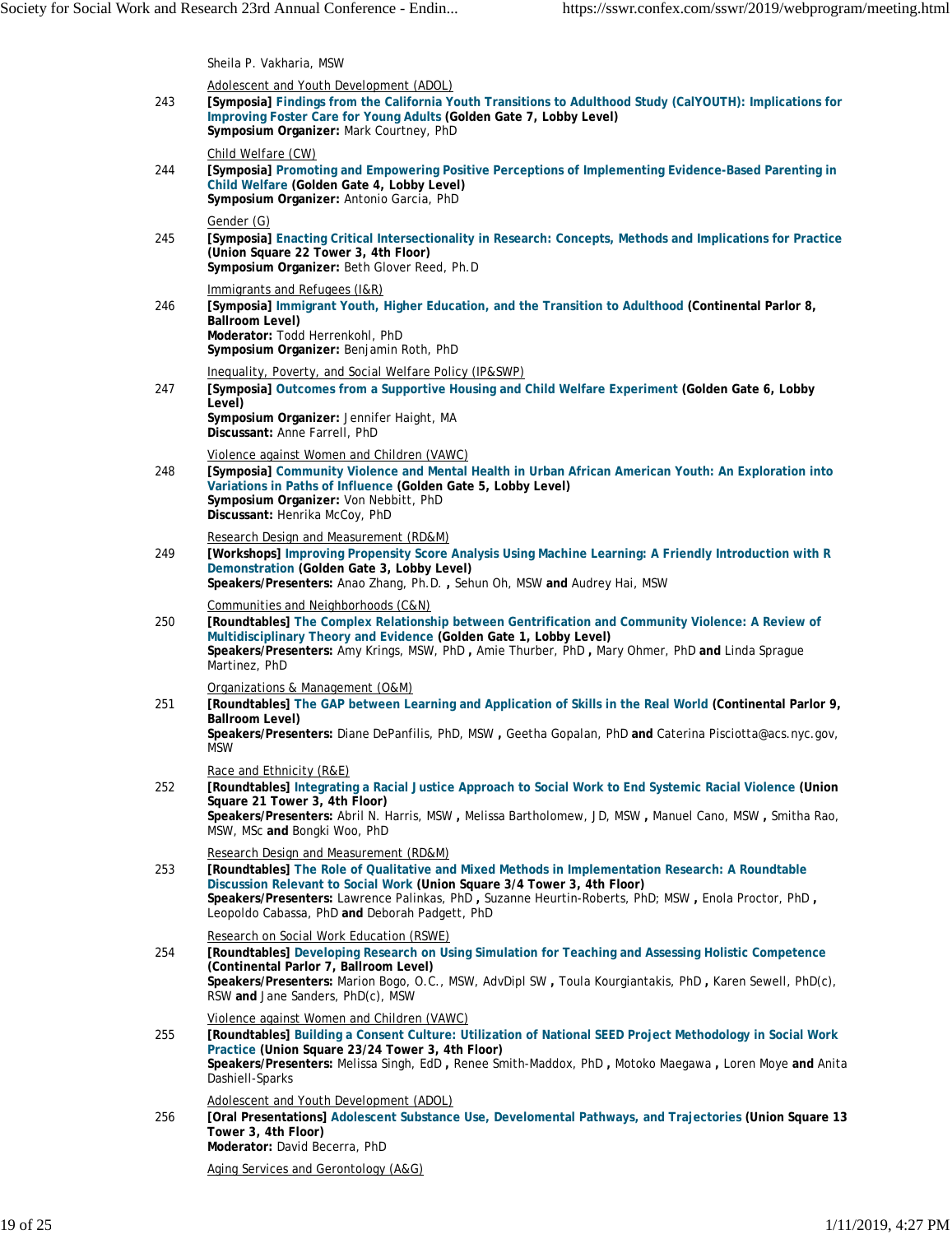Sheila P. Vakharia, MSW

| 243 | Adolescent and Youth Development (ADOL)<br>[Symposia] Findings from the California Youth Transitions to Adulthood Study (CalYOUTH): Implications for<br>Improving Foster Care for Young Adults (Golden Gate 7, Lobby Level)<br>Symposium Organizer: Mark Courtney, PhD                                                                                                          |
|-----|---------------------------------------------------------------------------------------------------------------------------------------------------------------------------------------------------------------------------------------------------------------------------------------------------------------------------------------------------------------------------------|
| 244 | Child Welfare (CW)<br>[Symposia] Promoting and Empowering Positive Perceptions of Implementing Evidence-Based Parenting in<br>Child Welfare (Golden Gate 4, Lobby Level)<br>Symposium Organizer: Antonio Garcia, PhD                                                                                                                                                            |
| 245 | Gender (G)<br>[Symposia] Enacting Critical Intersectionality in Research: Concepts, Methods and Implications for Practice<br>(Union Square 22 Tower 3, 4th Floor)<br>Symposium Organizer: Beth Glover Reed, Ph.D                                                                                                                                                                |
| 246 | Immigrants and Refugees (I&R)<br>[Symposia] Immigrant Youth, Higher Education, and the Transition to Adulthood (Continental Parlor 8,<br>Ballroom Level)<br>Moderator: Todd Herrenkohl, PhD<br>Symposium Organizer: Benjamin Roth, PhD                                                                                                                                          |
| 247 | Inequality, Poverty, and Social Welfare Policy (IP&SWP)<br>[Symposia] Outcomes from a Supportive Housing and Child Welfare Experiment (Golden Gate 6, Lobby<br>Level)<br>Symposium Organizer: Jennifer Haight, MA<br>Discussant: Anne Farrell, PhD                                                                                                                              |
| 248 | Violence against Women and Children (VAWC)<br>[Symposia] Community Violence and Mental Health in Urban African American Youth: An Exploration into<br>Variations in Paths of Influence (Golden Gate 5, Lobby Level)<br>Symposium Organizer: Von Nebbitt, PhD<br>Discussant: Henrika McCoy, PhD                                                                                  |
| 249 | Research Design and Measurement (RD&M)<br>[Workshops] Improving Propensity Score Analysis Using Machine Learning: A Friendly Introduction with R<br>Demonstration (Golden Gate 3, Lobby Level)<br>Speakers/Presenters: Anao Zhang, Ph.D., Sehun Oh, MSW and Audrey Hai, MSW                                                                                                     |
| 250 | Communities and Neighborhoods (C&N)<br>[Roundtables] The Complex Relationship between Gentrification and Community Violence: A Review of<br>Multidisciplinary Theory and Evidence (Golden Gate 1, Lobby Level)<br>Speakers/Presenters: Amy Krings, MSW, PhD, Amie Thurber, PhD, Mary Ohmer, PhD and Linda Sprague<br>Martinez, PhD                                              |
| 251 | Organizations & Management (O&M)<br>[Roundtables] The GAP between Learning and Application of Skills in the Real World (Continental Parlor 9,<br>Ballroom Level)<br>Speakers/Presenters: Diane DePanfilis, PhD, MSW, Geetha Gopalan, PhD and Caterina Pisciotta@acs.nyc.gov,<br><b>MSW</b>                                                                                      |
| 252 | Race and Ethnicity (R&E)<br>[Roundtables] Integrating a Racial Justice Approach to Social Work to End Systemic Racial Violence (Union<br>Square 21 Tower 3, 4th Floor)<br>Speakers/Presenters: Abril N. Harris, MSW, Melissa Bartholomew, JD, MSW, Manuel Cano, MSW, Smitha Rao,<br>MSW, MSc and Bongki Woo, PhD                                                                |
| 253 | Research Design and Measurement (RD&M)<br>[Roundtables] The Role of Qualitative and Mixed Methods in Implementation Research: A Roundtable<br>Discussion Relevant to Social Work (Union Square 3/4 Tower 3, 4th Floor)<br>Speakers/Presenters: Lawrence Palinkas, PhD, Suzanne Heurtin-Roberts, PhD; MSW, Enola Proctor, PhD,<br>Leopoldo Cabassa, PhD and Deborah Padgett, PhD |
| 254 | Research on Social Work Education (RSWE)<br>[Roundtables] Developing Research on Using Simulation for Teaching and Assessing Holistic Competence<br>(Continental Parlor 7, Ballroom Level)<br>Speakers/Presenters: Marion Bogo, O.C., MSW, AdvDipl SW, Toula Kourgiantakis, PhD, Karen Sewell, PhD(c),<br>RSW and Jane Sanders, PhD(c), MSW                                     |
| 255 | Violence against Women and Children (VAWC)<br>[Roundtables] Building a Consent Culture: Utilization of National SEED Project Methodology in Social Work<br>Practice (Union Square 23/24 Tower 3, 4th Floor)<br>Speakers/Presenters: Melissa Singh, EdD, Renee Smith-Maddox, PhD, Motoko Maegawa, Loren Moye and Anita<br>Dashiell-Sparks                                        |
| 256 | Adolescent and Youth Development (ADOL)<br>[Oral Presentations] Adolescent Substance Use, Develomental Pathways, and Trajectories (Union Square 13<br>Tower 3, 4th Floor)<br>Moderator: David Becerra, PhD                                                                                                                                                                      |
|     | Aging Services and Gerontology (A&G)                                                                                                                                                                                                                                                                                                                                            |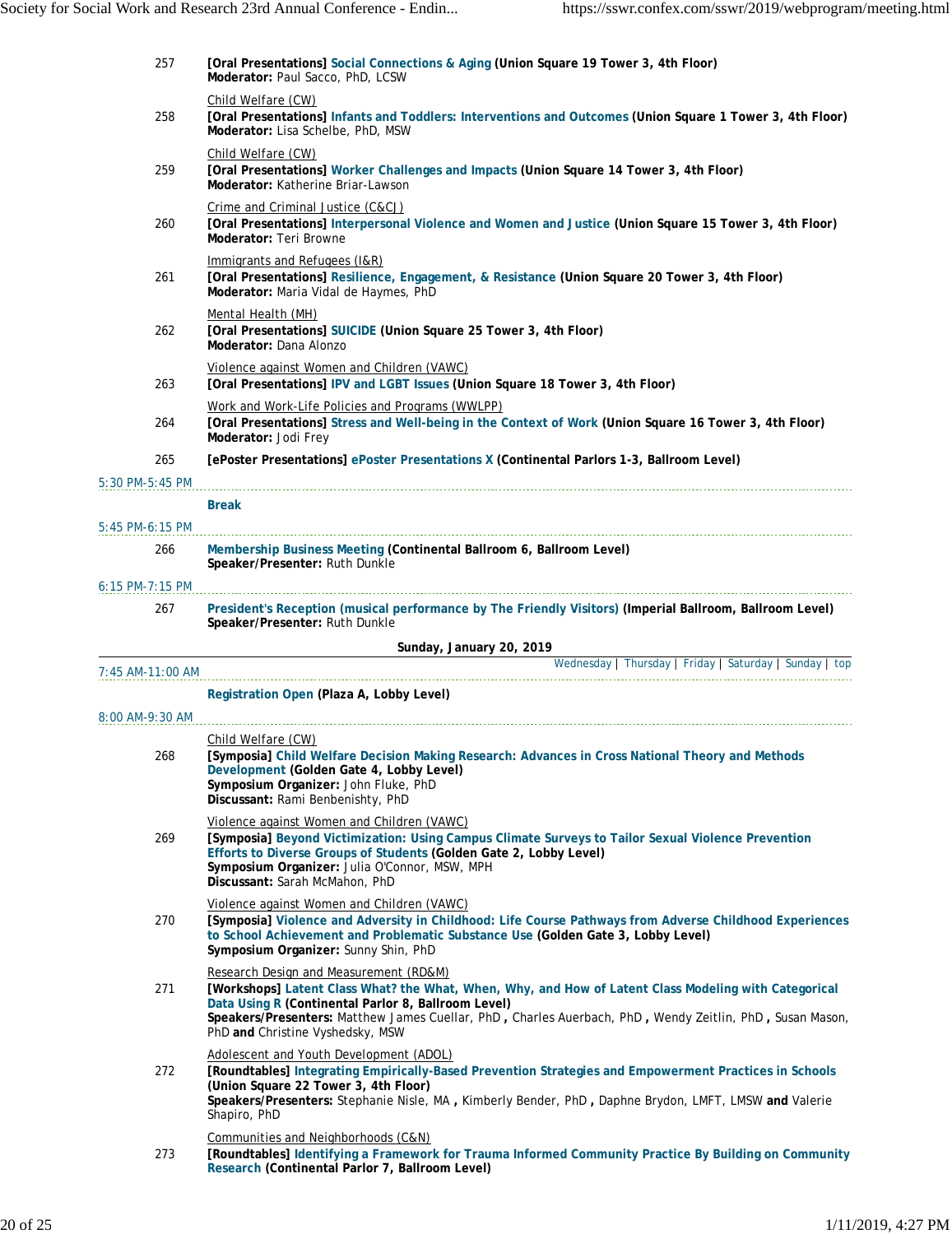| 257               | [Oral Presentations] Social Connections & Aging (Union Square 19 Tower 3, 4th Floor)<br>Moderator: Paul Sacco, PhD, LCSW                                                                                                                                                                                                                               |
|-------------------|--------------------------------------------------------------------------------------------------------------------------------------------------------------------------------------------------------------------------------------------------------------------------------------------------------------------------------------------------------|
|                   | Child Welfare (CW)                                                                                                                                                                                                                                                                                                                                     |
| 258               | [Oral Presentations] Infants and Toddlers: Interventions and Outcomes (Union Square 1 Tower 3, 4th Floor)<br>Moderator: Lisa Schelbe, PhD, MSW                                                                                                                                                                                                         |
| 259               | Child Welfare (CW)<br>[Oral Presentations] Worker Challenges and Impacts (Union Square 14 Tower 3, 4th Floor)<br>Moderator: Katherine Briar-Lawson                                                                                                                                                                                                     |
| 260               | Crime and Criminal Justice (C&CJ)<br>[Oral Presentations] Interpersonal Violence and Women and Justice (Union Square 15 Tower 3, 4th Floor)<br>Moderator: Teri Browne                                                                                                                                                                                  |
| 261               | Immigrants and Refugees (I&R)<br>[Oral Presentations] Resilience, Engagement, & Resistance (Union Square 20 Tower 3, 4th Floor)<br>Moderator: Maria Vidal de Haymes, PhD                                                                                                                                                                               |
| 262               | Mental Health (MH)<br>[Oral Presentations] SUICIDE (Union Square 25 Tower 3, 4th Floor)<br>Moderator: Dana Alonzo                                                                                                                                                                                                                                      |
| 263               | Violence against Women and Children (VAWC)<br>[Oral Presentations] IPV and LGBT Issues (Union Square 18 Tower 3, 4th Floor)                                                                                                                                                                                                                            |
| 264               | Work and Work-Life Policies and Programs (WWLPP)<br>[Oral Presentations] Stress and Well-being in the Context of Work (Union Square 16 Tower 3, 4th Floor)<br>Moderator: Jodi Frey                                                                                                                                                                     |
| 265               | [ePoster Presentations] ePoster Presentations X (Continental Parlors 1-3, Ballroom Level)                                                                                                                                                                                                                                                              |
| 5:30 PM-5:45 PM   |                                                                                                                                                                                                                                                                                                                                                        |
|                   | <b>Break</b>                                                                                                                                                                                                                                                                                                                                           |
| 5:45 PM-6:15 PM   |                                                                                                                                                                                                                                                                                                                                                        |
| 266               | Membership Business Meeting (Continental Ballroom 6, Ballroom Level)<br>Speaker/Presenter: Ruth Dunkle                                                                                                                                                                                                                                                 |
| $6:15$ PM-7:15 PM |                                                                                                                                                                                                                                                                                                                                                        |
| 267               | President's Reception (musical performance by The Friendly Visitors) (Imperial Ballroom, Ballroom Level)<br>Speaker/Presenter: Ruth Dunkle                                                                                                                                                                                                             |
|                   | Sunday, January 20, 2019                                                                                                                                                                                                                                                                                                                               |
| 7:45 AM-11:00 AM  | Wednesday   Thursday   Friday   Saturday   Sunday   top                                                                                                                                                                                                                                                                                                |
|                   | Registration Open (Plaza A, Lobby Level)                                                                                                                                                                                                                                                                                                               |
| 8:00 AM-9:30 AM   |                                                                                                                                                                                                                                                                                                                                                        |
|                   | Child Welfare (CW)                                                                                                                                                                                                                                                                                                                                     |
| 268               | [Symposia] Child Welfare Decision Making Research: Advances in Cross National Theory and Methods<br>Development (Golden Gate 4, Lobby Level)<br>Symposium Organizer: John Fluke, PhD<br>Discussant: Rami Benbenishty, PhD                                                                                                                              |
| 269               | Violence against Women and Children (VAWC)<br>[Symposia] Beyond Victimization: Using Campus Climate Surveys to Tailor Sexual Violence Prevention<br>Efforts to Diverse Groups of Students (Golden Gate 2, Lobby Level)<br>Symposium Organizer: Julia O'Connor, MSW, MPH<br>Discussant: Sarah McMahon, PhD                                              |
| 270               | Violence against Women and Children (VAWC)<br>[Symposia] Violence and Adversity in Childhood: Life Course Pathways from Adverse Childhood Experiences<br>to School Achievement and Problematic Substance Use (Golden Gate 3, Lobby Level)<br>Symposium Organizer: Sunny Shin, PhD                                                                      |
| 271               | Research Design and Measurement (RD&M)<br>[Workshops] Latent Class What? the What, When, Why, and How of Latent Class Modeling with Categorical<br>Data Using R (Continental Parlor 8, Ballroom Level)<br>Speakers/Presenters: Matthew James Cuellar, PhD, Charles Auerbach, PhD, Wendy Zeitlin, PhD, Susan Mason,<br>PhD and Christine Vyshedsky, MSW |
| 272               | Adolescent and Youth Development (ADOL)<br>[Roundtables] Integrating Empirically-Based Prevention Strategies and Empowerment Practices in Schools<br>(Union Square 22 Tower 3, 4th Floor)                                                                                                                                                              |
|                   | Speakers/Presenters: Stephanie Nisle, MA, Kimberly Bender, PhD, Daphne Brydon, LMFT, LMSW and Valerie<br>Shapiro, PhD                                                                                                                                                                                                                                  |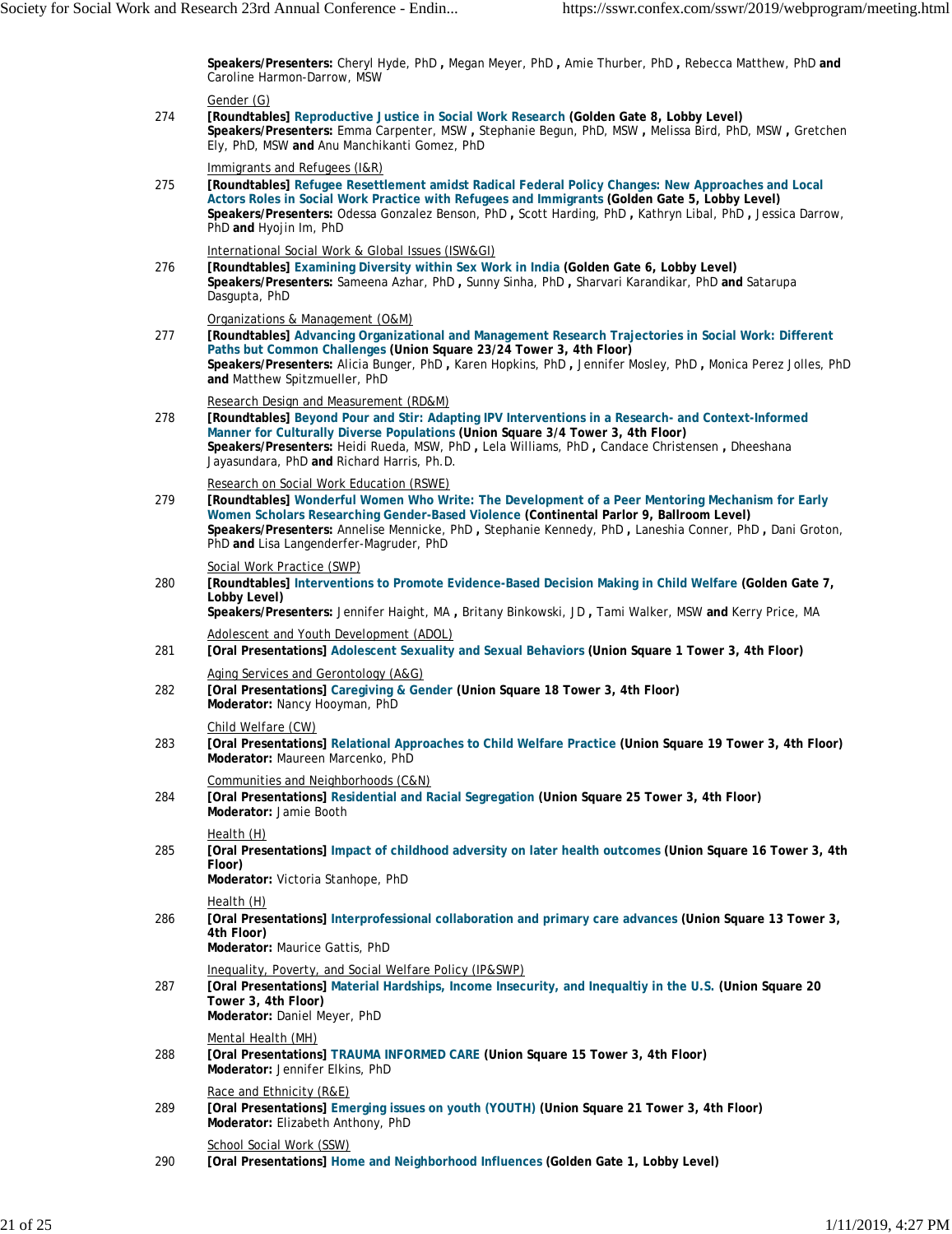**Speakers/Presenters:** Cheryl Hyde, PhD **,** Megan Meyer, PhD **,** Amie Thurber, PhD **,** Rebecca Matthew, PhD **and** Caroline Harmon-Darrow, MSW

## Gender (G)

274 **[Roundtables] Reproductive Justice in Social Work Research (Golden Gate 8, Lobby Level) Speakers/Presenters:** Emma Carpenter, MSW **,** Stephanie Begun, PhD, MSW **,** Melissa Bird, PhD, MSW **,** Gretchen Ely, PhD, MSW **and** Anu Manchikanti Gomez, PhD

Immigrants and Refugees (I&R)

275 **[Roundtables] Refugee Resettlement amidst Radical Federal Policy Changes: New Approaches and Local Actors Roles in Social Work Practice with Refugees and Immigrants (Golden Gate 5, Lobby Level) Speakers/Presenters:** Odessa Gonzalez Benson, PhD **,** Scott Harding, PhD **,** Kathryn Libal, PhD **,** Jessica Darrow, PhD **and** Hyojin Im, PhD

International Social Work & Global Issues (ISW&GI)

276 **[Roundtables] Examining Diversity within Sex Work in India (Golden Gate 6, Lobby Level) Speakers/Presenters:** Sameena Azhar, PhD **,** Sunny Sinha, PhD **,** Sharvari Karandikar, PhD **and** Satarupa Dasgupta, PhD

Organizations & Management (O&M)

277 **[Roundtables] Advancing Organizational and Management Research Trajectories in Social Work: Different Paths but Common Challenges (Union Square 23/24 Tower 3, 4th Floor) Speakers/Presenters:** Alicia Bunger, PhD **,** Karen Hopkins, PhD **,** Jennifer Mosley, PhD **,** Monica Perez Jolles, PhD **and** Matthew Spitzmueller, PhD

Research Design and Measurement (RD&M)

278 **[Roundtables] Beyond Pour and Stir: Adapting IPV Interventions in a Research- and Context-Informed Manner for Culturally Diverse Populations (Union Square 3/4 Tower 3, 4th Floor) Speakers/Presenters:** Heidi Rueda, MSW, PhD **,** Lela Williams, PhD **,** Candace Christensen **,** Dheeshana Jayasundara, PhD **and** Richard Harris, Ph.D.

Research on Social Work Education (RSWE)

279 **[Roundtables] Wonderful Women Who Write: The Development of a Peer Mentoring Mechanism for Early Women Scholars Researching Gender-Based Violence (Continental Parlor 9, Ballroom Level) Speakers/Presenters:** Annelise Mennicke, PhD **,** Stephanie Kennedy, PhD **,** Laneshia Conner, PhD **,** Dani Groton, PhD **and** Lisa Langenderfer-Magruder, PhD

Social Work Practice (SWP)

280 **[Roundtables] Interventions to Promote Evidence-Based Decision Making in Child Welfare (Golden Gate 7, Lobby Level)**

**Speakers/Presenters:** Jennifer Haight, MA **,** Britany Binkowski, JD **,** Tami Walker, MSW **and** Kerry Price, MA Adolescent and Youth Development (ADOL)

- 281 **[Oral Presentations] Adolescent Sexuality and Sexual Behaviors (Union Square 1 Tower 3, 4th Floor)**
- 282 Aging Services and Gerontology (A&G) **[Oral Presentations] Caregiving & Gender (Union Square 18 Tower 3, 4th Floor) Moderator:** Nancy Hooyman, PhD

Child Welfare (CW)

283 **[Oral Presentations] Relational Approaches to Child Welfare Practice (Union Square 19 Tower 3, 4th Floor) Moderator:** Maureen Marcenko, PhD

Communities and Neighborhoods (C&N)

284 **[Oral Presentations] Residential and Racial Segregation (Union Square 25 Tower 3, 4th Floor) Moderator:** Jamie Booth

Health (H)

285 **[Oral Presentations] Impact of childhood adversity on later health outcomes (Union Square 16 Tower 3, 4th Floor)**

**Moderator:** Victoria Stanhope, PhD

Health (H)

286 **[Oral Presentations] Interprofessional collaboration and primary care advances (Union Square 13 Tower 3, 4th Floor)**

**Moderator:** Maurice Gattis, PhD

Inequality, Poverty, and Social Welfare Policy (IP&SWP)

287 **[Oral Presentations] Material Hardships, Income Insecurity, and Inequaltiy in the U.S. (Union Square 20 Tower 3, 4th Floor) Moderator:** Daniel Meyer, PhD

Mental Health (MH)

288 **[Oral Presentations] TRAUMA INFORMED CARE (Union Square 15 Tower 3, 4th Floor) Moderator:** Jennifer Elkins, PhD

Race and Ethnicity (R&E)

289 **[Oral Presentations] Emerging issues on youth (YOUTH) (Union Square 21 Tower 3, 4th Floor) Moderator:** Elizabeth Anthony, PhD

School Social Work (SSW)

290 **[Oral Presentations] Home and Neighborhood Influences (Golden Gate 1, Lobby Level)**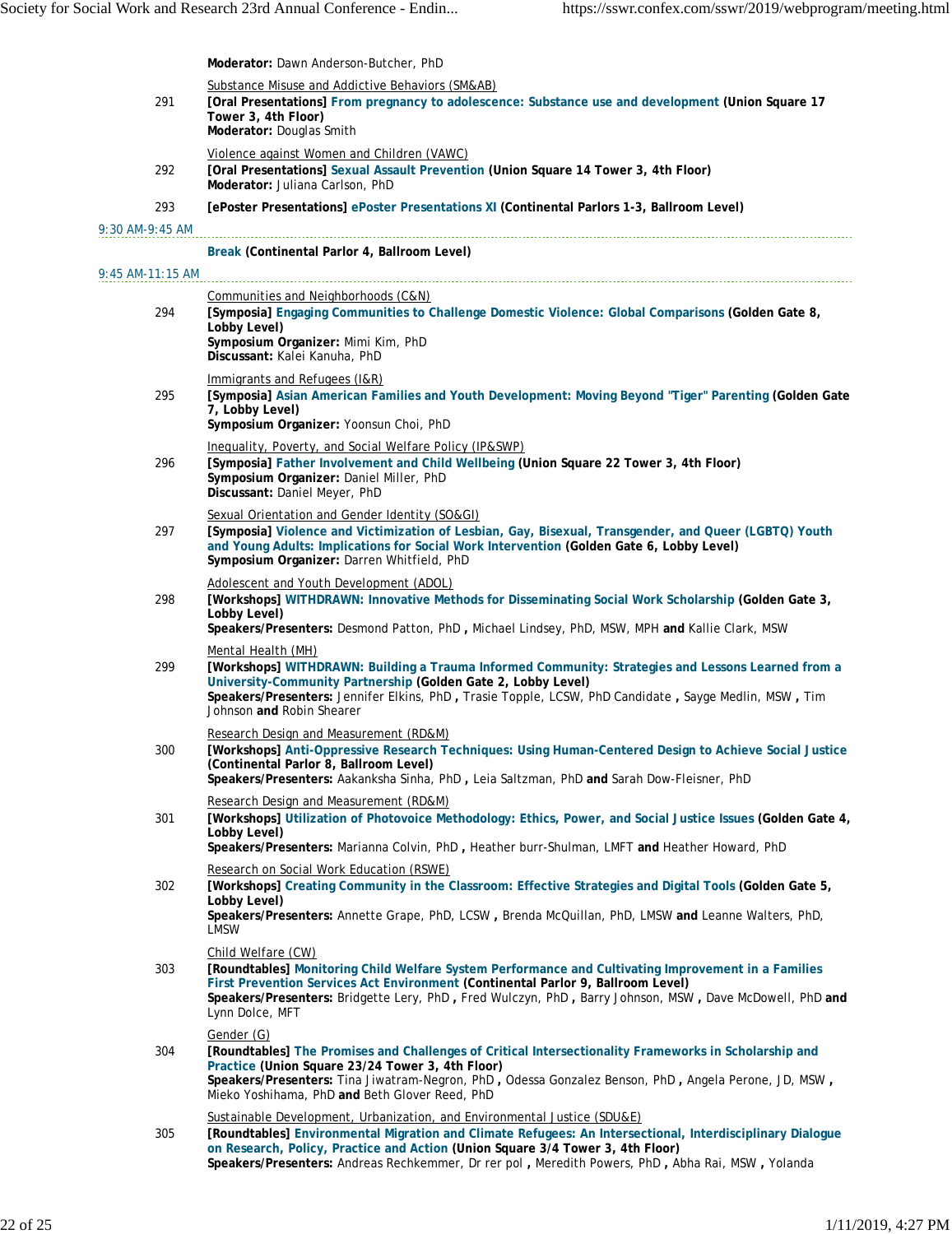|                    | Moderator: Dawn Anderson-Butcher, PhD                                                                                                                                                                                                                                                                                                                                        |
|--------------------|------------------------------------------------------------------------------------------------------------------------------------------------------------------------------------------------------------------------------------------------------------------------------------------------------------------------------------------------------------------------------|
|                    | Substance Misuse and Addictive Behaviors (SM&AB)                                                                                                                                                                                                                                                                                                                             |
| 291                | [Oral Presentations] From pregnancy to adolescence: Substance use and development (Union Square 17<br>Tower 3, 4th Floor)<br>Moderator: Douglas Smith                                                                                                                                                                                                                        |
| 292                | Violence against Women and Children (VAWC)<br>[Oral Presentations] Sexual Assault Prevention (Union Square 14 Tower 3, 4th Floor)<br>Moderator: Juliana Carlson, PhD                                                                                                                                                                                                         |
| 293                | [ePoster Presentations] ePoster Presentations XI (Continental Parlors 1-3, Ballroom Level)                                                                                                                                                                                                                                                                                   |
| $9:30$ AM-9:45 AM  |                                                                                                                                                                                                                                                                                                                                                                              |
|                    | Break (Continental Parlor 4, Ballroom Level)                                                                                                                                                                                                                                                                                                                                 |
| $9:45$ AM-11:15 AM |                                                                                                                                                                                                                                                                                                                                                                              |
| 294                | Communities and Neighborhoods (C&N)<br>[Symposia] Engaging Communities to Challenge Domestic Violence: Global Comparisons (Golden Gate 8,<br>Lobby Level)<br>Symposium Organizer: Mimi Kim, PhD<br>Discussant: Kalei Kanuha, PhD                                                                                                                                             |
| 295                | Immigrants and Refugees (I&R)<br>[Symposia] Asian American Families and Youth Development: Moving Beyond "Tiger" Parenting (Golden Gate<br>7, Lobby Level)<br>Symposium Organizer: Yoonsun Choi, PhD                                                                                                                                                                         |
| 296                | Inequality, Poverty, and Social Welfare Policy (IP&SWP)<br>[Symposia] Father Involvement and Child Wellbeing (Union Square 22 Tower 3, 4th Floor)<br>Symposium Organizer: Daniel Miller, PhD<br>Discussant: Daniel Meyer, PhD                                                                                                                                                |
| 297                | Sexual Orientation and Gender Identity (SO&GI)<br>[Symposia] Violence and Victimization of Lesbian, Gay, Bisexual, Transgender, and Queer (LGBTQ) Youth<br>and Young Adults: Implications for Social Work Intervention (Golden Gate 6, Lobby Level)<br>Symposium Organizer: Darren Whitfield, PhD                                                                            |
| 298                | Adolescent and Youth Development (ADOL)<br>[Workshops] WITHDRAWN: Innovative Methods for Disseminating Social Work Scholarship (Golden Gate 3,<br>Lobby Level)<br>Speakers/Presenters: Desmond Patton, PhD, Michael Lindsey, PhD, MSW, MPH and Kallie Clark, MSW                                                                                                             |
| 299                | Mental Health (MH)<br>[Workshops] WITHDRAWN: Building a Trauma Informed Community: Strategies and Lessons Learned from a<br>University-Community Partnership (Golden Gate 2, Lobby Level)<br>Speakers/Presenters: Jennifer Elkins, PhD, Trasie Topple, LCSW, PhD Candidate, Sayge Medlin, MSW, Tim<br>Johnson and Robin Shearer                                              |
| 300                | Research Design and Measurement (RD&M)<br>[Workshops] Anti-Oppressive Research Techniques: Using Human-Centered Design to Achieve Social Justice<br>(Continental Parlor 8, Ballroom Level)<br>Speakers/Presenters: Aakanksha Sinha, PhD, Leia Saltzman, PhD and Sarah Dow-Fleisner, PhD                                                                                      |
| 301                | Research Design and Measurement (RD&M)<br>[Workshops] Utilization of Photovoice Methodology: Ethics, Power, and Social Justice Issues (Golden Gate 4,<br>Lobby Level)<br>Speakers/Presenters: Marianna Colvin, PhD, Heather burr-Shulman, LMFT and Heather Howard, PhD                                                                                                       |
| 302                | Research on Social Work Education (RSWE)<br>[Workshops] Creating Community in the Classroom: Effective Strategies and Digital Tools (Golden Gate 5,<br>Lobby Level)<br>Speakers/Presenters: Annette Grape, PhD, LCSW, Brenda McQuillan, PhD, LMSW and Leanne Walters, PhD,<br><b>LMSW</b>                                                                                    |
| 303                | Child Welfare (CW)<br>[Roundtables] Monitoring Child Welfare System Performance and Cultivating Improvement in a Families<br>First Prevention Services Act Environment (Continental Parlor 9, Ballroom Level)<br>Speakers/Presenters: Bridgette Lery, PhD, Fred Wulczyn, PhD, Barry Johnson, MSW, Dave McDowell, PhD and<br>Lynn Dolce, MFT                                  |
| 304                | Gender (G)<br>[Roundtables] The Promises and Challenges of Critical Intersectionality Frameworks in Scholarship and<br>Practice (Union Square 23/24 Tower 3, 4th Floor)<br>Speakers/Presenters: Tina Jiwatram-Negron, PhD, Odessa Gonzalez Benson, PhD, Angela Perone, JD, MSW,<br>Mieko Yoshihama, PhD and Beth Glover Reed, PhD                                            |
| 305                | Sustainable Development, Urbanization, and Environmental Justice (SDU&E)<br>[Roundtables] Environmental Migration and Climate Refugees: An Intersectional, Interdisciplinary Dialogue<br>on Research, Policy, Practice and Action (Union Square 3/4 Tower 3, 4th Floor)<br>Speakers/Presenters: Andreas Rechkemmer, Dr rer pol, Meredith Powers, PhD, Abha Rai, MSW, Yolanda |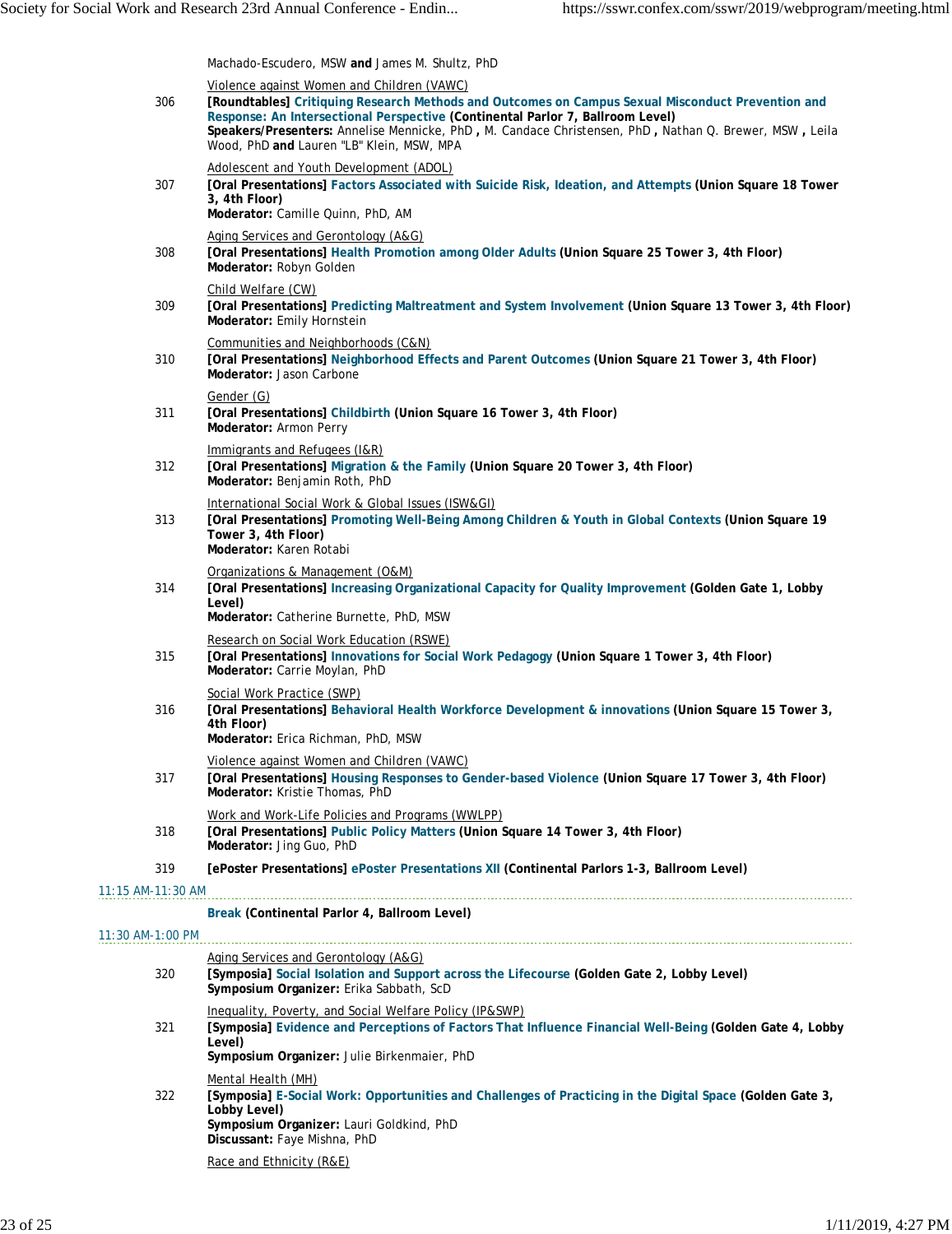|                   | Machado-Escudero, MSW and James M. Shultz, PhD                                                                                                                                                                                                                                                                                                                                           |
|-------------------|------------------------------------------------------------------------------------------------------------------------------------------------------------------------------------------------------------------------------------------------------------------------------------------------------------------------------------------------------------------------------------------|
| 306               | Violence against Women and Children (VAWC)<br>[Roundtables] Critiquing Research Methods and Outcomes on Campus Sexual Misconduct Prevention and<br>Response: An Intersectional Perspective (Continental Parlor 7, Ballroom Level)<br>Speakers/Presenters: Annelise Mennicke, PhD, M. Candace Christensen, PhD, Nathan Q. Brewer, MSW, Leila<br>Wood, PhD and Lauren "LB" Klein, MSW, MPA |
| 307               | Adolescent and Youth Development (ADOL)<br>[Oral Presentations] Factors Associated with Suicide Risk, Ideation, and Attempts (Union Square 18 Tower<br>3, 4th Floor)<br>Moderator: Camille Quinn, PhD, AM                                                                                                                                                                                |
| 308               | Aging Services and Gerontology (A&G)<br>[Oral Presentations] Health Promotion among Older Adults (Union Square 25 Tower 3, 4th Floor)<br>Moderator: Robyn Golden                                                                                                                                                                                                                         |
| 309               | Child Welfare (CW)<br>[Oral Presentations] Predicting Maltreatment and System Involvement (Union Square 13 Tower 3, 4th Floor)<br>Moderator: Emily Hornstein                                                                                                                                                                                                                             |
| 310               | Communities and Neighborhoods (C&N)<br>[Oral Presentations] Neighborhood Effects and Parent Outcomes (Union Square 21 Tower 3, 4th Floor)<br>Moderator: Jason Carbone                                                                                                                                                                                                                    |
| 311               | Gender (G)<br>[Oral Presentations] Childbirth (Union Square 16 Tower 3, 4th Floor)<br>Moderator: Armon Perry                                                                                                                                                                                                                                                                             |
| 312               | Immigrants and Refugees (I&R)<br>[Oral Presentations] Migration & the Family (Union Square 20 Tower 3, 4th Floor)<br>Moderator: Benjamin Roth, PhD                                                                                                                                                                                                                                       |
| 313               | International Social Work & Global Issues (ISW&GI)<br>[Oral Presentations] Promoting Well-Being Among Children & Youth in Global Contexts (Union Square 19<br>Tower 3, 4th Floor)<br>Moderator: Karen Rotabi                                                                                                                                                                             |
| 314               | Organizations & Management (O&M)<br>[Oral Presentations] Increasing Organizational Capacity for Quality Improvement (Golden Gate 1, Lobby<br>Level)<br>Moderator: Catherine Burnette, PhD, MSW                                                                                                                                                                                           |
| 315               | Research on Social Work Education (RSWE)<br>[Oral Presentations] Innovations for Social Work Pedagogy (Union Square 1 Tower 3, 4th Floor)<br>Moderator: Carrie Moylan, PhD                                                                                                                                                                                                               |
| 316               | Social Work Practice (SWP)<br>[Oral Presentations] Behavioral Health Workforce Development & innovations (Union Square 15 Tower 3,<br>4th Floor)<br>Moderator: Erica Richman, PhD, MSW                                                                                                                                                                                                   |
| 317               | Violence against Women and Children (VAWC)<br>[Oral Presentations] Housing Responses to Gender-based Violence (Union Square 17 Tower 3, 4th Floor)<br>Moderator: Kristie Thomas, PhD                                                                                                                                                                                                     |
| 318               | Work and Work-Life Policies and Programs (WWLPP)<br>[Oral Presentations] Public Policy Matters (Union Square 14 Tower 3, 4th Floor)<br>Moderator: Jing Guo, PhD                                                                                                                                                                                                                          |
| 319               | [ePoster Presentations] ePoster Presentations XII (Continental Parlors 1-3, Ballroom Level)                                                                                                                                                                                                                                                                                              |
| 11:15 AM-11:30 AM |                                                                                                                                                                                                                                                                                                                                                                                          |
|                   | Break (Continental Parlor 4, Ballroom Level)                                                                                                                                                                                                                                                                                                                                             |
| 11:30 AM-1:00 PM  |                                                                                                                                                                                                                                                                                                                                                                                          |
| 320               | Aging Services and Gerontology (A&G)<br>[Symposia] Social Isolation and Support across the Lifecourse (Golden Gate 2, Lobby Level)<br>Symposium Organizer: Erika Sabbath, ScD                                                                                                                                                                                                            |
| 321               | Inequality, Poverty, and Social Welfare Policy (IP&SWP)<br>[Symposia] Evidence and Perceptions of Factors That Influence Financial Well-Being (Golden Gate 4, Lobby<br>Level)<br>Symposium Organizer: Julie Birkenmaier, PhD                                                                                                                                                             |
| 322               | Mental Health (MH)<br>[Symposia] E-Social Work: Opportunities and Challenges of Practicing in the Digital Space (Golden Gate 3,<br>Lobby Level)<br>Symposium Organizer: Lauri Goldkind, PhD<br>Discussant: Faye Mishna, PhD                                                                                                                                                              |
|                   | Race and Ethnicity (R&E)                                                                                                                                                                                                                                                                                                                                                                 |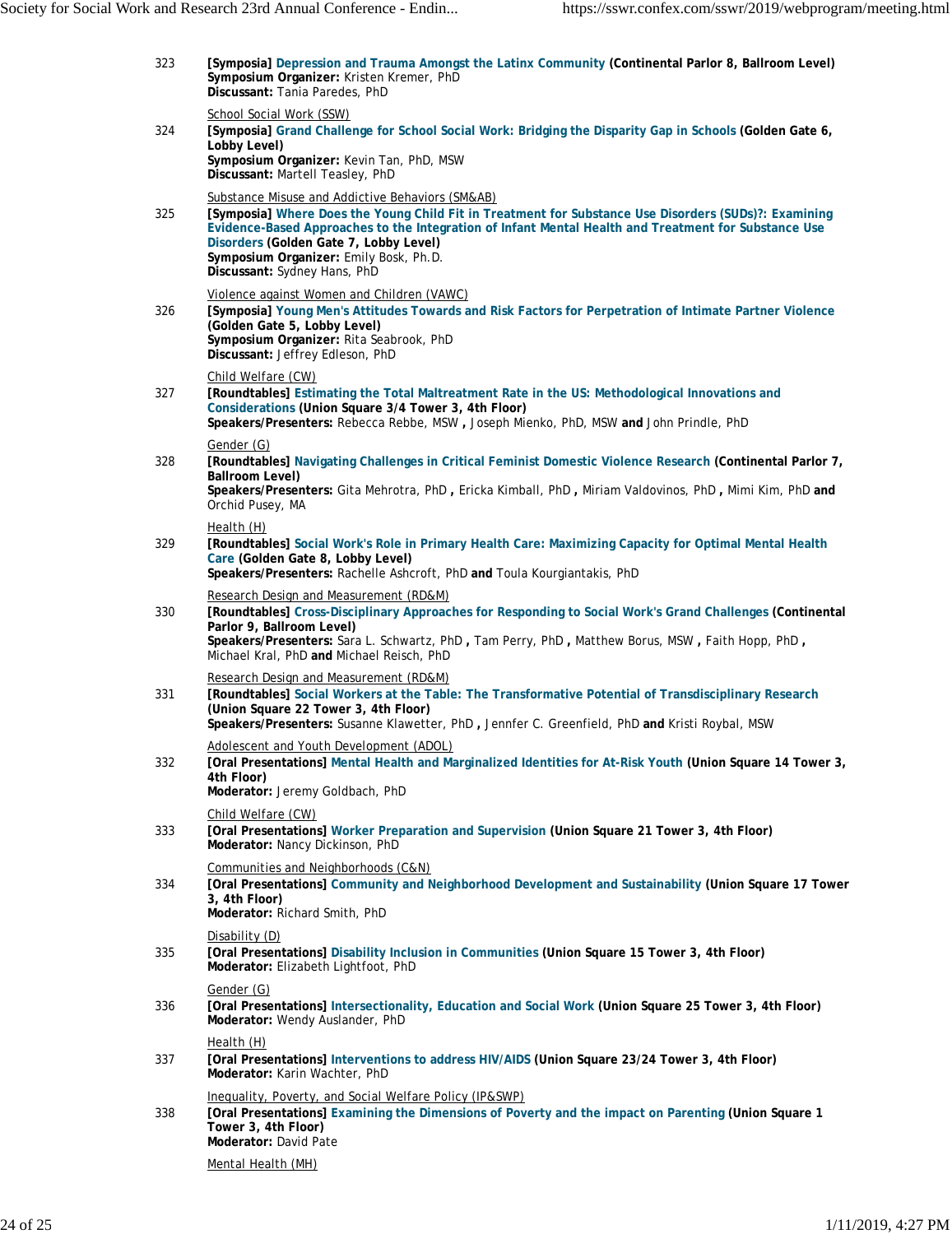| 323 | [Symposia] Depression and Trauma Amongst the Latinx Community (Continental Parlor 8, Ballroom Level)<br>Symposium Organizer: Kristen Kremer, PhD<br>Discussant: Tania Paredes, PhD                                                                                                                                                                                                    |
|-----|---------------------------------------------------------------------------------------------------------------------------------------------------------------------------------------------------------------------------------------------------------------------------------------------------------------------------------------------------------------------------------------|
| 324 | School Social Work (SSW)<br>[Symposia] Grand Challenge for School Social Work: Bridging the Disparity Gap in Schools (Golden Gate 6,<br>Lobby Level)<br>Symposium Organizer: Kevin Tan, PhD, MSW<br>Discussant: Martell Teasley, PhD                                                                                                                                                  |
| 325 | Substance Misuse and Addictive Behaviors (SM&AB)<br>[Symposia] Where Does the Young Child Fit in Treatment for Substance Use Disorders (SUDs)?: Examining<br>Evidence-Based Approaches to the Integration of Infant Mental Health and Treatment for Substance Use<br>Disorders (Golden Gate 7, Lobby Level)<br>Symposium Organizer: Emily Bosk, Ph.D.<br>Discussant: Sydney Hans, PhD |
| 326 | Violence against Women and Children (VAWC)<br>[Symposia] Young Men's Attitudes Towards and Risk Factors for Perpetration of Intimate Partner Violence<br>(Golden Gate 5, Lobby Level)<br>Symposium Organizer: Rita Seabrook, PhD<br>Discussant: Jeffrey Edleson, PhD                                                                                                                  |
| 327 | Child Welfare (CW)<br>[Roundtables] Estimating the Total Maltreatment Rate in the US: Methodological Innovations and<br>Considerations (Union Square 3/4 Tower 3, 4th Floor)<br>Speakers/Presenters: Rebecca Rebbe, MSW, Joseph Mienko, PhD, MSW and John Prindle, PhD                                                                                                                |
| 328 | Gender (G)<br>[Roundtables] Navigating Challenges in Critical Feminist Domestic Violence Research (Continental Parlor 7,<br><b>Ballroom Level)</b><br>Speakers/Presenters: Gita Mehrotra, PhD, Ericka Kimball, PhD, Miriam Valdovinos, PhD, Mimi Kim, PhD and<br>Orchid Pusey, MA                                                                                                     |
| 329 | Health (H)<br>[Roundtables] Social Work's Role in Primary Health Care: Maximizing Capacity for Optimal Mental Health<br>Care (Golden Gate 8, Lobby Level)<br>Speakers/Presenters: Rachelle Ashcroft, PhD and Toula Kourgiantakis, PhD                                                                                                                                                 |
| 330 | Research Design and Measurement (RD&M)<br>[Roundtables] Cross-Disciplinary Approaches for Responding to Social Work's Grand Challenges (Continental<br>Parlor 9, Ballroom Level)<br>Speakers/Presenters: Sara L. Schwartz, PhD, Tam Perry, PhD, Matthew Borus, MSW, Faith Hopp, PhD,<br>Michael Kral, PhD and Michael Reisch, PhD                                                     |
| 331 | Research Design and Measurement (RD&M)<br>[Roundtables] Social Workers at the Table: The Transformative Potential of Transdisciplinary Research<br>(Union Square 22 Tower 3, 4th Floor)<br>Speakers/Presenters: Susanne Klawetter, PhD, Jennfer C. Greenfield, PhD and Kristi Roybal, MSW                                                                                             |
| 332 | Adolescent and Youth Development (ADOL)<br>[Oral Presentations] Mental Health and Marginalized Identities for At-Risk Youth (Union Square 14 Tower 3,<br>4th Floor)<br>Moderator: Jeremy Goldbach, PhD                                                                                                                                                                                |
| 333 | Child Welfare (CW)<br>[Oral Presentations] Worker Preparation and Supervision (Union Square 21 Tower 3, 4th Floor)<br>Moderator: Nancy Dickinson, PhD                                                                                                                                                                                                                                 |
| 334 | Communities and Neighborhoods (C&N)<br>[Oral Presentations] Community and Neighborhood Development and Sustainability (Union Square 17 Tower<br>3, 4th Floor)<br>Moderator: Richard Smith, PhD                                                                                                                                                                                        |
| 335 | Disability (D)<br>[Oral Presentations] Disability Inclusion in Communities (Union Square 15 Tower 3, 4th Floor)<br>Moderator: Elizabeth Lightfoot, PhD                                                                                                                                                                                                                                |
| 336 | Gender (G)<br>[Oral Presentations] Intersectionality, Education and Social Work (Union Square 25 Tower 3, 4th Floor)<br>Moderator: Wendy Auslander, PhD                                                                                                                                                                                                                               |
| 337 | Health (H)<br>[Oral Presentations] Interventions to address HIV/AIDS (Union Square 23/24 Tower 3, 4th Floor)<br>Moderator: Karin Wachter, PhD                                                                                                                                                                                                                                         |
| 338 | Inequality, Poverty, and Social Welfare Policy (IP&SWP)<br>[Oral Presentations] Examining the Dimensions of Poverty and the impact on Parenting (Union Square 1<br>Tower 3, 4th Floor)<br>Moderator: David Pate                                                                                                                                                                       |
|     | Mental Health (MH)                                                                                                                                                                                                                                                                                                                                                                    |